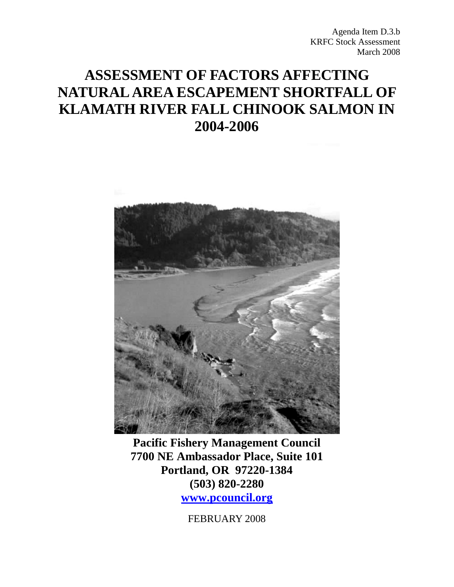Agenda Item D.3.b KRFC Stock Assessment March 2008

# **ASSESSMENT OF FACTORS AFFECTING NATURAL AREA ESCAPEMENT SHORTFALL OF KLAMATH RIVER FALL CHINOOK SALMON IN 2004-2006**



**Pacific Fishery Management Council 7700 NE Ambassador Place, Suite 101 Portland, OR 97220-1384 (503) 820-2280 www.pcouncil.org**

FEBRUARY 2008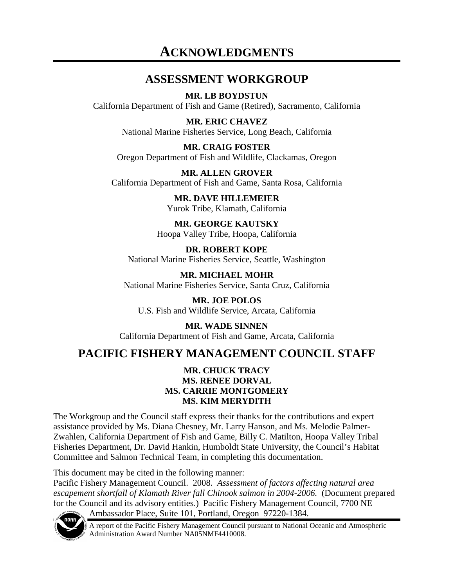# **ACKNOWLEDGMENTS**

### **ASSESSMENT WORKGROUP**

**MR. LB BOYDSTUN**  California Department of Fish and Game (Retired), Sacramento, California

> **MR. ERIC CHAVEZ** National Marine Fisheries Service, Long Beach, California

**MR. CRAIG FOSTER**  Oregon Department of Fish and Wildlife, Clackamas, Oregon

**MR. ALLEN GROVER**  California Department of Fish and Game, Santa Rosa, California

> **MR. DAVE HILLEMEIER**  Yurok Tribe, Klamath, California

**MR. GEORGE KAUTSKY**  Hoopa Valley Tribe, Hoopa, California

**DR. ROBERT KOPE** National Marine Fisheries Service, Seattle, Washington

**MR. MICHAEL MOHR** National Marine Fisheries Service, Santa Cruz, California

**MR. JOE POLOS** U.S. Fish and Wildlife Service, Arcata, California

**MR. WADE SINNEN** California Department of Fish and Game, Arcata, California

## **PACIFIC FISHERY MANAGEMENT COUNCIL STAFF**

#### **MR. CHUCK TRACY MS. RENEE DORVAL MS. CARRIE MONTGOMERY MS. KIM MERYDITH**

The Workgroup and the Council staff express their thanks for the contributions and expert assistance provided by Ms. Diana Chesney, Mr. Larry Hanson, and Ms. Melodie Palmer-Zwahlen, California Department of Fish and Game, Billy C. Matilton, Hoopa Valley Tribal Fisheries Department, Dr. David Hankin, Humboldt State University, the Council's Habitat Committee and Salmon Technical Team, in completing this documentation.

This document may be cited in the following manner:

Pacific Fishery Management Council. 2008. *Assessment of factors affecting natural area escapement shortfall of Klamath River fall Chinook salmon in 2004-2006.* (Document prepared for the Council and its advisory entities.) Pacific Fishery Management Council, 7700 NE Ambassador Place, Suite 101, Portland, Oregon 97220-1384.



A report of the Pacific Fishery Management Council pursuant to National Oceanic and Atmospheric Administration Award Number NA05NMF4410008.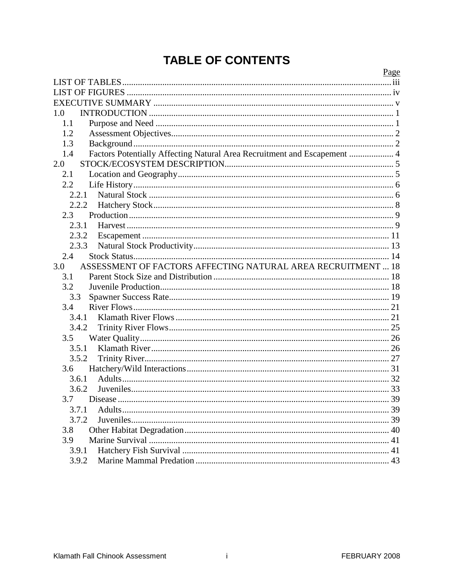# **TABLE OF CONTENTS**

|                                                                                 | Page |
|---------------------------------------------------------------------------------|------|
|                                                                                 |      |
|                                                                                 |      |
|                                                                                 |      |
| 1.0                                                                             |      |
| 1.1                                                                             |      |
| 1.2                                                                             |      |
| 1.3                                                                             |      |
| Factors Potentially Affecting Natural Area Recruitment and Escapement  4<br>1.4 |      |
| 2.0                                                                             |      |
| 2.1                                                                             |      |
| 2.2                                                                             |      |
| 2.2.1                                                                           |      |
| 2.2.2                                                                           |      |
| 2.3                                                                             |      |
| 2.3.1                                                                           |      |
| 2.3.2                                                                           |      |
| 2.3.3                                                                           |      |
| 2.4                                                                             |      |
| ASSESSMENT OF FACTORS AFFECTING NATURAL AREA RECRUITMENT  18<br>3.0             |      |
| 3.1                                                                             |      |
| 3.2                                                                             |      |
| 3.3                                                                             |      |
| 3.4                                                                             |      |
| 3.4.1                                                                           |      |
| 3.4.2                                                                           |      |
| 3.5                                                                             |      |
| 3.5.1                                                                           |      |
| 3.5.2                                                                           |      |
| 3.6                                                                             |      |
| 3.6.1                                                                           |      |
| 3.6.2                                                                           |      |
| 3.7                                                                             |      |
| 3.7.1                                                                           |      |
| 3.7.2                                                                           |      |
| 3.8                                                                             |      |
| 3.9                                                                             |      |
| 3.9.1                                                                           |      |
| 3.9.2                                                                           |      |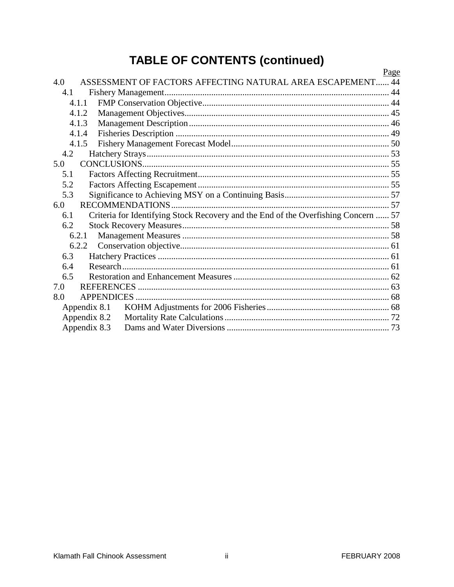# **TABLE OF CONTENTS (continued)**

|     |              |                                                                                    | <u>Page</u> |
|-----|--------------|------------------------------------------------------------------------------------|-------------|
| 4.0 |              | ASSESSMENT OF FACTORS AFFECTING NATURAL AREA ESCAPEMENT 44                         |             |
| 4.1 |              |                                                                                    |             |
|     | 4.1.1        |                                                                                    |             |
|     | 4.1.2        |                                                                                    |             |
|     | 4.1.3        |                                                                                    |             |
|     | 4.1.4        |                                                                                    |             |
|     | 4.1.5        |                                                                                    |             |
| 4.2 |              |                                                                                    |             |
| 5.0 |              |                                                                                    |             |
| 5.1 |              |                                                                                    |             |
| 5.2 |              |                                                                                    |             |
| 5.3 |              |                                                                                    |             |
| 6.0 |              |                                                                                    |             |
| 6.1 |              | Criteria for Identifying Stock Recovery and the End of the Overfishing Concern  57 |             |
| 6.2 |              |                                                                                    |             |
|     | 6.2.1        |                                                                                    |             |
|     | 6.2.2        |                                                                                    |             |
| 6.3 |              |                                                                                    |             |
| 6.4 |              |                                                                                    |             |
| 6.5 |              |                                                                                    |             |
| 7.0 |              |                                                                                    |             |
| 8.0 |              |                                                                                    |             |
|     | Appendix 8.1 |                                                                                    |             |
|     | Appendix 8.2 |                                                                                    |             |
|     | Appendix 8.3 |                                                                                    |             |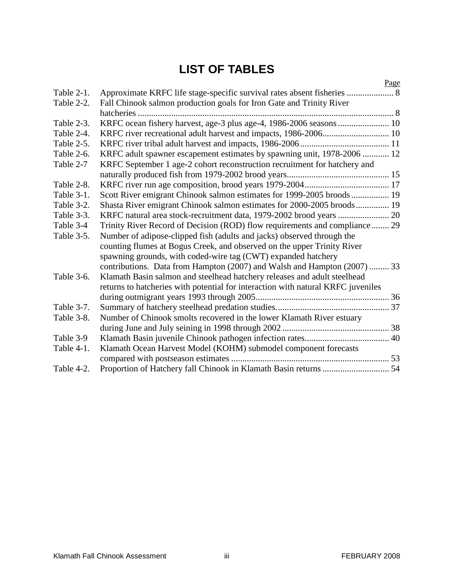# **LIST OF TABLES**

<span id="page-4-0"></span>

|            | Page                                                                             |
|------------|----------------------------------------------------------------------------------|
| Table 2-1. |                                                                                  |
| Table 2-2. | Fall Chinook salmon production goals for Iron Gate and Trinity River             |
|            | hatcheries                                                                       |
| Table 2-3. | KRFC ocean fishery harvest, age-3 plus age-4, 1986-2006 seasons 10               |
| Table 2-4. | KRFC river recreational adult harvest and impacts, 1986-2006 10                  |
| Table 2-5. |                                                                                  |
| Table 2-6. | KRFC adult spawner escapement estimates by spawning unit, 1978-2006  12          |
| Table 2-7  | KRFC September 1 age-2 cohort reconstruction recruitment for hatchery and        |
|            |                                                                                  |
| Table 2-8. |                                                                                  |
| Table 3-1. | Scott River emigrant Chinook salmon estimates for 1999-2005 broods 19            |
| Table 3-2. | Shasta River emigrant Chinook salmon estimates for 2000-2005 broods 19           |
| Table 3-3. |                                                                                  |
| Table 3-4  | Trinity River Record of Decision (ROD) flow requirements and compliance 29       |
| Table 3-5. | Number of adipose-clipped fish (adults and jacks) observed through the           |
|            | counting flumes at Bogus Creek, and observed on the upper Trinity River          |
|            | spawning grounds, with coded-wire tag (CWT) expanded hatchery                    |
|            | contributions. Data from Hampton (2007) and Walsh and Hampton (2007)  33         |
| Table 3-6. | Klamath Basin salmon and steelhead hatchery releases and adult steelhead         |
|            | returns to hatcheries with potential for interaction with natural KRFC juveniles |
|            |                                                                                  |
| Table 3-7. |                                                                                  |
| Table 3-8. | Number of Chinook smolts recovered in the lower Klamath River estuary            |
|            |                                                                                  |
| Table 3-9  |                                                                                  |
| Table 4-1. | Klamath Ocean Harvest Model (KOHM) submodel component forecasts                  |
|            |                                                                                  |
| Table 4-2. |                                                                                  |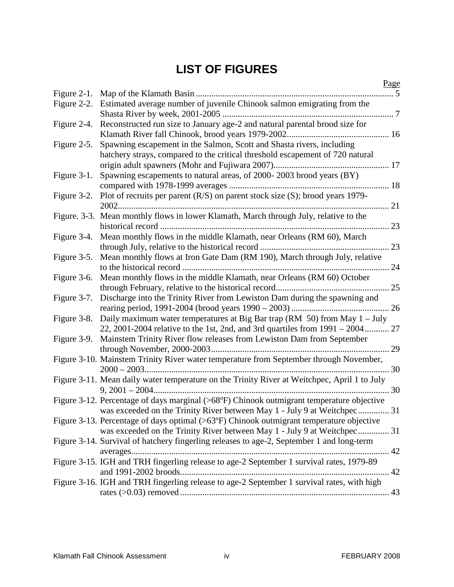# **LIST OF FIGURES**

<span id="page-5-0"></span>

|             | Page                                                                                              |
|-------------|---------------------------------------------------------------------------------------------------|
| Figure 2-1. | . 5                                                                                               |
| Figure 2-2. | Estimated average number of juvenile Chinook salmon emigrating from the                           |
| Figure 2-4. | Reconstructed run size to January age-2 and natural parental brood size for                       |
|             |                                                                                                   |
|             |                                                                                                   |
| Figure 2-5. | Spawning escapement in the Salmon, Scott and Shasta rivers, including                             |
|             | hatchery strays, compared to the critical threshold escapement of 720 natural                     |
|             |                                                                                                   |
| Figure 3-1. | Spawning escapements to natural areas, of 2000-2003 brood years (BY)                              |
|             |                                                                                                   |
|             | Figure 3-2. Plot of recruits per parent (R/S) on parent stock size (S); brood years 1979-         |
|             |                                                                                                   |
|             | Figure. 3-3. Mean monthly flows in lower Klamath, March through July, relative to the             |
|             |                                                                                                   |
| Figure 3-4. | Mean monthly flows in the middle Klamath, near Orleans (RM 60), March                             |
|             |                                                                                                   |
| Figure 3-5. | Mean monthly flows at Iron Gate Dam (RM 190), March through July, relative                        |
|             |                                                                                                   |
| Figure 3-6. | Mean monthly flows in the middle Klamath, near Orleans (RM 60) October                            |
|             |                                                                                                   |
| Figure 3-7. | Discharge into the Trinity River from Lewiston Dam during the spawning and                        |
|             |                                                                                                   |
|             | Figure 3-8. Daily maximum water temperatures at Big Bar trap (RM $50$ ) from May 1 – July         |
|             | 22, 2001-2004 relative to the 1st, 2nd, and 3rd quartiles from $1991 - 2004$ 27                   |
|             | Figure 3-9. Mainstem Trinity River flow releases from Lewiston Dam from September                 |
|             |                                                                                                   |
|             | Figure 3-10. Mainstem Trinity River water temperature from September through November,            |
|             |                                                                                                   |
|             | Figure 3-11. Mean daily water temperature on the Trinity River at Weitchpec, April 1 to July      |
|             | $9,2001-2004$                                                                                     |
|             | Figure 3-12. Percentage of days marginal (>68°F) Chinook outmigrant temperature objective         |
|             | was exceeded on the Trinity River between May 1 - July 9 at Weitchpec<br>31                       |
|             | Figure 3-13. Percentage of days optimal $(>63^{\circ}F)$ Chinook outmigrant temperature objective |
|             | was exceeded on the Trinity River between May 1 - July 9 at Weitchpec 31                          |
|             |                                                                                                   |
|             | Figure 3-14. Survival of hatchery fingerling releases to age-2, September 1 and long-term         |
|             |                                                                                                   |
|             | Figure 3-15. IGH and TRH fingerling release to age-2 September 1 survival rates, 1979-89          |
|             | 42                                                                                                |
|             | Figure 3-16. IGH and TRH fingerling release to age-2 September 1 survival rates, with high        |
|             |                                                                                                   |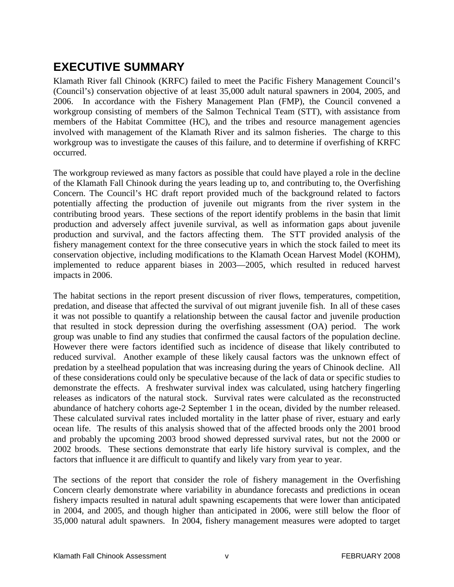# <span id="page-6-0"></span>**EXECUTIVE SUMMARY**

Klamath River fall Chinook (KRFC) failed to meet the Pacific Fishery Management Council's (Council's) conservation objective of at least 35,000 adult natural spawners in 2004, 2005, and 2006. In accordance with the Fishery Management Plan (FMP), the Council convened a workgroup consisting of members of the Salmon Technical Team (STT), with assistance from members of the Habitat Committee (HC), and the tribes and resource management agencies involved with management of the Klamath River and its salmon fisheries. The charge to this workgroup was to investigate the causes of this failure, and to determine if overfishing of KRFC occurred.

The workgroup reviewed as many factors as possible that could have played a role in the decline of the Klamath Fall Chinook during the years leading up to, and contributing to, the Overfishing Concern. The Council's HC draft report provided much of the background related to factors potentially affecting the production of juvenile out migrants from the river system in the contributing brood years. These sections of the report identify problems in the basin that limit production and adversely affect juvenile survival, as well as information gaps about juvenile production and survival, and the factors affecting them. The STT provided analysis of the fishery management context for the three consecutive years in which the stock failed to meet its conservation objective, including modifications to the Klamath Ocean Harvest Model (KOHM), implemented to reduce apparent biases in 2003—2005, which resulted in reduced harvest impacts in 2006.

The habitat sections in the report present discussion of river flows, temperatures, competition, predation, and disease that affected the survival of out migrant juvenile fish. In all of these cases it was not possible to quantify a relationship between the causal factor and juvenile production that resulted in stock depression during the overfishing assessment (OA) period. The work group was unable to find any studies that confirmed the causal factors of the population decline. However there were factors identified such as incidence of disease that likely contributed to reduced survival. Another example of these likely causal factors was the unknown effect of predation by a steelhead population that was increasing during the years of Chinook decline. All of these considerations could only be speculative because of the lack of data or specific studies to demonstrate the effects. A freshwater survival index was calculated, using hatchery fingerling releases as indicators of the natural stock. Survival rates were calculated as the reconstructed abundance of hatchery cohorts age-2 September 1 in the ocean, divided by the number released. These calculated survival rates included mortality in the latter phase of river, estuary and early ocean life. The results of this analysis showed that of the affected broods only the 2001 brood and probably the upcoming 2003 brood showed depressed survival rates, but not the 2000 or 2002 broods. These sections demonstrate that early life history survival is complex, and the factors that influence it are difficult to quantify and likely vary from year to year.

The sections of the report that consider the role of fishery management in the Overfishing Concern clearly demonstrate where variability in abundance forecasts and predictions in ocean fishery impacts resulted in natural adult spawning escapements that were lower than anticipated in 2004, and 2005, and though higher than anticipated in 2006, were still below the floor of 35,000 natural adult spawners. In 2004, fishery management measures were adopted to target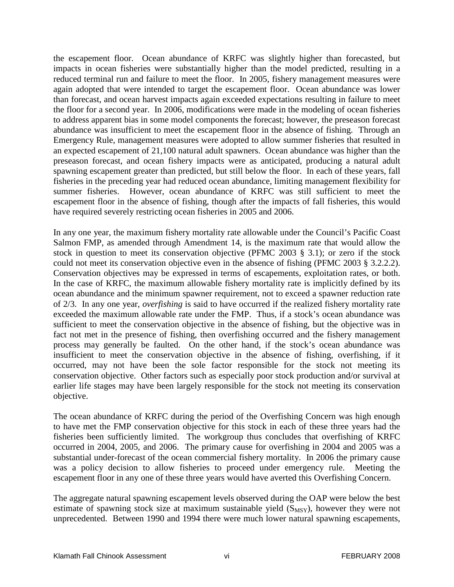the escapement floor. Ocean abundance of KRFC was slightly higher than forecasted, but impacts in ocean fisheries were substantially higher than the model predicted, resulting in a reduced terminal run and failure to meet the floor. In 2005, fishery management measures were again adopted that were intended to target the escapement floor. Ocean abundance was lower than forecast, and ocean harvest impacts again exceeded expectations resulting in failure to meet the floor for a second year. In 2006, modifications were made in the modeling of ocean fisheries to address apparent bias in some model components the forecast; however, the preseason forecast abundance was insufficient to meet the escapement floor in the absence of fishing. Through an Emergency Rule, management measures were adopted to allow summer fisheries that resulted in an expected escapement of 21,100 natural adult spawners. Ocean abundance was higher than the preseason forecast, and ocean fishery impacts were as anticipated, producing a natural adult spawning escapement greater than predicted, but still below the floor. In each of these years, fall fisheries in the preceding year had reduced ocean abundance, limiting management flexibility for summer fisheries. However, ocean abundance of KRFC was still sufficient to meet the escapement floor in the absence of fishing, though after the impacts of fall fisheries, this would have required severely restricting ocean fisheries in 2005 and 2006.

In any one year, the maximum fishery mortality rate allowable under the Council's Pacific Coast Salmon FMP, as amended through Amendment 14, is the maximum rate that would allow the stock in question to meet its conservation objective (PFMC 2003 § 3.1); or zero if the stock could not meet its conservation objective even in the absence of fishing (PFMC 2003 § 3.2.2.2). Conservation objectives may be expressed in terms of escapements, exploitation rates, or both. In the case of KRFC, the maximum allowable fishery mortality rate is implicitly defined by its ocean abundance and the minimum spawner requirement, not to exceed a spawner reduction rate of 2/3. In any one year, *overfishing* is said to have occurred if the realized fishery mortality rate exceeded the maximum allowable rate under the FMP. Thus, if a stock's ocean abundance was sufficient to meet the conservation objective in the absence of fishing, but the objective was in fact not met in the presence of fishing, then overfishing occurred and the fishery management process may generally be faulted. On the other hand, if the stock's ocean abundance was insufficient to meet the conservation objective in the absence of fishing, overfishing, if it occurred, may not have been the sole factor responsible for the stock not meeting its conservation objective. Other factors such as especially poor stock production and/or survival at earlier life stages may have been largely responsible for the stock not meeting its conservation objective.

The ocean abundance of KRFC during the period of the Overfishing Concern was high enough to have met the FMP conservation objective for this stock in each of these three years had the fisheries been sufficiently limited. The workgroup thus concludes that overfishing of KRFC occurred in 2004, 2005, and 2006. The primary cause for overfishing in 2004 and 2005 was a substantial under-forecast of the ocean commercial fishery mortality. In 2006 the primary cause was a policy decision to allow fisheries to proceed under emergency rule. Meeting the escapement floor in any one of these three years would have averted this Overfishing Concern.

The aggregate natural spawning escapement levels observed during the OAP were below the best estimate of spawning stock size at maximum sustainable yield  $(S_{MSY})$ , however they were not unprecedented. Between 1990 and 1994 there were much lower natural spawning escapements,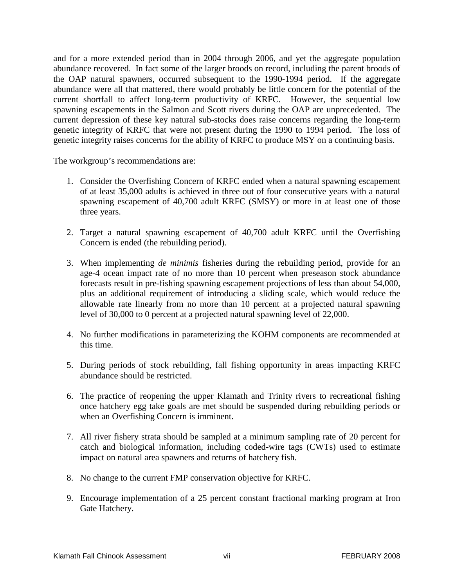and for a more extended period than in 2004 through 2006, and yet the aggregate population abundance recovered. In fact some of the larger broods on record, including the parent broods of the OAP natural spawners, occurred subsequent to the 1990-1994 period. If the aggregate abundance were all that mattered, there would probably be little concern for the potential of the current shortfall to affect long-term productivity of KRFC. However, the sequential low spawning escapements in the Salmon and Scott rivers during the OAP are unprecedented. The current depression of these key natural sub-stocks does raise concerns regarding the long-term genetic integrity of KRFC that were not present during the 1990 to 1994 period. The loss of genetic integrity raises concerns for the ability of KRFC to produce MSY on a continuing basis.

The workgroup's recommendations are:

- 1. Consider the Overfishing Concern of KRFC ended when a natural spawning escapement of at least 35,000 adults is achieved in three out of four consecutive years with a natural spawning escapement of 40,700 adult KRFC (SMSY) or more in at least one of those three years.
- 2. Target a natural spawning escapement of 40,700 adult KRFC until the Overfishing Concern is ended (the rebuilding period).
- 3. When implementing *de minimis* fisheries during the rebuilding period, provide for an age-4 ocean impact rate of no more than 10 percent when preseason stock abundance forecasts result in pre-fishing spawning escapement projections of less than about 54,000, plus an additional requirement of introducing a sliding scale, which would reduce the allowable rate linearly from no more than 10 percent at a projected natural spawning level of 30,000 to 0 percent at a projected natural spawning level of 22,000.
- 4. No further modifications in parameterizing the KOHM components are recommended at this time.
- 5. During periods of stock rebuilding, fall fishing opportunity in areas impacting KRFC abundance should be restricted.
- 6. The practice of reopening the upper Klamath and Trinity rivers to recreational fishing once hatchery egg take goals are met should be suspended during rebuilding periods or when an Overfishing Concern is imminent.
- 7. All river fishery strata should be sampled at a minimum sampling rate of 20 percent for catch and biological information, including coded-wire tags (CWTs) used to estimate impact on natural area spawners and returns of hatchery fish.
- 8. No change to the current FMP conservation objective for KRFC.
- 9. Encourage implementation of a 25 percent constant fractional marking program at Iron Gate Hatchery.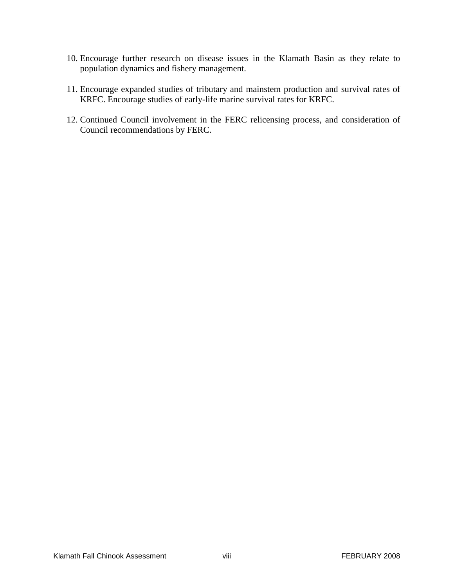- 10. Encourage further research on disease issues in the Klamath Basin as they relate to population dynamics and fishery management.
- 11. Encourage expanded studies of tributary and mainstem production and survival rates of KRFC. Encourage studies of early-life marine survival rates for KRFC.
- 12. Continued Council involvement in the FERC relicensing process, and consideration of Council recommendations by FERC.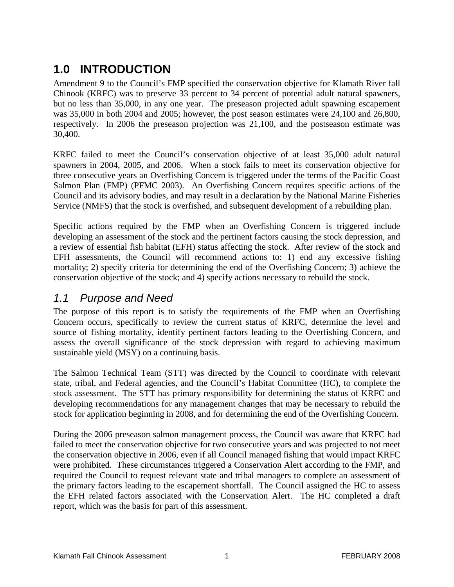# <span id="page-10-0"></span>**1.0 INTRODUCTION**

Amendment 9 to the Council's FMP specified the conservation objective for Klamath River fall Chinook (KRFC) was to preserve 33 percent to 34 percent of potential adult natural spawners, but no less than 35,000, in any one year. The preseason projected adult spawning escapement was 35,000 in both 2004 and 2005; however, the post season estimates were 24,100 and 26,800, respectively. In 2006 the preseason projection was 21,100, and the postseason estimate was 30,400.

KRFC failed to meet the Council's conservation objective of at least 35,000 adult natural spawners in 2004, 2005, and 2006. When a stock fails to meet its conservation objective for three consecutive years an Overfishing Concern is triggered under the terms of the Pacific Coast Salmon Plan (FMP) (PFMC 2003). An Overfishing Concern requires specific actions of the Council and its advisory bodies, and may result in a declaration by the National Marine Fisheries Service (NMFS) that the stock is overfished, and subsequent development of a rebuilding plan.

Specific actions required by the FMP when an Overfishing Concern is triggered include developing an assessment of the stock and the pertinent factors causing the stock depression, and a review of essential fish habitat (EFH) status affecting the stock. After review of the stock and EFH assessments, the Council will recommend actions to: 1) end any excessive fishing mortality; 2) specify criteria for determining the end of the Overfishing Concern; 3) achieve the conservation objective of the stock; and 4) specify actions necessary to rebuild the stock.

#### <span id="page-10-1"></span>*1.1 Purpose and Need*

The purpose of this report is to satisfy the requirements of the FMP when an Overfishing Concern occurs, specifically to review the current status of KRFC, determine the level and source of fishing mortality, identify pertinent factors leading to the Overfishing Concern, and assess the overall significance of the stock depression with regard to achieving maximum sustainable yield (MSY) on a continuing basis.

The Salmon Technical Team (STT) was directed by the Council to coordinate with relevant state, tribal, and Federal agencies, and the Council's Habitat Committee (HC), to complete the stock assessment. The STT has primary responsibility for determining the status of KRFC and developing recommendations for any management changes that may be necessary to rebuild the stock for application beginning in 2008, and for determining the end of the Overfishing Concern.

During the 2006 preseason salmon management process, the Council was aware that KRFC had failed to meet the conservation objective for two consecutive years and was projected to not meet the conservation objective in 2006, even if all Council managed fishing that would impact KRFC were prohibited. These circumstances triggered a Conservation Alert according to the FMP, and required the Council to request relevant state and tribal managers to complete an assessment of the primary factors leading to the escapement shortfall. The Council assigned the HC to assess the EFH related factors associated with the Conservation Alert. The HC completed a draft report, which was the basis for part of this assessment.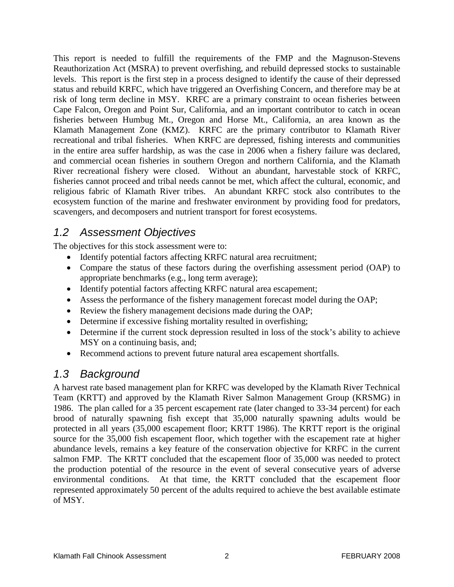This report is needed to fulfill the requirements of the FMP and the Magnuson-Stevens Reauthorization Act (MSRA) to prevent overfishing, and rebuild depressed stocks to sustainable levels. This report is the first step in a process designed to identify the cause of their depressed status and rebuild KRFC, which have triggered an Overfishing Concern, and therefore may be at risk of long term decline in MSY. KRFC are a primary constraint to ocean fisheries between Cape Falcon, Oregon and Point Sur, California, and an important contributor to catch in ocean fisheries between Humbug Mt., Oregon and Horse Mt., California, an area known as the Klamath Management Zone (KMZ). KRFC are the primary contributor to Klamath River recreational and tribal fisheries. When KRFC are depressed, fishing interests and communities in the entire area suffer hardship, as was the case in 2006 when a fishery failure was declared, and commercial ocean fisheries in southern Oregon and northern California, and the Klamath River recreational fishery were closed. Without an abundant, harvestable stock of KRFC, fisheries cannot proceed and tribal needs cannot be met, which affect the cultural, economic, and religious fabric of Klamath River tribes. An abundant KRFC stock also contributes to the ecosystem function of the marine and freshwater environment by providing food for predators, scavengers, and decomposers and nutrient transport for forest ecosystems.

### <span id="page-11-0"></span>*1.2 Assessment Objectives*

The objectives for this stock assessment were to:

- Identify potential factors affecting KRFC natural area recruitment;
- Compare the status of these factors during the overfishing assessment period (OAP) to appropriate benchmarks (e.g., long term average);
- Identify potential factors affecting KRFC natural area escapement;
- Assess the performance of the fishery management forecast model during the OAP;
- Review the fishery management decisions made during the OAP;
- Determine if excessive fishing mortality resulted in overfishing;
- Determine if the current stock depression resulted in loss of the stock's ability to achieve MSY on a continuing basis, and;
- Recommend actions to prevent future natural area escapement shortfalls.

## <span id="page-11-1"></span>*1.3 Background*

A harvest rate based management plan for KRFC was developed by the Klamath River Technical Team (KRTT) and approved by the Klamath River Salmon Management Group (KRSMG) in 1986. The plan called for a 35 percent escapement rate (later changed to 33-34 percent) for each brood of naturally spawning fish except that 35,000 naturally spawning adults would be protected in all years (35,000 escapement floor; KRTT 1986). The KRTT report is the original source for the 35,000 fish escapement floor, which together with the escapement rate at higher abundance levels, remains a key feature of the conservation objective for KRFC in the current salmon FMP. The KRTT concluded that the escapement floor of 35,000 was needed to protect the production potential of the resource in the event of several consecutive years of adverse environmental conditions. At that time, the KRTT concluded that the escapement floor represented approximately 50 percent of the adults required to achieve the best available estimate of MSY.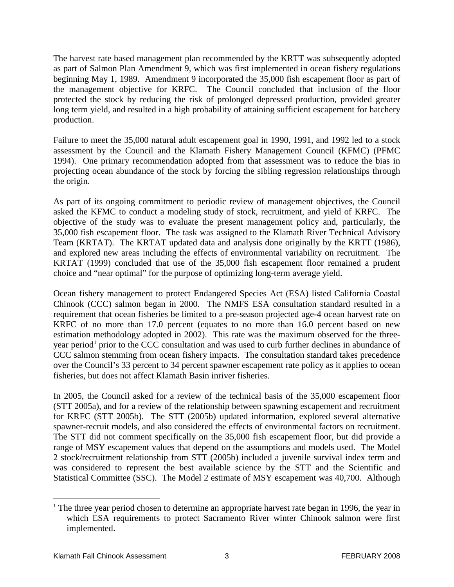The harvest rate based management plan recommended by the KRTT was subsequently adopted as part of Salmon Plan Amendment 9, which was first implemented in ocean fishery regulations beginning May 1, 1989. Amendment 9 incorporated the 35,000 fish escapement floor as part of the management objective for KRFC. The Council concluded that inclusion of the floor protected the stock by reducing the risk of prolonged depressed production, provided greater long term yield, and resulted in a high probability of attaining sufficient escapement for hatchery production.

Failure to meet the 35,000 natural adult escapement goal in 1990, 1991, and 1992 led to a stock assessment by the Council and the Klamath Fishery Management Council (KFMC) (PFMC 1994). One primary recommendation adopted from that assessment was to reduce the bias in projecting ocean abundance of the stock by forcing the sibling regression relationships through the origin.

As part of its ongoing commitment to periodic review of management objectives, the Council asked the KFMC to conduct a modeling study of stock, recruitment, and yield of KRFC. The objective of the study was to evaluate the present management policy and, particularly, the 35,000 fish escapement floor. The task was assigned to the Klamath River Technical Advisory Team (KRTAT). The KRTAT updated data and analysis done originally by the KRTT (1986), and explored new areas including the effects of environmental variability on recruitment. The KRTAT (1999) concluded that use of the 35,000 fish escapement floor remained a prudent choice and "near optimal" for the purpose of optimizing long-term average yield.

Ocean fishery management to protect Endangered Species Act (ESA) listed California Coastal Chinook (CCC) salmon began in 2000. The NMFS ESA consultation standard resulted in a requirement that ocean fisheries be limited to a pre-season projected age-4 ocean harvest rate on KRFC of no more than 17.0 percent (equates to no more than 16.0 percent based on new estimation methodology adopted in 2002). This rate was the maximum observed for the threeyear period<sup>1</sup> prior to the CCC consultation and was used to curb further declines in abundance of CCC salmon stemming from ocean fishery impacts. The consultation standard takes precedence over the Council's 33 percent to 34 percent spawner escapement rate policy as it applies to ocean fisheries, but does not affect Klamath Basin inriver fisheries.

In 2005, the Council asked for a review of the technical basis of the 35,000 escapement floor (STT 2005a), and for a review of the relationship between spawning escapement and recruitment for KRFC (STT 2005b). The STT (2005b) updated information, explored several alternative spawner-recruit models, and also considered the effects of environmental factors on recruitment. The STT did not comment specifically on the 35,000 fish escapement floor, but did provide a range of MSY escapement values that depend on the assumptions and models used. The Model 2 stock/recruitment relationship from STT (2005b) included a juvenile survival index term and was considered to represent the best available science by the STT and the Scientific and Statistical Committee (SSC). The Model 2 estimate of MSY escapement was 40,700. Although

<sup>&</sup>lt;sup>1</sup> The three year period chosen to determine an appropriate harvest rate began in 1996, the year in which ESA requirements to protect Sacramento River winter Chinook salmon were first implemented.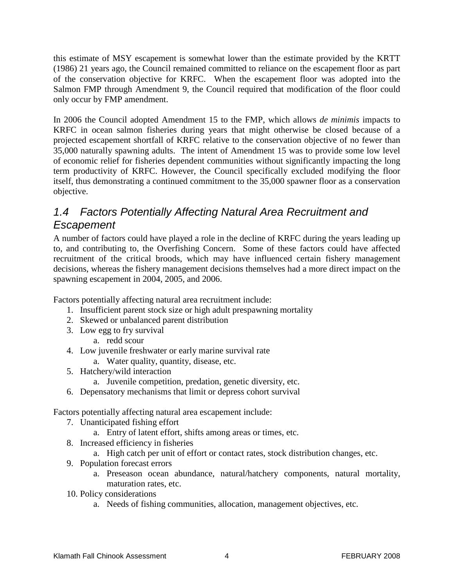this estimate of MSY escapement is somewhat lower than the estimate provided by the KRTT (1986) 21 years ago, the Council remained committed to reliance on the escapement floor as part of the conservation objective for KRFC. When the escapement floor was adopted into the Salmon FMP through Amendment 9, the Council required that modification of the floor could only occur by FMP amendment.

In 2006 the Council adopted Amendment 15 to the FMP, which allows *de minimis* impacts to KRFC in ocean salmon fisheries during years that might otherwise be closed because of a projected escapement shortfall of KRFC relative to the conservation objective of no fewer than 35,000 naturally spawning adults. The intent of Amendment 15 was to provide some low level of economic relief for fisheries dependent communities without significantly impacting the long term productivity of KRFC. However, the Council specifically excluded modifying the floor itself, thus demonstrating a continued commitment to the 35,000 spawner floor as a conservation objective.

## <span id="page-13-0"></span>*1.4 Factors Potentially Affecting Natural Area Recruitment and Escapement*

A number of factors could have played a role in the decline of KRFC during the years leading up to, and contributing to, the Overfishing Concern. Some of these factors could have affected recruitment of the critical broods, which may have influenced certain fishery management decisions, whereas the fishery management decisions themselves had a more direct impact on the spawning escapement in 2004, 2005, and 2006.

Factors potentially affecting natural area recruitment include:

- 1. Insufficient parent stock size or high adult prespawning mortality
- 2. Skewed or unbalanced parent distribution
- 3. Low egg to fry survival
	- a. redd scour
- 4. Low juvenile freshwater or early marine survival rate
	- a. Water quality, quantity, disease, etc.
- 5. Hatchery/wild interaction
	- a. Juvenile competition, predation, genetic diversity, etc.
- 6. Depensatory mechanisms that limit or depress cohort survival

Factors potentially affecting natural area escapement include:

- 7. Unanticipated fishing effort
	- a. Entry of latent effort, shifts among areas or times, etc.
- 8. Increased efficiency in fisheries
	- a. High catch per unit of effort or contact rates, stock distribution changes, etc.
- 9. Population forecast errors
	- a. Preseason ocean abundance, natural/hatchery components, natural mortality, maturation rates, etc.
- 10. Policy considerations
	- a. Needs of fishing communities, allocation, management objectives, etc.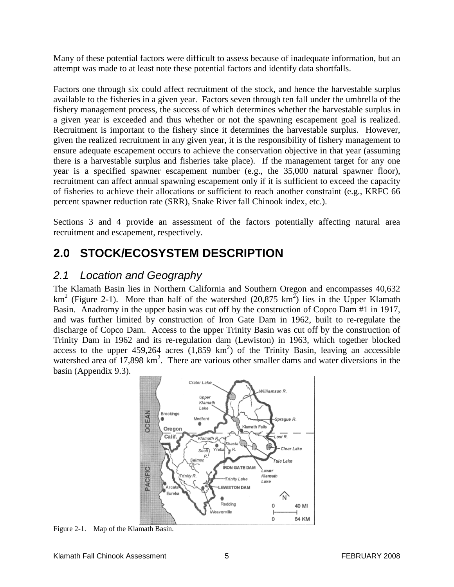Many of these potential factors were difficult to assess because of inadequate information, but an attempt was made to at least note these potential factors and identify data shortfalls.

Factors one through six could affect recruitment of the stock, and hence the harvestable surplus available to the fisheries in a given year. Factors seven through ten fall under the umbrella of the fishery management process, the success of which determines whether the harvestable surplus in a given year is exceeded and thus whether or not the spawning escapement goal is realized. Recruitment is important to the fishery since it determines the harvestable surplus. However, given the realized recruitment in any given year, it is the responsibility of fishery management to ensure adequate escapement occurs to achieve the conservation objective in that year (assuming there is a harvestable surplus and fisheries take place). If the management target for any one year is a specified spawner escapement number (e.g., the 35,000 natural spawner floor), recruitment can affect annual spawning escapement only if it is sufficient to exceed the capacity of fisheries to achieve their allocations or sufficient to reach another constraint (e.g., KRFC 66 percent spawner reduction rate (SRR), Snake River fall Chinook index, etc.).

Sections 3 and 4 provide an assessment of the factors potentially affecting natural area recruitment and escapement, respectively.

# <span id="page-14-0"></span>**2.0 STOCK/ECOSYSTEM DESCRIPTION**

#### <span id="page-14-1"></span>*2.1 Location and Geography*

The Klamath Basin lies in Northern California and Southern Oregon and encompasses 40,632 km<sup>2</sup> (Figure 2-1). More than half of the watershed  $(20,875 \text{ km}^2)$  lies in the Upper Klamath Basin. Anadromy in the upper basin was cut off by the construction of Copco Dam #1 in 1917, and was further limited by construction of Iron Gate Dam in 1962, built to re-regulate the discharge of Copco Dam. Access to the upper Trinity Basin was cut off by the construction of Trinity Dam in 1962 and its re-regulation dam (Lewiston) in 1963, which together blocked access to the upper  $459,264$  acres  $(1,859 \text{ km}^2)$  of the Trinity Basin, leaving an accessible watershed area of 17,898 km<sup>2</sup>. There are various other smaller dams and water diversions in the basin (Appendix 9.3).



Figure 2-1. Map of the Klamath Basin.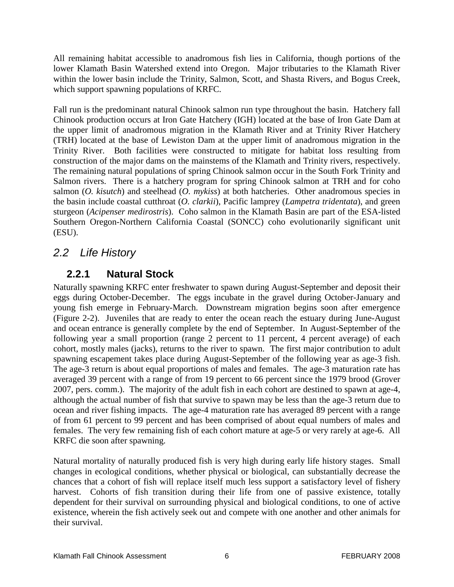All remaining habitat accessible to anadromous fish lies in California, though portions of the lower Klamath Basin Watershed extend into Oregon. Major tributaries to the Klamath River within the lower basin include the Trinity, Salmon, Scott, and Shasta Rivers, and Bogus Creek, which support spawning populations of KRFC.

Fall run is the predominant natural Chinook salmon run type throughout the basin. Hatchery fall Chinook production occurs at Iron Gate Hatchery (IGH) located at the base of Iron Gate Dam at the upper limit of anadromous migration in the Klamath River and at Trinity River Hatchery (TRH) located at the base of Lewiston Dam at the upper limit of anadromous migration in the Trinity River. Both facilities were constructed to mitigate for habitat loss resulting from construction of the major dams on the mainstems of the Klamath and Trinity rivers, respectively. The remaining natural populations of spring Chinook salmon occur in the South Fork Trinity and Salmon rivers. There is a hatchery program for spring Chinook salmon at TRH and for coho salmon (*O. kisutch*) and steelhead (*O. mykiss*) at both hatcheries. Other anadromous species in the basin include coastal cutthroat (*O. clarkii*), Pacific lamprey (*Lampetra tridentata*), and green sturgeon (*Acipenser medirostris*). Coho salmon in the Klamath Basin are part of the ESA-listed Southern Oregon-Northern California Coastal (SONCC) coho evolutionarily significant unit (ESU).

## <span id="page-15-1"></span><span id="page-15-0"></span>*2.2 Life History*

### **2.2.1 Natural Stock**

Naturally spawning KRFC enter freshwater to spawn during August-September and deposit their eggs during October-December. The eggs incubate in the gravel during October-January and young fish emerge in February-March. Downstream migration begins soon after emergence (Figure 2-2). Juveniles that are ready to enter the ocean reach the estuary during June-August and ocean entrance is generally complete by the end of September. In August-September of the following year a small proportion (range 2 percent to 11 percent, 4 percent average) of each cohort, mostly males (jacks), returns to the river to spawn. The first major contribution to adult spawning escapement takes place during August-September of the following year as age-3 fish. The age-3 return is about equal proportions of males and females. The age-3 maturation rate has averaged 39 percent with a range of from 19 percent to 66 percent since the 1979 brood (Grover 2007, pers. comm.). The majority of the adult fish in each cohort are destined to spawn at age-4, although the actual number of fish that survive to spawn may be less than the age-3 return due to ocean and river fishing impacts. The age-4 maturation rate has averaged 89 percent with a range of from 61 percent to 99 percent and has been comprised of about equal numbers of males and females. The very few remaining fish of each cohort mature at age-5 or very rarely at age-6. All KRFC die soon after spawning.

Natural mortality of naturally produced fish is very high during early life history stages. Small changes in ecological conditions, whether physical or biological, can substantially decrease the chances that a cohort of fish will replace itself much less support a satisfactory level of fishery harvest. Cohorts of fish transition during their life from one of passive existence, totally dependent for their survival on surrounding physical and biological conditions, to one of active existence, wherein the fish actively seek out and compete with one another and other animals for their survival.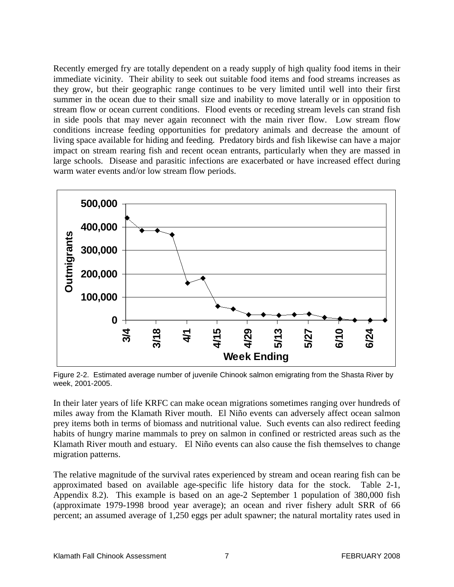Recently emerged fry are totally dependent on a ready supply of high quality food items in their immediate vicinity. Their ability to seek out suitable food items and food streams increases as they grow, but their geographic range continues to be very limited until well into their first summer in the ocean due to their small size and inability to move laterally or in opposition to stream flow or ocean current conditions. Flood events or receding stream levels can strand fish in side pools that may never again reconnect with the main river flow. Low stream flow conditions increase feeding opportunities for predatory animals and decrease the amount of living space available for hiding and feeding. Predatory birds and fish likewise can have a major impact on stream rearing fish and recent ocean entrants, particularly when they are massed in large schools. Disease and parasitic infections are exacerbated or have increased effect during warm water events and/or low stream flow periods.



Figure 2-2. Estimated average number of juvenile Chinook salmon emigrating from the Shasta River by week, 2001-2005.

In their later years of life KRFC can make ocean migrations sometimes ranging over hundreds of miles away from the Klamath River mouth. El Niño events can adversely affect ocean salmon prey items both in terms of biomass and nutritional value. Such events can also redirect feeding habits of hungry marine mammals to prey on salmon in confined or restricted areas such as the Klamath River mouth and estuary. El Niño events can also cause the fish themselves to change migration patterns.

The relative magnitude of the survival rates experienced by stream and ocean rearing fish can be approximated based on available age-specific life history data for the stock. Table 2-1, Appendix 8.2). This example is based on an age-2 September 1 population of 380,000 fish (approximate 1979-1998 brood year average); an ocean and river fishery adult SRR of 66 percent; an assumed average of 1,250 eggs per adult spawner; the natural mortality rates used in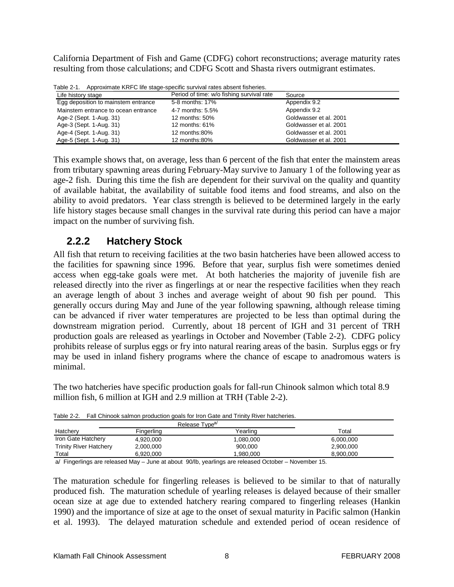California Department of Fish and Game (CDFG) cohort reconstructions; average maturity rates resulting from those calculations; and CDFG Scott and Shasta rivers outmigrant estimates.

| Table 2-1. Approximate KRFC life stage-specific survival rates absent fisheries. |
|----------------------------------------------------------------------------------|
|                                                                                  |

| Life history stage                  | Period of time: w/o fishing survival rate | Source                 |
|-------------------------------------|-------------------------------------------|------------------------|
| Egg deposition to mainstem entrance | 5-8 months: 17%                           | Appendix 9.2           |
| Mainstem entrance to ocean entrance | 4-7 months: 5.5%                          | Appendix 9.2           |
| Age-2 (Sept. 1-Aug. 31)             | 12 months: 50%                            | Goldwasser et al. 2001 |
| Age-3 (Sept. 1-Aug. 31)             | 12 months: 61%                            | Goldwasser et al. 2001 |
| Age-4 (Sept. 1-Aug. 31)             | 12 months:80%                             | Goldwasser et al. 2001 |
| Age-5 (Sept. 1-Aug. 31)             | 12 months:80%                             | Goldwasser et al. 2001 |

This example shows that, on average, less than 6 percent of the fish that enter the mainstem areas from tributary spawning areas during February-May survive to January 1 of the following year as age-2 fish. During this time the fish are dependent for their survival on the quality and quantity of available habitat, the availability of suitable food items and food streams, and also on the ability to avoid predators. Year class strength is believed to be determined largely in the early life history stages because small changes in the survival rate during this period can have a major impact on the number of surviving fish.

#### <span id="page-17-0"></span>**2.2.2 Hatchery Stock**

All fish that return to receiving facilities at the two basin hatcheries have been allowed access to the facilities for spawning since 1996. Before that year, surplus fish were sometimes denied access when egg-take goals were met. At both hatcheries the majority of juvenile fish are released directly into the river as fingerlings at or near the respective facilities when they reach an average length of about 3 inches and average weight of about 90 fish per pound. This generally occurs during May and June of the year following spawning, although release timing can be advanced if river water temperatures are projected to be less than optimal during the downstream migration period. Currently, about 18 percent of IGH and 31 percent of TRH production goals are released as yearlings in October and November (Table 2-2). CDFG policy prohibits release of surplus eggs or fry into natural rearing areas of the basin. Surplus eggs or fry may be used in inland fishery programs where the chance of escape to anadromous waters is minimal.

The two hatcheries have specific production goals for fall-run Chinook salmon which total 8.9 million fish, 6 million at IGH and 2.9 million at TRH (Table 2-2).

| Hatchery                      | Fingerling | Yearling  | Total     |
|-------------------------------|------------|-----------|-----------|
| Iron Gate Hatchery            | 4.920.000  | 1,080,000 | 6,000,000 |
| <b>Trinity River Hatchery</b> | 2.000.000  | 900.000   | 2.900.000 |
| Total                         | 6.920.000  | .980.000  | 8.900.000 |

Table 2-2. Fall Chinook salmon production goals for Iron Gate and Trinity River hatcheries.

a/ Fingerlings are released May – June at about 90/lb, yearlings are released October – November 15.

The maturation schedule for fingerling releases is believed to be similar to that of naturally produced fish. The maturation schedule of yearling releases is delayed because of their smaller ocean size at age due to extended hatchery rearing compared to fingerling releases (Hankin 1990) and the importance of size at age to the onset of sexual maturity in Pacific salmon (Hankin et al. 1993). The delayed maturation schedule and extended period of ocean residence of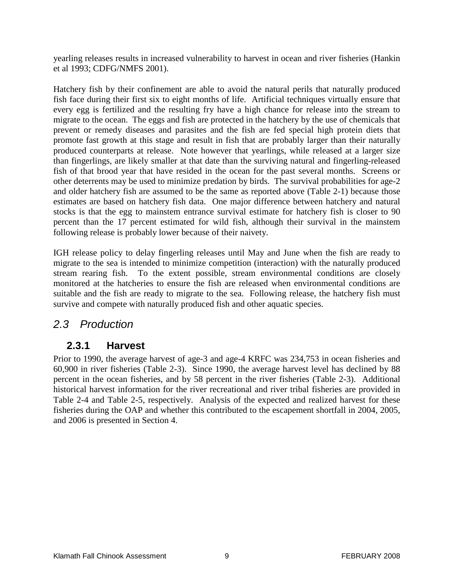yearling releases results in increased vulnerability to harvest in ocean and river fisheries (Hankin et al 1993; CDFG/NMFS 2001).

Hatchery fish by their confinement are able to avoid the natural perils that naturally produced fish face during their first six to eight months of life. Artificial techniques virtually ensure that every egg is fertilized and the resulting fry have a high chance for release into the stream to migrate to the ocean. The eggs and fish are protected in the hatchery by the use of chemicals that prevent or remedy diseases and parasites and the fish are fed special high protein diets that promote fast growth at this stage and result in fish that are probably larger than their naturally produced counterparts at release. Note however that yearlings, while released at a larger size than fingerlings, are likely smaller at that date than the surviving natural and fingerling-released fish of that brood year that have resided in the ocean for the past several months. Screens or other deterrents may be used to minimize predation by birds. The survival probabilities for age-2 and older hatchery fish are assumed to be the same as reported above (Table 2-1) because those estimates are based on hatchery fish data. One major difference between hatchery and natural stocks is that the egg to mainstem entrance survival estimate for hatchery fish is closer to 90 percent than the 17 percent estimated for wild fish, although their survival in the mainstem following release is probably lower because of their naivety.

IGH release policy to delay fingerling releases until May and June when the fish are ready to migrate to the sea is intended to minimize competition (interaction) with the naturally produced stream rearing fish. To the extent possible, stream environmental conditions are closely monitored at the hatcheries to ensure the fish are released when environmental conditions are suitable and the fish are ready to migrate to the sea. Following release, the hatchery fish must survive and compete with naturally produced fish and other aquatic species.

### <span id="page-18-1"></span><span id="page-18-0"></span>*2.3 Production*

#### **2.3.1 Harvest**

Prior to 1990, the average harvest of age-3 and age-4 KRFC was 234,753 in ocean fisheries and 60,900 in river fisheries (Table 2-3). Since 1990, the average harvest level has declined by 88 percent in the ocean fisheries, and by 58 percent in the river fisheries (Table 2-3). Additional historical harvest information for the river recreational and river tribal fisheries are provided in Table 2-4 and Table 2-5, respectively. Analysis of the expected and realized harvest for these fisheries during the OAP and whether this contributed to the escapement shortfall in 2004, 2005, and 2006 is presented in Section 4.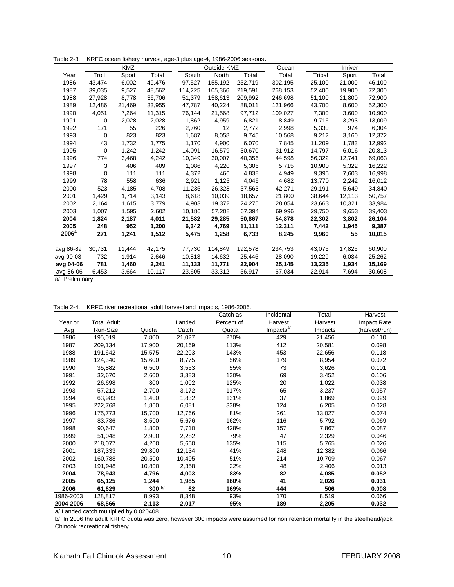|            | KMZ    |        |        | Outside KMZ |         |         | Ocean   | Inriver |        |        |
|------------|--------|--------|--------|-------------|---------|---------|---------|---------|--------|--------|
| Year       | Troll  | Sport  | Total  | South       | North   | Total   | Total   | Tribal  | Sport  | Total  |
| 1986       | 43,474 | 6,002  | 49,476 | 97,527      | 155,192 | 252,719 | 302,195 | 25,100  | 21,000 | 46,100 |
| 1987       | 39,035 | 9,527  | 48,562 | 114,225     | 105,366 | 219,591 | 268,153 | 52,400  | 19,900 | 72,300 |
| 1988       | 27,928 | 8,778  | 36,706 | 51,379      | 158,613 | 209,992 | 246,698 | 51,100  | 21,800 | 72,900 |
| 1989       | 12,486 | 21,469 | 33,955 | 47,787      | 40,224  | 88,011  | 121,966 | 43,700  | 8,600  | 52,300 |
| 1990       | 4,051  | 7,264  | 11,315 | 76,144      | 21,568  | 97,712  | 109,027 | 7,300   | 3,600  | 10,900 |
| 1991       | 0      | 2,028  | 2,028  | 1,862       | 4,959   | 6,821   | 8,849   | 9,716   | 3,293  | 13,009 |
| 1992       | 171    | 55     | 226    | 2,760       | 12      | 2,772   | 2,998   | 5,330   | 974    | 6,304  |
| 1993       | 0      | 823    | 823    | 1,687       | 8,058   | 9,745   | 10,568  | 9,212   | 3,160  | 12,372 |
| 1994       | 43     | 1,732  | 1,775  | 1,170       | 4,900   | 6,070   | 7,845   | 11,209  | 1,783  | 12,992 |
| 1995       | 0      | 1,242  | 1,242  | 14,091      | 16,579  | 30,670  | 31,912  | 14,797  | 6,016  | 20,813 |
| 1996       | 774    | 3,468  | 4,242  | 10,349      | 30,007  | 40,356  | 44,598  | 56,322  | 12,741 | 69,063 |
| 1997       | 3      | 406    | 409    | 1,086       | 4,220   | 5,306   | 5,715   | 10,900  | 5,322  | 16,222 |
| 1998       | 0      | 111    | 111    | 4,372       | 466     | 4,838   | 4,949   | 9,395   | 7,603  | 16,998 |
| 1999       | 78     | 558    | 636    | 2,921       | 1,125   | 4,046   | 4,682   | 13,770  | 2,242  | 16,012 |
| 2000       | 523    | 4,185  | 4,708  | 11,235      | 26,328  | 37,563  | 42,271  | 29,191  | 5,649  | 34,840 |
| 2001       | 1,429  | 1,714  | 3,143  | 8,618       | 10,039  | 18,657  | 21,800  | 38,644  | 12,113 | 50,757 |
| 2002       | 2,164  | 1,615  | 3,779  | 4,903       | 19,372  | 24,275  | 28,054  | 23,663  | 10,321 | 33,984 |
| 2003       | 1,007  | 1,595  | 2,602  | 10,186      | 57,208  | 67,394  | 69,996  | 29,750  | 9,653  | 39,403 |
| 2004       | 1,824  | 2,187  | 4,011  | 21,582      | 29,285  | 50,867  | 54,878  | 22,302  | 3,802  | 26,104 |
| 2005       | 248    | 952    | 1,200  | 6,342       | 4,769   | 11,111  | 12,311  | 7,442   | 1,945  | 9,387  |
| $2006^{a}$ | 271    | 1,241  | 1,512  | 5,475       | 1,258   | 6,733   | 8,245   | 9,960   | 55     | 10,015 |
|            |        |        |        |             |         |         |         |         |        |        |
| avg 86-89  | 30,731 | 11,444 | 42,175 | 77,730      | 114,849 | 192,578 | 234,753 | 43,075  | 17,825 | 60,900 |
| avg 90-03  | 732    | 1,914  | 2,646  | 10,813      | 14,632  | 25,445  | 28,090  | 19,229  | 6,034  | 25,262 |
| avg 04-06  | 781    | 1,460  | 2,241  | 11,133      | 11,771  | 22,904  | 25,145  | 13,235  | 1,934  | 15,169 |
| avg 86-06  | 6,453  | 3,664  | 10,117 | 23,605      | 33,312  | 56,917  | 67,034  | 22,914  | 7,694  | 30,608 |

Table 2-3. KRFC ocean fishery harvest, age-3 plus age-4, 1986-2006 seasons.

a/ Preliminary.

|  | Table 2-4. KRFC river recreational adult harvest and impacts, 1986-2006. |  |  |
|--|--------------------------------------------------------------------------|--|--|
|--|--------------------------------------------------------------------------|--|--|

|           |                    |        |        | Catch as   | Incidental            | Total   | Harvest       |
|-----------|--------------------|--------|--------|------------|-----------------------|---------|---------------|
| Year or   | <b>Total Adult</b> |        | Landed | Percent of | Harvest               | Harvest | Impact Rate   |
| Avg       | Run-Size           | Quota  | Catch  | Quota      | Impacts <sup>a/</sup> | Impacts | (harvest/run) |
| 1986      | 195,019            | 7,800  | 21,027 | 270%       | 429                   | 21,456  | 0.110         |
| 1987      | 209,134            | 17,900 | 20,169 | 113%       | 412                   | 20,581  | 0.098         |
| 1988      | 191,642            | 15,575 | 22,203 | 143%       | 453                   | 22,656  | 0.118         |
| 1989      | 124,340            | 15,600 | 8,775  | 56%        | 179                   | 8,954   | 0.072         |
| 1990      | 35,882             | 6,500  | 3,553  | 55%        | 73                    | 3,626   | 0.101         |
| 1991      | 32,670             | 2,600  | 3,383  | 130%       | 69                    | 3,452   | 0.106         |
| 1992      | 26,698             | 800    | 1,002  | 125%       | 20                    | 1,022   | 0.038         |
| 1993      | 57,212             | 2,700  | 3,172  | 117%       | 65                    | 3,237   | 0.057         |
| 1994      | 63,983             | 1,400  | 1,832  | 131%       | 37                    | 1,869   | 0.029         |
| 1995      | 222,768            | 1,800  | 6,081  | 338%       | 124                   | 6,205   | 0.028         |
| 1996      | 175,773            | 15,700 | 12,766 | 81%        | 261                   | 13,027  | 0.074         |
| 1997      | 83,736             | 3,500  | 5,676  | 162%       | 116                   | 5,792   | 0.069         |
| 1998      | 90,647             | 1,800  | 7,710  | 428%       | 157                   | 7,867   | 0.087         |
| 1999      | 51,048             | 2,900  | 2,282  | 79%        | 47                    | 2,329   | 0.046         |
| 2000      | 218,077            | 4,200  | 5,650  | 135%       | 115                   | 5,765   | 0.026         |
| 2001      | 187,333            | 29,800 | 12,134 | 41%        | 248                   | 12,382  | 0.066         |
| 2002      | 160,788            | 20,500 | 10,495 | 51%        | 214                   | 10,709  | 0.067         |
| 2003      | 191,948            | 10,800 | 2,358  | 22%        | 48                    | 2,406   | 0.013         |
| 2004      | 78,943             | 4,796  | 4,003  | 83%        | 82                    | 4,085   | 0.052         |
| 2005      | 65,125             | 1,244  | 1,985  | 160%       | 41                    | 2,026   | 0.031         |
| 2006      | 61,629             | 300 b/ | 62     | 169%       | 444                   | 506     | 0.008         |
| 1986-2003 | 128,817            | 8,993  | 8,348  | 93%        | 170                   | 8,519   | 0.066         |
| 2004-2006 | 68,566             | 2,113  | 2,017  | 95%        | 189                   | 2,205   | 0.032         |

a/ Landed catch multiplied by 0.020408.

b/ In 2006 the adult KRFC quota was zero, however 300 impacts were assumed for non retention mortality in the steelhead/jack Chinook recreational fishery.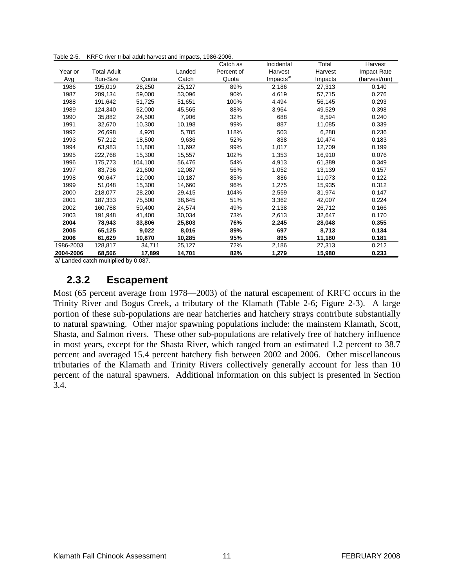Table 2-5. KRFC river tribal adult harvest and impacts, 1986-2006.

|           |                    |         |        | Catch as   | Incidental            | Total   | Harvest       |
|-----------|--------------------|---------|--------|------------|-----------------------|---------|---------------|
| Year or   | <b>Total Adult</b> |         | Landed | Percent of | Harvest               | Harvest | Impact Rate   |
| Avg       | Run-Size           | Quota   | Catch  | Quota      | Impacts <sup>a/</sup> | Impacts | (harvest/run) |
| 1986      | 195,019            | 28,250  | 25,127 | 89%        | 2,186                 | 27,313  | 0.140         |
| 1987      | 209,134            | 59,000  | 53,096 | 90%        | 4,619                 | 57,715  | 0.276         |
| 1988      | 191,642            | 51,725  | 51,651 | 100%       | 4,494                 | 56,145  | 0.293         |
| 1989      | 124,340            | 52,000  | 45,565 | 88%        | 3,964                 | 49,529  | 0.398         |
| 1990      | 35,882             | 24,500  | 7,906  | 32%        | 688                   | 8,594   | 0.240         |
| 1991      | 32,670             | 10,300  | 10,198 | 99%        | 887                   | 11,085  | 0.339         |
| 1992      | 26,698             | 4,920   | 5,785  | 118%       | 503                   | 6,288   | 0.236         |
| 1993      | 57,212             | 18,500  | 9,636  | 52%        | 838                   | 10,474  | 0.183         |
| 1994      | 63,983             | 11,800  | 11,692 | 99%        | 1,017                 | 12,709  | 0.199         |
| 1995      | 222,768            | 15,300  | 15,557 | 102%       | 1,353                 | 16,910  | 0.076         |
| 1996      | 175.773            | 104,100 | 56,476 | 54%        | 4,913                 | 61,389  | 0.349         |
| 1997      | 83,736             | 21,600  | 12,087 | 56%        | 1,052                 | 13,139  | 0.157         |
| 1998      | 90.647             | 12.000  | 10,187 | 85%        | 886                   | 11,073  | 0.122         |
| 1999      | 51,048             | 15,300  | 14,660 | 96%        | 1,275                 | 15,935  | 0.312         |
| 2000      | 218,077            | 28,200  | 29,415 | 104%       | 2,559                 | 31,974  | 0.147         |
| 2001      | 187,333            | 75,500  | 38,645 | 51%        | 3,362                 | 42,007  | 0.224         |
| 2002      | 160.788            | 50,400  | 24,574 | 49%        | 2,138                 | 26,712  | 0.166         |
| 2003      | 191,948            | 41,400  | 30,034 | 73%        | 2,613                 | 32,647  | 0.170         |
| 2004      | 78,943             | 33,806  | 25,803 | 76%        | 2,245                 | 28,048  | 0.355         |
| 2005      | 65,125             | 9,022   | 8,016  | 89%        | 697                   | 8,713   | 0.134         |
| 2006      | 61,629             | 10,870  | 10,285 | 95%        | 895                   | 11,180  | 0.181         |
| 1986-2003 | 128,817            | 34,711  | 25,127 | 72%        | 2,186                 | 27,313  | 0.212         |
| 2004-2006 | 68,566             | 17,899  | 14,701 | 82%        | 1,279                 | 15,980  | 0.233         |

<span id="page-20-0"></span>a/ Landed catch multiplied by 0.087.

#### **2.3.2 Escapement**

Most (65 percent average from 1978—2003) of the natural escapement of KRFC occurs in the Trinity River and Bogus Creek, a tributary of the Klamath (Table 2-6; Figure 2-3). A large portion of these sub-populations are near hatcheries and hatchery strays contribute substantially to natural spawning. Other major spawning populations include: the mainstem Klamath, Scott, Shasta, and Salmon rivers. These other sub-populations are relatively free of hatchery influence in most years, except for the Shasta River, which ranged from an estimated 1.2 percent to 38.7 percent and averaged 15.4 percent hatchery fish between 2002 and 2006. Other miscellaneous tributaries of the Klamath and Trinity Rivers collectively generally account for less than 10 percent of the natural spawners. Additional information on this subject is presented in Section 3.4.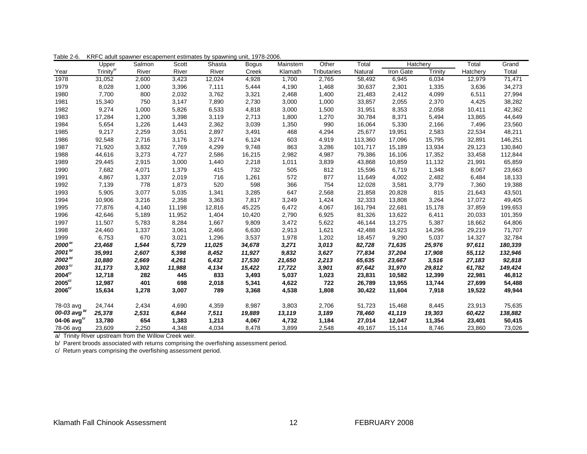| $\sim$ $\sim$ $\sim$ $\sim$ | Upper                | Salmon | Scott  | Shasta | , . <del>.</del><br><b>Bogus</b> | Mainstem | Other       | Total   | Hatchery  |         | Total    | Grand   |
|-----------------------------|----------------------|--------|--------|--------|----------------------------------|----------|-------------|---------|-----------|---------|----------|---------|
| Year                        | Trinity <sup>a</sup> | River  | River  | River  | Creek                            | Klamath  | Tributaries | Natural | Iron Gate | Trinity | Hatchery | Total   |
| 1978                        | 31,052               | 2,600  | 3,423  | 12,024 | 4,928                            | 1,700    | 2,765       | 58,492  | 6,945     | 6,034   | 12,979   | 71,471  |
| 1979                        | 8,028                | 1,000  | 3,396  | 7,111  | 5,444                            | 4,190    | 1,468       | 30,637  | 2,301     | 1,335   | 3,636    | 34,273  |
| 1980                        | 7,700                | 800    | 2,032  | 3,762  | 3,321                            | 2,468    | 1,400       | 21,483  | 2,412     | 4,099   | 6,511    | 27,994  |
| 1981                        | 15,340               | 750    | 3,147  | 7,890  | 2,730                            | 3,000    | 1,000       | 33,857  | 2,055     | 2,370   | 4,425    | 38,282  |
| 1982                        | 9,274                | 1,000  | 5,826  | 6,533  | 4,818                            | 3,000    | 1,500       | 31,951  | 8,353     | 2,058   | 10,411   | 42,362  |
| 1983                        | 17,284               | 1,200  | 3,398  | 3,119  | 2,713                            | 1,800    | 1,270       | 30,784  | 8,371     | 5,494   | 13,865   | 44,649  |
| 1984                        | 5,654                | 1,226  | 1,443  | 2,362  | 3,039                            | 1,350    | 990         | 16,064  | 5,330     | 2,166   | 7,496    | 23,560  |
| 1985                        | 9,217                | 2,259  | 3,051  | 2,897  | 3,491                            | 468      | 4,294       | 25,677  | 19,951    | 2,583   | 22,534   | 48,211  |
| 1986                        | 92,548               | 2,716  | 3,176  | 3,274  | 6,124                            | 603      | 4,919       | 113,360 | 17,096    | 15,795  | 32,891   | 146,251 |
| 1987                        | 71,920               | 3,832  | 7,769  | 4,299  | 9,748                            | 863      | 3,286       | 101,717 | 15,189    | 13,934  | 29,123   | 130,840 |
| 1988                        | 44,616               | 3,273  | 4,727  | 2,586  | 16,215                           | 2,982    | 4,987       | 79,386  | 16,106    | 17,352  | 33,458   | 112,844 |
| 1989                        | 29,445               | 2,915  | 3,000  | 1,440  | 2,218                            | 1,011    | 3,839       | 43,868  | 10,859    | 11,132  | 21,991   | 65,859  |
| 1990                        | 7,682                | 4,071  | 1,379  | 415    | 732                              | 505      | 812         | 15,596  | 6,719     | 1,348   | 8,067    | 23,663  |
| 1991                        | 4,867                | 1,337  | 2,019  | 716    | 1,261                            | 572      | 877         | 11,649  | 4,002     | 2,482   | 6,484    | 18,133  |
| 1992                        | 7,139                | 778    | 1,873  | 520    | 598                              | 366      | 754         | 12,028  | 3,581     | 3,779   | 7,360    | 19,388  |
| 1993                        | 5,905                | 3,077  | 5,035  | 1,341  | 3,285                            | 647      | 2,568       | 21,858  | 20,828    | 815     | 21,643   | 43,501  |
| 1994                        | 10,906               | 3,216  | 2,358  | 3,363  | 7,817                            | 3,249    | 1,424       | 32,333  | 13,808    | 3,264   | 17,072   | 49,405  |
| 1995                        | 77,876               | 4,140  | 11,198 | 12,816 | 45,225                           | 6,472    | 4,067       | 161,794 | 22,681    | 15,178  | 37,859   | 199,653 |
| 1996                        | 42,646               | 5,189  | 11,952 | 1,404  | 10,420                           | 2,790    | 6,925       | 81,326  | 13,622    | 6,411   | 20,033   | 101,359 |
| 1997                        | 11,507               | 5,783  | 8,284  | 1,667  | 9,809                            | 3,472    | 5,622       | 46,144  | 13,275    | 5,387   | 18,662   | 64,806  |
| 1998                        | 24,460               | 1,337  | 3,061  | 2,466  | 6,630                            | 2,913    | 1,621       | 42,488  | 14,923    | 14,296  | 29,219   | 71,707  |
| 1999                        | 6,753                | 670    | 3,021  | 1,296  | 3,537                            | 1,978    | 1,202       | 18,457  | 9,290     | 5,037   | 14,327   | 32,784  |
| $2000^{b}$                  | 23,468               | 1,544  | 5,729  | 11,025 | 34,678                           | 3,271    | 3,013       | 82,728  | 71,635    | 25,976  | 97,611   | 180,339 |
| $2001^{b/2}$                | 35,991               | 2,607  | 5,398  | 8,452  | 11,927                           | 9,832    | 3,627       | 77,834  | 37,204    | 17,908  | 55,112   | 132,946 |
| $2002^{b/2}$                | 10,880               | 2,669  | 4,261  | 6,432  | 17,530                           | 21,650   | 2,213       | 65,635  | 23,667    | 3,516   | 27,183   | 92,818  |
| $2003^{\mathrm{c/s}}$       | 31,173               | 3,302  | 11,988 | 4,134  | 15,422                           | 17,722   | 3,901       | 87,642  | 31,970    | 29,812  | 61,782   | 149,424 |
| $2004^{c}$                  | 12,718               | 282    | 445    | 833    | 3,493                            | 5,037    | 1,023       | 23,831  | 10,582    | 12,399  | 22,981   | 46,812  |
| $2005^{\circ}$              | 12,987               | 401    | 698    | 2,018  | 5,341                            | 4,622    | 722         | 26,789  | 13,955    | 13,744  | 27,699   | 54,488  |
| $2006^{c/2}$                | 15,634               | 1,278  | 3,007  | 789    | 3,368                            | 4,538    | 1,808       | 30,422  | 11,604    | 7,918   | 19,522   | 49,944  |
| 78-03 avg                   | 24,744               | 2,434  | 4,690  | 4,359  | 8,987                            | 3,803    | 2,706       | 51,723  | 15,468    | 8,445   | 23,913   | 75,635  |
| 00-03 avg $^{b'}$           | 25,378               | 2,531  | 6,844  | 7,511  | 19,889                           | 13,119   | 3,189       | 78,460  | 41,119    | 19,303  | 60,422   | 138,882 |
| 04-06 $avgcr$               | 13,780               | 654    | 1,383  | 1,213  | 4,067                            | 4,732    | 1,184       | 27,014  | 12,047    | 11,354  | 23,401   | 50,415  |
| 78-06 avg                   | 23,609               | 2,250  | 4,348  | 4,034  | 8,478                            | 3,899    | 2,548       | 49,167  | 15,114    | 8,746   | 23,860   | 73,026  |

Table 2-6. KRFC adult spawner escapement estimates by spawning unit, 1978-2006.

a/ Trinity River upstream from the Willow Creek weir.

b/ Parent broods associated with returns comprising the overfishing assessment period.

c/ Return years comprising the overfishing assessment period.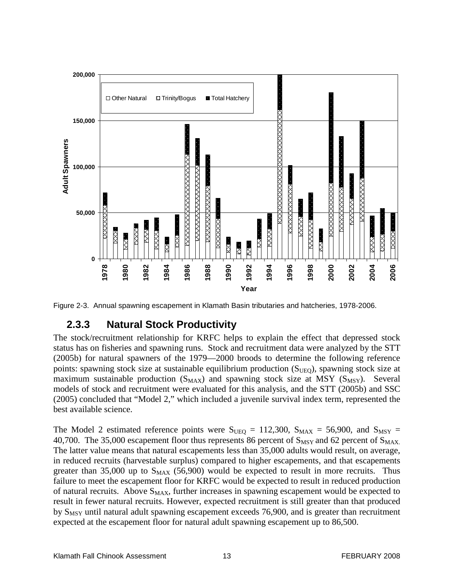

<span id="page-22-0"></span>Figure 2-3. Annual spawning escapement in Klamath Basin tributaries and hatcheries, 1978-2006.

### **2.3.3 Natural Stock Productivity**

The stock/recruitment relationship for KRFC helps to explain the effect that depressed stock status has on fisheries and spawning runs. Stock and recruitment data were analyzed by the STT (2005b) for natural spawners of the 1979—2000 broods to determine the following reference points: spawning stock size at sustainable equilibrium production  $(S_{UEO})$ , spawning stock size at maximum sustainable production  $(S_{MAX})$  and spawning stock size at MSY  $(S_{MSY})$ . Several models of stock and recruitment were evaluated for this analysis, and the STT (2005b) and SSC (2005) concluded that "Model 2," which included a juvenile survival index term, represented the best available science.

The Model 2 estimated reference points were  $S_{UEQ} = 112,300$ ,  $S_{MAX} = 56,900$ , and  $S_{MSY} =$ 40,700. The 35,000 escapement floor thus represents 86 percent of  $S_{MSY}$  and 62 percent of  $S_{MAX}$ . The latter value means that natural escapements less than 35,000 adults would result, on average, in reduced recruits (harvestable surplus) compared to higher escapements, and that escapements greater than 35,000 up to  $S_{MAX}$  (56,900) would be expected to result in more recruits. Thus failure to meet the escapement floor for KRFC would be expected to result in reduced production of natural recruits. Above  $S_{MAX}$ , further increases in spawning escapement would be expected to result in fewer natural recruits. However, expected recruitment is still greater than that produced by  $S_{MSY}$  until natural adult spawning escapement exceeds 76,900, and is greater than recruitment expected at the escapement floor for natural adult spawning escapement up to 86,500.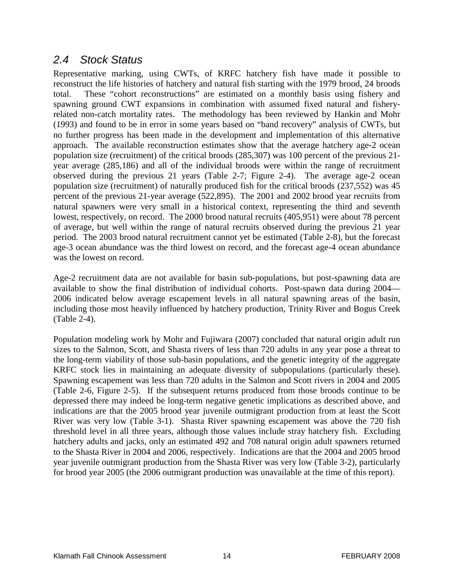#### <span id="page-23-0"></span>*2.4 Stock Status*

Representative marking, using CWTs, of KRFC hatchery fish have made it possible to reconstruct the life histories of hatchery and natural fish starting with the 1979 brood, 24 broods total. These "cohort reconstructions" are estimated on a monthly basis using fishery and spawning ground CWT expansions in combination with assumed fixed natural and fisheryrelated non-catch mortality rates. The methodology has been reviewed by Hankin and Mohr (1993) and found to be in error in some years based on "band recovery" analysis of CWTs, but no further progress has been made in the development and implementation of this alternative approach. The available reconstruction estimates show that the average hatchery age-2 ocean population size (recruitment) of the critical broods (285,307) was 100 percent of the previous 21 year average (285,186) and all of the individual broods were within the range of recruitment observed during the previous 21 years (Table 2-7; Figure 2-4). The average age-2 ocean population size (recruitment) of naturally produced fish for the critical broods (237,552) was 45 percent of the previous 21-year average (522,895). The 2001 and 2002 brood year recruits from natural spawners were very small in a historical context, representing the third and seventh lowest, respectively, on record. The 2000 brood natural recruits (405,951) were about 78 percent of average, but well within the range of natural recruits observed during the previous 21 year period. The 2003 brood natural recruitment cannot yet be estimated (Table 2-8), but the forecast age-3 ocean abundance was the third lowest on record, and the forecast age-4 ocean abundance was the lowest on record.

Age-2 recruitment data are not available for basin sub-populations, but post-spawning data are available to show the final distribution of individual cohorts. Post-spawn data during 2004— 2006 indicated below average escapement levels in all natural spawning areas of the basin, including those most heavily influenced by hatchery production, Trinity River and Bogus Creek (Table 2-4).

Population modeling work by Mohr and Fujiwara (2007) concluded that natural origin adult run sizes to the Salmon, Scott, and Shasta rivers of less than 720 adults in any year pose a threat to the long-term viability of those sub-basin populations, and the genetic integrity of the aggregate KRFC stock lies in maintaining an adequate diversity of subpopulations (particularly these). Spawning escapement was less than 720 adults in the Salmon and Scott rivers in 2004 and 2005 (Table 2-6, Figure 2-5). If the subsequent returns produced from those broods continue to be depressed there may indeed be long-term negative genetic implications as described above, and indications are that the 2005 brood year juvenile outmigrant production from at least the Scott River was very low (Table 3-1). Shasta River spawning escapement was above the 720 fish threshold level in all three years, although those values include stray hatchery fish. Excluding hatchery adults and jacks, only an estimated 492 and 708 natural origin adult spawners returned to the Shasta River in 2004 and 2006, respectively. Indications are that the 2004 and 2005 brood year juvenile outmigrant production from the Shasta River was very low (Table 3-2), particularly for brood year 2005 (the 2006 outmigrant production was unavailable at the time of this report).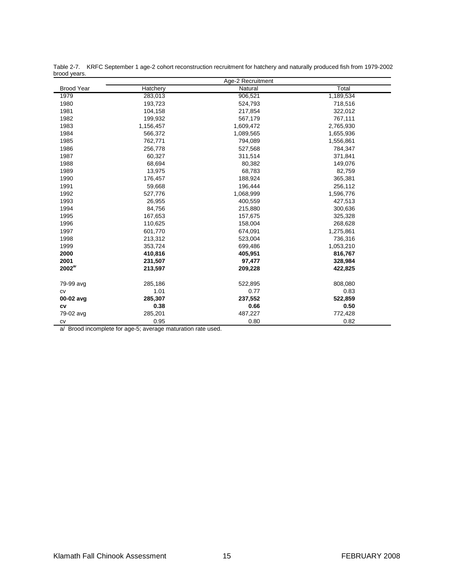| provu yours.      | Age-2 Recruitment |           |           |  |
|-------------------|-------------------|-----------|-----------|--|
| <b>Brood Year</b> | Hatchery          | Natural   | Total     |  |
| 1979              | 283,013           | 906,521   | 1,189,534 |  |
| 1980              | 193,723           | 524,793   | 718,516   |  |
| 1981              | 104,158           | 217,854   | 322,012   |  |
| 1982              | 199,932           | 567,179   | 767,111   |  |
| 1983              | 1,156,457         | 1,609,472 | 2,765,930 |  |
| 1984              | 566,372           | 1,089,565 | 1,655,936 |  |
| 1985              | 762,771           | 794,089   | 1,556,861 |  |
| 1986              | 256,778           | 527,568   | 784,347   |  |
| 1987              | 60,327            | 311,514   | 371,841   |  |
| 1988              | 68,694            | 80,382    | 149,076   |  |
| 1989              | 13,975            | 68,783    | 82,759    |  |
| 1990              | 176,457           | 188,924   | 365,381   |  |
| 1991              | 59,668            | 196,444   | 256,112   |  |
| 1992              | 527,776           | 1,068,999 | 1,596,776 |  |
| 1993              | 26,955            | 400,559   | 427,513   |  |
| 1994              | 84,756            | 215,880   | 300,636   |  |
| 1995              | 167,653           | 157,675   | 325,328   |  |
| 1996              | 110,625           | 158,004   | 268,628   |  |
| 1997              | 601,770           | 674,091   | 1,275,861 |  |
| 1998              | 213,312           | 523,004   | 736,316   |  |
| 1999              | 353,724           | 699,486   | 1,053,210 |  |
| 2000              | 410,816           | 405,951   | 816,767   |  |
| 2001              | 231,507           | 97,477    | 328,984   |  |
| $2002^{a}$        | 213,597           | 209,228   | 422,825   |  |
| 79-99 avg         | 285,186           | 522,895   | 808,080   |  |
| CV                | 1.01              | 0.77      | 0.83      |  |
| 00-02 avg         | 285,307           | 237,552   | 522,859   |  |
| CV                | 0.38              | 0.66      | 0.50      |  |
| 79-02 avg         | 285,201           | 487,227   | 772,428   |  |
| CV                | 0.95              | 0.80      | 0.82      |  |

Table 2-7. KRFC September 1 age-2 cohort reconstruction recruitment for hatchery and naturally produced fish from 1979-2002 brood years.

a/ Brood incomplete for age-5; average maturation rate used.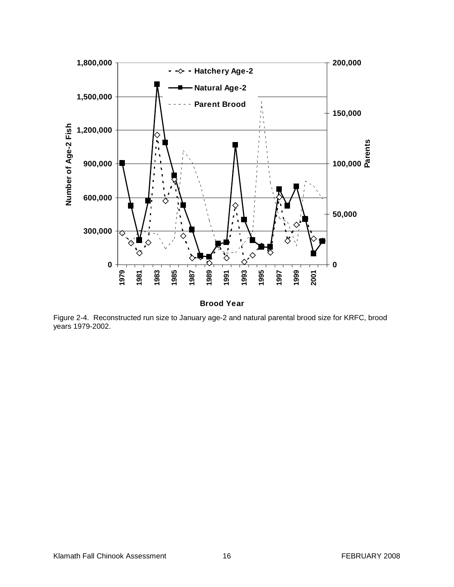

**Brood Year**

Figure 2-4. Reconstructed run size to January age-2 and natural parental brood size for KRFC, brood years 1979-2002.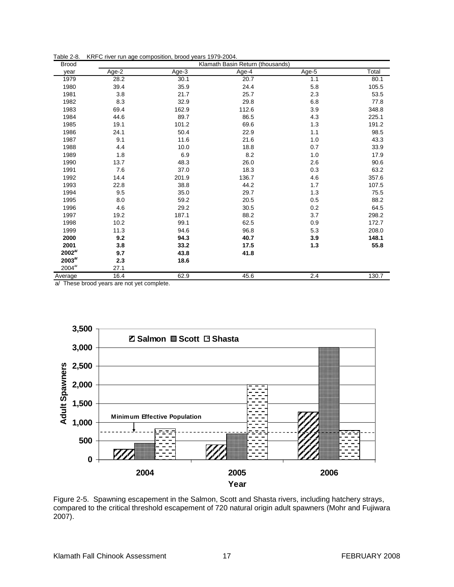|  | Table 2-8. KRFC river run age composition, brood years 1979-2004. |  |  |
|--|-------------------------------------------------------------------|--|--|
|--|-------------------------------------------------------------------|--|--|

| <b>Brood</b> | Klamath Basin Return (thousands) |         |       |       |       |
|--------------|----------------------------------|---------|-------|-------|-------|
| year         | Age-2                            | $Age-3$ | Age-4 | Age-5 | Total |
| 1979         | 28.2                             | 30.1    | 20.7  | 1.1   | 80.1  |
| 1980         | 39.4                             | 35.9    | 24.4  | 5.8   | 105.5 |
| 1981         | 3.8                              | 21.7    | 25.7  | 2.3   | 53.5  |
| 1982         | 8.3                              | 32.9    | 29.8  | 6.8   | 77.8  |
| 1983         | 69.4                             | 162.9   | 112.6 | 3.9   | 348.8 |
| 1984         | 44.6                             | 89.7    | 86.5  | 4.3   | 225.1 |
| 1985         | 19.1                             | 101.2   | 69.6  | 1.3   | 191.2 |
| 1986         | 24.1                             | 50.4    | 22.9  | 1.1   | 98.5  |
| 1987         | 9.1                              | 11.6    | 21.6  | 1.0   | 43.3  |
| 1988         | 4.4                              | 10.0    | 18.8  | 0.7   | 33.9  |
| 1989         | 1.8                              | 6.9     | 8.2   | 1.0   | 17.9  |
| 1990         | 13.7                             | 48.3    | 26.0  | 2.6   | 90.6  |
| 1991         | 7.6                              | 37.0    | 18.3  | 0.3   | 63.2  |
| 1992         | 14.4                             | 201.9   | 136.7 | 4.6   | 357.6 |
| 1993         | 22.8                             | 38.8    | 44.2  | 1.7   | 107.5 |
| 1994         | 9.5                              | 35.0    | 29.7  | 1.3   | 75.5  |
| 1995         | 8.0                              | 59.2    | 20.5  | 0.5   | 88.2  |
| 1996         | 4.6                              | 29.2    | 30.5  | 0.2   | 64.5  |
| 1997         | 19.2                             | 187.1   | 88.2  | 3.7   | 298.2 |
| 1998         | 10.2                             | 99.1    | 62.5  | 0.9   | 172.7 |
| 1999         | 11.3                             | 94.6    | 96.8  | 5.3   | 208.0 |
| 2000         | 9.2                              | 94.3    | 40.7  | 3.9   | 148.1 |
| 2001         | 3.8                              | 33.2    | 17.5  | 1.3   | 55.8  |
| $2002^{a}$   | 9.7                              | 43.8    | 41.8  |       |       |
| $2003^{a}$   | 2.3                              | 18.6    |       |       |       |
| $2004^{a}$   | 27.1                             |         |       |       |       |
| Average      | 16.4                             | 62.9    | 45.6  | 2.4   | 130.7 |

a/ These brood years are not yet complete.



Figure 2-5. Spawning escapement in the Salmon, Scott and Shasta rivers, including hatchery strays, compared to the critical threshold escapement of 720 natural origin adult spawners (Mohr and Fujiwara 2007).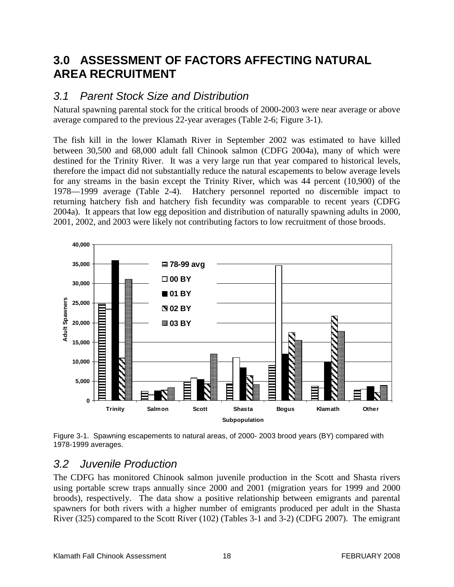# <span id="page-27-0"></span>**3.0 ASSESSMENT OF FACTORS AFFECTING NATURAL AREA RECRUITMENT**

#### <span id="page-27-1"></span>*3.1 Parent Stock Size and Distribution*

Natural spawning parental stock for the critical broods of 2000-2003 were near average or above average compared to the previous 22-year averages (Table 2-6; Figure 3-1).

The fish kill in the lower Klamath River in September 2002 was estimated to have killed between 30,500 and 68,000 adult fall Chinook salmon (CDFG 2004a), many of which were destined for the Trinity River. It was a very large run that year compared to historical levels, therefore the impact did not substantially reduce the natural escapements to below average levels for any streams in the basin except the Trinity River, which was 44 percent (10,900) of the 1978—1999 average (Table 2-4). Hatchery personnel reported no discernible impact to returning hatchery fish and hatchery fish fecundity was comparable to recent years (CDFG 2004a). It appears that low egg deposition and distribution of naturally spawning adults in 2000, 2001, 2002, and 2003 were likely not contributing factors to low recruitment of those broods.



Figure 3-1. Spawning escapements to natural areas, of 2000- 2003 brood years (BY) compared with 1978-1999 averages.

#### <span id="page-27-2"></span>*3.2 Juvenile Production*

The CDFG has monitored Chinook salmon juvenile production in the Scott and Shasta rivers using portable screw traps annually since 2000 and 2001 (migration years for 1999 and 2000 broods), respectively. The data show a positive relationship between emigrants and parental spawners for both rivers with a higher number of emigrants produced per adult in the Shasta River (325) compared to the Scott River (102) (Tables 3-1 and 3-2) (CDFG 2007). The emigrant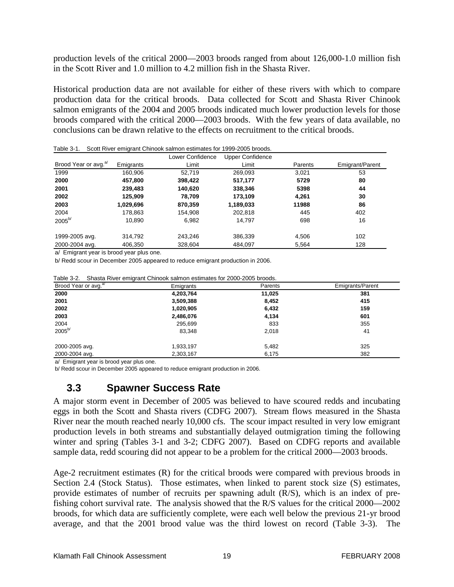production levels of the critical 2000—2003 broods ranged from about 126,000-1.0 million fish in the Scott River and 1.0 million to 4.2 million fish in the Shasta River.

Historical production data are not available for either of these rivers with which to compare production data for the critical broods. Data collected for Scott and Shasta River Chinook salmon emigrants of the 2004 and 2005 broods indicated much lower production levels for those broods compared with the critical 2000—2003 broods. With the few years of data available, no conclusions can be drawn relative to the effects on recruitment to the critical broods.

| Table 3-1.                                                                                                                                                                                                                    |           | Scott River emigrant Chinook salmon estimates for 1999-2005 broods. |                         |         |                 |
|-------------------------------------------------------------------------------------------------------------------------------------------------------------------------------------------------------------------------------|-----------|---------------------------------------------------------------------|-------------------------|---------|-----------------|
|                                                                                                                                                                                                                               |           | Lower Confidence                                                    | <b>Upper Confidence</b> |         |                 |
| Brood Year or avg. <sup>a/</sup>                                                                                                                                                                                              | Emigrants | Limit                                                               | Limit                   | Parents | Emigrant/Parent |
| 1999                                                                                                                                                                                                                          | 160.906   | 52.719                                                              | 269.093                 | 3.021   | 53              |
| 2000                                                                                                                                                                                                                          | 457,800   | 398,422                                                             | 517,177                 | 5729    | 80              |
| 2001                                                                                                                                                                                                                          | 239,483   | 140.620                                                             | 338,346                 | 5398    | 44              |
| 2002                                                                                                                                                                                                                          | 125.909   | 78.709                                                              | 173.109                 | 4.261   | 30              |
| 2003                                                                                                                                                                                                                          | 1,029,696 | 870,359                                                             | 1,189,033               | 11988   | 86              |
| 2004                                                                                                                                                                                                                          | 178.863   | 154,908                                                             | 202.818                 | 445     | 402             |
| $2005^{b/}$                                                                                                                                                                                                                   | 10.890    | 6,982                                                               | 14.797                  | 698     | 16              |
| 1999-2005 avg.                                                                                                                                                                                                                | 314.792   | 243.246                                                             | 386.339                 | 4.506   | 102             |
| 2000-2004 avg.                                                                                                                                                                                                                | 406.350   | 328,604                                                             | 484,097                 | 5,564   | 128             |
| to all not the company of the second company of the company of the company of the company of the company of the company of the company of the company of the company of the company of the company of the company of the comp |           |                                                                     |                         |         |                 |

a/ Emigrant year is brood year plus one.

b/ Redd scour in December 2005 appeared to reduce emigrant production in 2006.

| Table 3-2. Shasta River emigrant Chinook salmon estimates for 2000-2005 broods. |  |
|---------------------------------------------------------------------------------|--|
|---------------------------------------------------------------------------------|--|

| Brood Year or avg. <sup>a/</sup> | Emigrants | Parents | <b>Emigrants/Parent</b> |
|----------------------------------|-----------|---------|-------------------------|
| 2000                             | 4,203,764 | 11,025  | 381                     |
| 2001                             | 3,509,388 | 8,452   | 415                     |
| 2002                             | 1,020,905 | 6,432   | 159                     |
| 2003                             | 2,486,076 | 4,134   | 601                     |
| 2004                             | 295,699   | 833     | 355                     |
| $2005^{b/}$                      | 83,348    | 2,018   | 41                      |
| 2000-2005 avg.                   | 1,933,197 | 5,482   | 325                     |
| 2000-2004 avg.                   | 2,303,167 | 6,175   | 382                     |

a/ Emigrant year is brood year plus one.

<span id="page-28-0"></span>b/ Redd scour in December 2005 appeared to reduce emigrant production in 2006.

### **3.3 Spawner Success Rate**

A major storm event in December of 2005 was believed to have scoured redds and incubating eggs in both the Scott and Shasta rivers (CDFG 2007). Stream flows measured in the Shasta River near the mouth reached nearly 10,000 cfs. The scour impact resulted in very low emigrant production levels in both streams and substantially delayed outmigration timing the following winter and spring (Tables 3-1 and 3-2; CDFG 2007). Based on CDFG reports and available sample data, redd scouring did not appear to be a problem for the critical 2000—2003 broods.

Age-2 recruitment estimates (R) for the critical broods were compared with previous broods in Section 2.4 (Stock Status). Those estimates, when linked to parent stock size (S) estimates, provide estimates of number of recruits per spawning adult (R/S), which is an index of prefishing cohort survival rate. The analysis showed that the R/S values for the critical 2000—2002 broods, for which data are sufficiently complete, were each well below the previous 21-yr brood average, and that the 2001 brood value was the third lowest on record (Table 3-3). The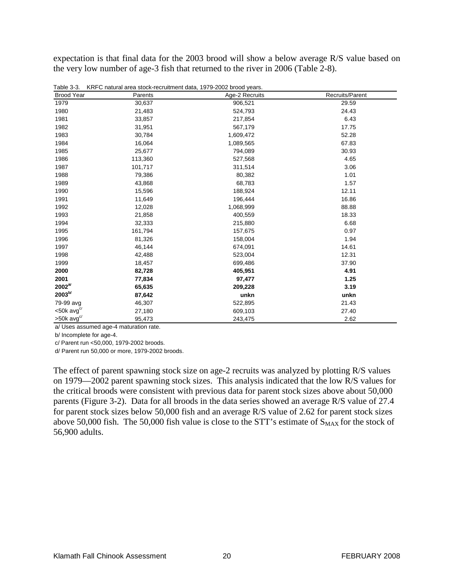expectation is that final data for the 2003 brood will show a below average R/S value based on the very low number of age-3 fish that returned to the river in 2006 (Table 2-8).

| <b>Brood Year</b>        | Parents | Age-2 Recruits | Recruits/Parent |
|--------------------------|---------|----------------|-----------------|
| 1979                     | 30,637  | 906,521        | 29.59           |
| 1980                     | 21,483  | 524,793        | 24.43           |
| 1981                     | 33,857  | 217,854        | 6.43            |
| 1982                     | 31,951  | 567,179        | 17.75           |
| 1983                     | 30,784  | 1,609,472      | 52.28           |
| 1984                     | 16,064  | 1,089,565      | 67.83           |
| 1985                     | 25,677  | 794,089        | 30.93           |
| 1986                     | 113,360 | 527,568        | 4.65            |
| 1987                     | 101,717 | 311,514        | 3.06            |
| 1988                     | 79,386  | 80,382         | 1.01            |
| 1989                     | 43,868  | 68,783         | 1.57            |
| 1990                     | 15,596  | 188,924        | 12.11           |
| 1991                     | 11,649  | 196,444        | 16.86           |
| 1992                     | 12,028  | 1,068,999      | 88.88           |
| 1993                     | 21,858  | 400,559        | 18.33           |
| 1994                     | 32,333  | 215,880        | 6.68            |
| 1995                     | 161,794 | 157,675        | 0.97            |
| 1996                     | 81,326  | 158,004        | 1.94            |
| 1997                     | 46,144  | 674,091        | 14.61           |
| 1998                     | 42,488  | 523,004        | 12.31           |
| 1999                     | 18,457  | 699,486        | 37.90           |
| 2000                     | 82,728  | 405,951        | 4.91            |
| 2001                     | 77,834  | 97,477         | 1.25            |
| $2002^{a/}$              | 65,635  | 209,228        | 3.19            |
| $2003^{b/}$              | 87,642  | unkn           | unkn            |
| 79-99 avg                | 46,307  | 522,895        | 21.43           |
| $<$ 50 $k$ avg $c/$      | 27,180  | 609,103        | 27.40           |
| $>50k$ avg <sup>c/</sup> | 95,473  | 243,475        | 2.62            |

Table 3-3. KRFC natural area stock-recruitment data, 1979-2002 brood years.

a/ Uses assumed age-4 maturation rate.

b/ Incomplete for age-4.

c/ Parent run <50,000, 1979-2002 broods.

d/ Parent run 50,000 or more, 1979-2002 broods.

The effect of parent spawning stock size on age-2 recruits was analyzed by plotting R/S values on 1979—2002 parent spawning stock sizes. This analysis indicated that the low R/S values for the critical broods were consistent with previous data for parent stock sizes above about 50,000 parents (Figure 3-2). Data for all broods in the data series showed an average R/S value of 27.4 for parent stock sizes below 50,000 fish and an average R/S value of 2.62 for parent stock sizes above 50,000 fish. The 50,000 fish value is close to the STT's estimate of  $S_{MAX}$  for the stock of 56,900 adults.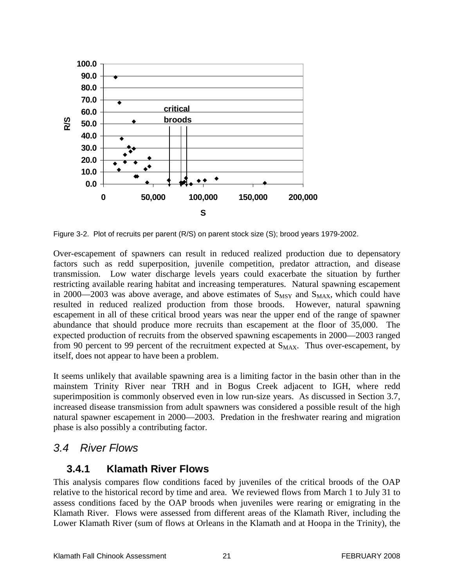

Figure 3-2. Plot of recruits per parent (R/S) on parent stock size (S); brood years 1979-2002.

Over-escapement of spawners can result in reduced realized production due to depensatory factors such as redd superposition, juvenile competition, predator attraction, and disease transmission. Low water discharge levels years could exacerbate the situation by further restricting available rearing habitat and increasing temperatures. Natural spawning escapement in 2000—2003 was above average, and above estimates of  $S_{MSY}$  and  $S_{MAX}$ , which could have resulted in reduced realized production from those broods. However, natural spawning escapement in all of these critical brood years was near the upper end of the range of spawner abundance that should produce more recruits than escapement at the floor of 35,000. The expected production of recruits from the observed spawning escapements in 2000—2003 ranged from 90 percent to 99 percent of the recruitment expected at  $S_{MAX}$ . Thus over-escapement, by itself, does not appear to have been a problem.

It seems unlikely that available spawning area is a limiting factor in the basin other than in the mainstem Trinity River near TRH and in Bogus Creek adjacent to IGH, where redd superimposition is commonly observed even in low run-size years. As discussed in Section 3.7, increased disease transmission from adult spawners was considered a possible result of the high natural spawner escapement in 2000—2003. Predation in the freshwater rearing and migration phase is also possibly a contributing factor.

### <span id="page-30-1"></span><span id="page-30-0"></span>*3.4 River Flows*

#### **3.4.1 Klamath River Flows**

This analysis compares flow conditions faced by juveniles of the critical broods of the OAP relative to the historical record by time and area. We reviewed flows from March 1 to July 31 to assess conditions faced by the OAP broods when juveniles were rearing or emigrating in the Klamath River. Flows were assessed from different areas of the Klamath River, including the Lower Klamath River (sum of flows at Orleans in the Klamath and at Hoopa in the Trinity), the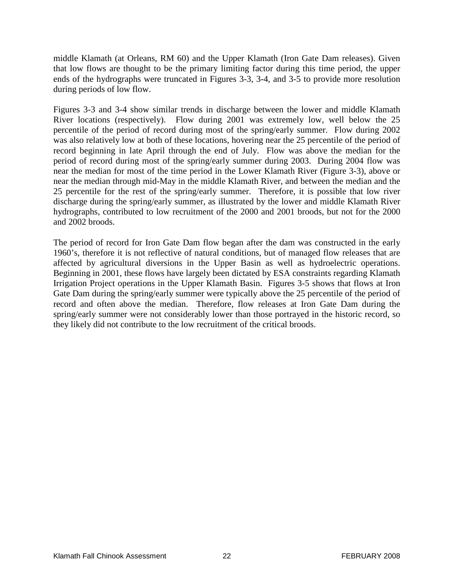middle Klamath (at Orleans, RM 60) and the Upper Klamath (Iron Gate Dam releases). Given that low flows are thought to be the primary limiting factor during this time period, the upper ends of the hydrographs were truncated in Figures 3-3, 3-4, and 3-5 to provide more resolution during periods of low flow.

Figures 3-3 and 3-4 show similar trends in discharge between the lower and middle Klamath River locations (respectively). Flow during 2001 was extremely low, well below the 25 percentile of the period of record during most of the spring/early summer. Flow during 2002 was also relatively low at both of these locations, hovering near the 25 percentile of the period of record beginning in late April through the end of July. Flow was above the median for the period of record during most of the spring/early summer during 2003. During 2004 flow was near the median for most of the time period in the Lower Klamath River (Figure 3-3), above or near the median through mid-May in the middle Klamath River, and between the median and the 25 percentile for the rest of the spring/early summer. Therefore, it is possible that low river discharge during the spring/early summer, as illustrated by the lower and middle Klamath River hydrographs, contributed to low recruitment of the 2000 and 2001 broods, but not for the 2000 and 2002 broods.

The period of record for Iron Gate Dam flow began after the dam was constructed in the early 1960's, therefore it is not reflective of natural conditions, but of managed flow releases that are affected by agricultural diversions in the Upper Basin as well as hydroelectric operations. Beginning in 2001, these flows have largely been dictated by ESA constraints regarding Klamath Irrigation Project operations in the Upper Klamath Basin. Figures 3-5 shows that flows at Iron Gate Dam during the spring/early summer were typically above the 25 percentile of the period of record and often above the median. Therefore, flow releases at Iron Gate Dam during the spring/early summer were not considerably lower than those portrayed in the historic record, so they likely did not contribute to the low recruitment of the critical broods.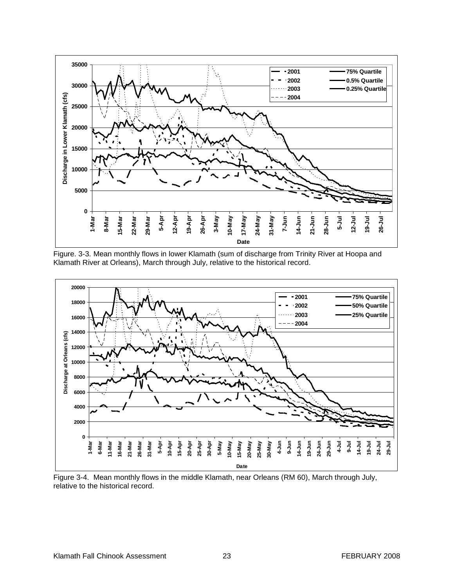

Figure. 3-3. Mean monthly flows in lower Klamath (sum of discharge from Trinity River at Hoopa and Klamath River at Orleans), March through July, relative to the historical record.



Figure 3-4. Mean monthly flows in the middle Klamath, near Orleans (RM 60), March through July, relative to the historical record.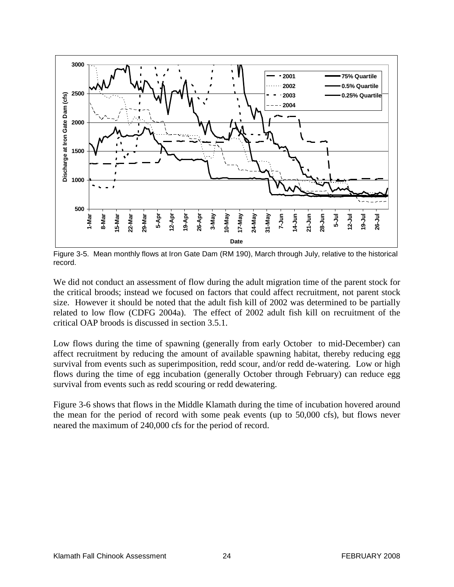

Figure 3-5. Mean monthly flows at Iron Gate Dam (RM 190), March through July, relative to the historical record.

We did not conduct an assessment of flow during the adult migration time of the parent stock for the critical broods; instead we focused on factors that could affect recruitment, not parent stock size. However it should be noted that the adult fish kill of 2002 was determined to be partially related to low flow (CDFG 2004a). The effect of 2002 adult fish kill on recruitment of the critical OAP broods is discussed in section 3.5.1.

Low flows during the time of spawning (generally from early October to mid-December) can affect recruitment by reducing the amount of available spawning habitat, thereby reducing egg survival from events such as superimposition, redd scour, and/or redd de-watering. Low or high flows during the time of egg incubation (generally October through February) can reduce egg survival from events such as redd scouring or redd dewatering.

Figure 3-6 shows that flows in the Middle Klamath during the time of incubation hovered around the mean for the period of record with some peak events (up to 50,000 cfs), but flows never neared the maximum of 240,000 cfs for the period of record.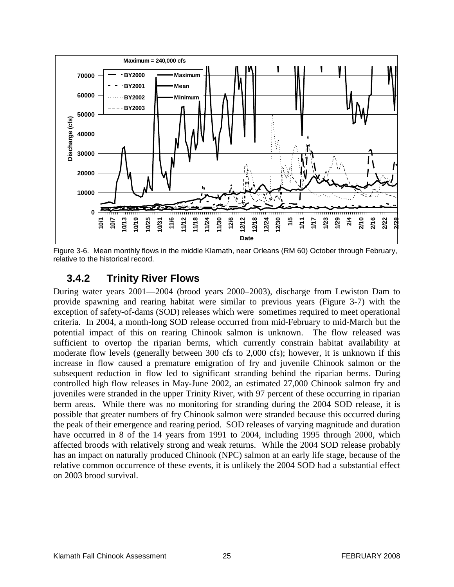

<span id="page-34-0"></span>Figure 3-6. Mean monthly flows in the middle Klamath, near Orleans (RM 60) October through February, relative to the historical record.

### **3.4.2 Trinity River Flows**

During water years 2001—2004 (brood years 2000–2003), discharge from Lewiston Dam to provide spawning and rearing habitat were similar to previous years (Figure 3-7) with the exception of safety-of-dams (SOD) releases which were sometimes required to meet operational criteria. In 2004, a month-long SOD release occurred from mid-February to mid-March but the potential impact of this on rearing Chinook salmon is unknown. The flow released was sufficient to overtop the riparian berms, which currently constrain habitat availability at moderate flow levels (generally between 300 cfs to 2,000 cfs); however, it is unknown if this increase in flow caused a premature emigration of fry and juvenile Chinook salmon or the subsequent reduction in flow led to significant stranding behind the riparian berms. During controlled high flow releases in May-June 2002, an estimated 27,000 Chinook salmon fry and juveniles were stranded in the upper Trinity River, with 97 percent of these occurring in riparian berm areas. While there was no monitoring for stranding during the 2004 SOD release, it is possible that greater numbers of fry Chinook salmon were stranded because this occurred during the peak of their emergence and rearing period. SOD releases of varying magnitude and duration have occurred in 8 of the 14 years from 1991 to 2004, including 1995 through 2000, which affected broods with relatively strong and weak returns. While the 2004 SOD release probably has an impact on naturally produced Chinook (NPC) salmon at an early life stage, because of the relative common occurrence of these events, it is unlikely the 2004 SOD had a substantial effect on 2003 brood survival.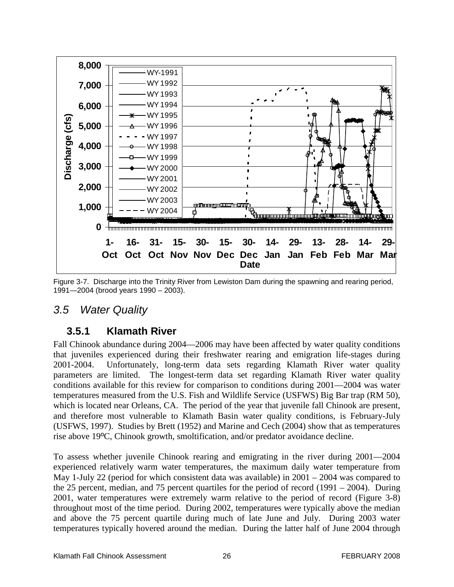

Figure 3-7. Discharge into the Trinity River from Lewiston Dam during the spawning and rearing period, 1991—2004 (brood years 1990 – 2003).

#### <span id="page-35-1"></span><span id="page-35-0"></span>*3.5 Water Quality*

#### **3.5.1 Klamath River**

Fall Chinook abundance during 2004—2006 may have been affected by water quality conditions that juveniles experienced during their freshwater rearing and emigration life-stages during 2001-2004. Unfortunately, long-term data sets regarding Klamath River water quality parameters are limited. The longest-term data set regarding Klamath River water quality conditions available for this review for comparison to conditions during 2001—2004 was water temperatures measured from the U.S. Fish and Wildlife Service (USFWS) Big Bar trap (RM 50), which is located near Orleans, CA. The period of the year that juvenile fall Chinook are present, and therefore most vulnerable to Klamath Basin water quality conditions, is February-July (USFWS, 1997). Studies by Brett (1952) and Marine and Cech (2004) show that as temperatures rise above 19ºC, Chinook growth, smoltification, and/or predator avoidance decline.

To assess whether juvenile Chinook rearing and emigrating in the river during 2001—2004 experienced relatively warm water temperatures, the maximum daily water temperature from May 1-July 22 (period for which consistent data was available) in 2001 – 2004 was compared to the 25 percent, median, and 75 percent quartiles for the period of record (1991 – 2004). During 2001, water temperatures were extremely warm relative to the period of record (Figure 3-8) throughout most of the time period. During 2002, temperatures were typically above the median and above the 75 percent quartile during much of late June and July. During 2003 water temperatures typically hovered around the median. During the latter half of June 2004 through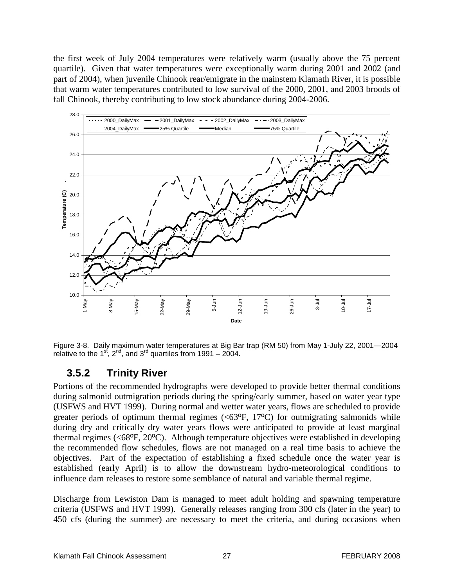the first week of July 2004 temperatures were relatively warm (usually above the 75 percent quartile). Given that water temperatures were exceptionally warm during 2001 and 2002 (and part of 2004), when juvenile Chinook rear/emigrate in the mainstem Klamath River, it is possible that warm water temperatures contributed to low survival of the 2000, 2001, and 2003 broods of fall Chinook, thereby contributing to low stock abundance during 2004-2006.



Figure 3-8. Daily maximum water temperatures at Big Bar trap (RM 50) from May 1-July 22, 2001—2004 relative to the 1<sup>st</sup>, 2<sup>nd</sup>, and 3<sup>rd</sup> quartiles from 1991 – 2004.

### **3.5.2 Trinity River**

Portions of the recommended hydrographs were developed to provide better thermal conditions during salmonid outmigration periods during the spring/early summer, based on water year type (USFWS and HVT 1999). During normal and wetter water years, flows are scheduled to provide greater periods of optimum thermal regimes  $( $63^{\circ}F$ , 17<sup>o</sup>C) for outmigrating salmonids while$ during dry and critically dry water years flows were anticipated to provide at least marginal thermal regimes ( $\langle 68^\circ F, 20^\circ C \rangle$ ). Although temperature objectives were established in developing the recommended flow schedules, flows are not managed on a real time basis to achieve the objectives. Part of the expectation of establishing a fixed schedule once the water year is established (early April) is to allow the downstream hydro-meteorological conditions to influence dam releases to restore some semblance of natural and variable thermal regime.

Discharge from Lewiston Dam is managed to meet adult holding and spawning temperature criteria (USFWS and HVT 1999). Generally releases ranging from 300 cfs (later in the year) to 450 cfs (during the summer) are necessary to meet the criteria, and during occasions when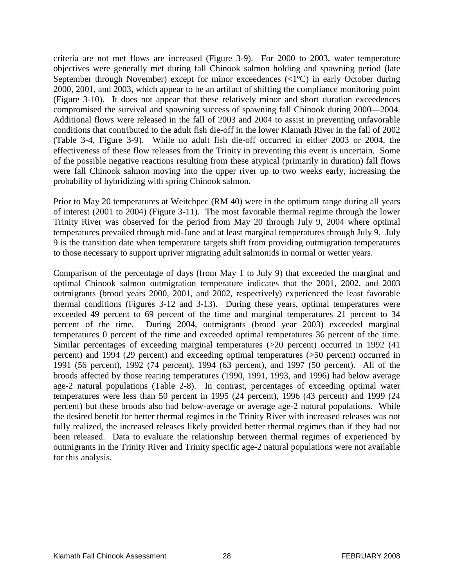criteria are not met flows are increased (Figure 3-9). For 2000 to 2003, water temperature objectives were generally met during fall Chinook salmon holding and spawning period (late September through November) except for minor exceedences (<1ºC) in early October during 2000, 2001, and 2003, which appear to be an artifact of shifting the compliance monitoring point (Figure 3-10). It does not appear that these relatively minor and short duration exceedences compromised the survival and spawning success of spawning fall Chinook during 2000—2004. Additional flows were released in the fall of 2003 and 2004 to assist in preventing unfavorable conditions that contributed to the adult fish die-off in the lower Klamath River in the fall of 2002 (Table 3-4, Figure 3-9). While no adult fish die-off occurred in either 2003 or 2004, the effectiveness of these flow releases from the Trinity in preventing this event is uncertain. Some of the possible negative reactions resulting from these atypical (primarily in duration) fall flows were fall Chinook salmon moving into the upper river up to two weeks early, increasing the probability of hybridizing with spring Chinook salmon.

Prior to May 20 temperatures at Weitchpec (RM 40) were in the optimum range during all years of interest (2001 to 2004) (Figure 3-11). The most favorable thermal regime through the lower Trinity River was observed for the period from May 20 through July 9, 2004 where optimal temperatures prevailed through mid-June and at least marginal temperatures through July 9. July 9 is the transition date when temperature targets shift from providing outmigration temperatures to those necessary to support upriver migrating adult salmonids in normal or wetter years.

Comparison of the percentage of days (from May 1 to July 9) that exceeded the marginal and optimal Chinook salmon outmigration temperature indicates that the 2001, 2002, and 2003 outmigrants (brood years 2000, 2001, and 2002, respectively) experienced the least favorable thermal conditions (Figures 3-12 and 3-13). During these years, optimal temperatures were exceeded 49 percent to 69 percent of the time and marginal temperatures 21 percent to 34 percent of the time. During 2004, outmigrants (brood year 2003) exceeded marginal temperatures 0 percent of the time and exceeded optimal temperatures 36 percent of the time. Similar percentages of exceeding marginal temperatures (>20 percent) occurred in 1992 (41 percent) and 1994 (29 percent) and exceeding optimal temperatures (>50 percent) occurred in 1991 (56 percent), 1992 (74 percent), 1994 (63 percent), and 1997 (50 percent). All of the broods affected by those rearing temperatures (1990, 1991, 1993, and 1996) had below average age-2 natural populations (Table 2-8). In contrast, percentages of exceeding optimal water temperatures were less than 50 percent in 1995 (24 percent), 1996 (43 percent) and 1999 (24 percent) but these broods also had below-average or average age-2 natural populations. While the desired benefit for better thermal regimes in the Trinity River with increased releases was not fully realized, the increased releases likely provided better thermal regimes than if they had not been released. Data to evaluate the relationship between thermal regimes of experienced by outmigrants in the Trinity River and Trinity specific age-2 natural populations were not available for this analysis.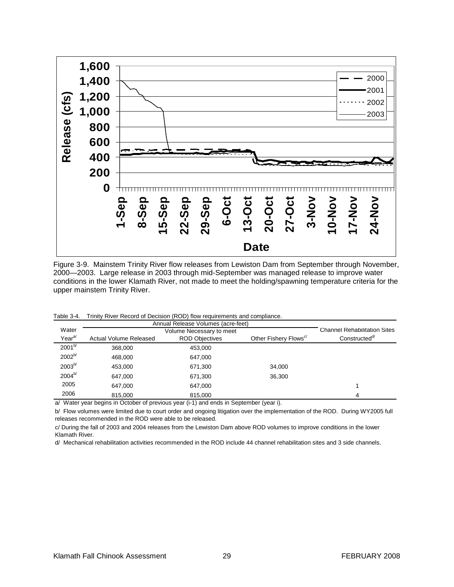

Figure 3-9. Mainstem Trinity River flow releases from Lewiston Dam from September through November, 2000—2003. Large release in 2003 through mid-September was managed release to improve water conditions in the lower Klamath River, not made to meet the holding/spawning temperature criteria for the upper mainstem Trinity River.

| Table 3-4. |  | Trinity River Record of Decision (ROD) flow requirements and compliance. |
|------------|--|--------------------------------------------------------------------------|
|------------|--|--------------------------------------------------------------------------|

|                    |                        | Annual Release Volumes (acre-feet)                                                                                                       |                                   |                                     |
|--------------------|------------------------|------------------------------------------------------------------------------------------------------------------------------------------|-----------------------------------|-------------------------------------|
| Water              |                        | Volume Necessary to meet                                                                                                                 |                                   | <b>Channel Rehabilitation Sites</b> |
| Year <sup>a/</sup> | Actual Volume Released | <b>ROD Objectives</b>                                                                                                                    | Other Fishery Flows <sup>c/</sup> | Constructed <sup>a</sup>            |
| $2001^{b/}$        | 368,000                | 453.000                                                                                                                                  |                                   |                                     |
| $2002^{b/}$        | 468.000                | 647,000                                                                                                                                  |                                   |                                     |
| $2003^{b/}$        | 453.000                | 671,300                                                                                                                                  | 34.000                            |                                     |
| 2004 <sup>b/</sup> | 647.000                | 671,300                                                                                                                                  | 36.300                            |                                     |
| 2005               | 647.000                | 647,000                                                                                                                                  |                                   |                                     |
| 2006               | 815,000                | 815,000<br>$\alpha$ and $\alpha$ and $\alpha$ and $\alpha$ and $\alpha$ and $\alpha$ and $\alpha$ and $\alpha$ and $\alpha$ and $\alpha$ |                                   | 4                                   |

a/ Water year begins in October of previous year (i-1) and ends in September (year i).

b/ Flow volumes were limited due to court order and ongoing litigation over the implementation of the ROD. During WY2005 full releases recommended in the ROD were able to be released.

c/ During the fall of 2003 and 2004 releases from the Lewiston Dam above ROD volumes to improve conditions in the lower Klamath River.

d/ Mechanical rehabilitation activities recommended in the ROD include 44 channel rehabilitation sites and 3 side channels.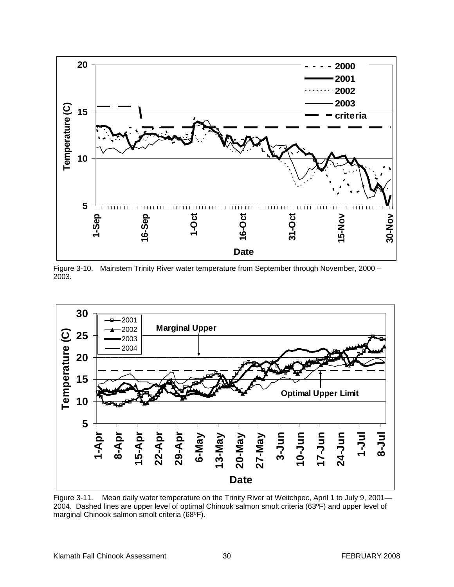

Figure 3-10. Mainstem Trinity River water temperature from September through November, 2000 – 2003.



Figure 3-11. Mean daily water temperature on the Trinity River at Weitchpec, April 1 to July 9, 2001-2004. Dashed lines are upper level of optimal Chinook salmon smolt criteria (63ºF) and upper level of marginal Chinook salmon smolt criteria (68ºF).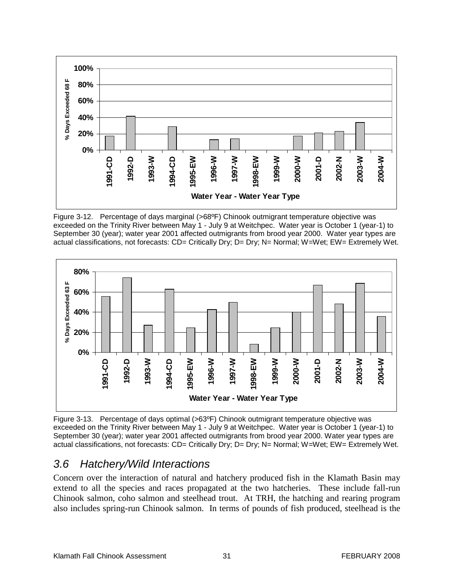

Figure 3-12. Percentage of days marginal (>68ºF) Chinook outmigrant temperature objective was exceeded on the Trinity River between May 1 - July 9 at Weitchpec. Water year is October 1 (year-1) to September 30 (year); water year 2001 affected outmigrants from brood year 2000. Water year types are actual classifications, not forecasts: CD= Critically Dry; D= Dry; N= Normal; W=Wet; EW= Extremely Wet.



Figure 3-13. Percentage of days optimal (>63ºF) Chinook outmigrant temperature objective was exceeded on the Trinity River between May 1 - July 9 at Weitchpec. Water year is October 1 (year-1) to September 30 (year); water year 2001 affected outmigrants from brood year 2000. Water year types are actual classifications, not forecasts: CD= Critically Dry; D= Dry; N= Normal; W=Wet; EW= Extremely Wet.

# *3.6 Hatchery/Wild Interactions*

Concern over the interaction of natural and hatchery produced fish in the Klamath Basin may extend to all the species and races propagated at the two hatcheries. These include fall-run Chinook salmon, coho salmon and steelhead trout. At TRH, the hatching and rearing program also includes spring-run Chinook salmon. In terms of pounds of fish produced, steelhead is the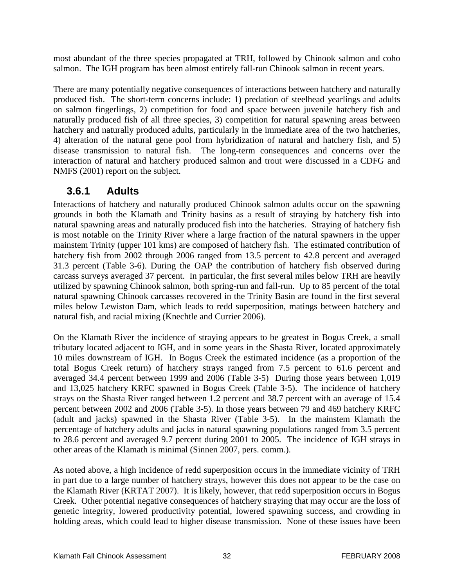most abundant of the three species propagated at TRH, followed by Chinook salmon and coho salmon. The IGH program has been almost entirely fall-run Chinook salmon in recent years.

There are many potentially negative consequences of interactions between hatchery and naturally produced fish. The short-term concerns include: 1) predation of steelhead yearlings and adults on salmon fingerlings, 2) competition for food and space between juvenile hatchery fish and naturally produced fish of all three species, 3) competition for natural spawning areas between hatchery and naturally produced adults, particularly in the immediate area of the two hatcheries, 4) alteration of the natural gene pool from hybridization of natural and hatchery fish, and 5) disease transmission to natural fish. The long-term consequences and concerns over the interaction of natural and hatchery produced salmon and trout were discussed in a CDFG and NMFS (2001) report on the subject.

## **3.6.1 Adults**

Interactions of hatchery and naturally produced Chinook salmon adults occur on the spawning grounds in both the Klamath and Trinity basins as a result of straying by hatchery fish into natural spawning areas and naturally produced fish into the hatcheries. Straying of hatchery fish is most notable on the Trinity River where a large fraction of the natural spawners in the upper mainstem Trinity (upper 101 kms) are composed of hatchery fish. The estimated contribution of hatchery fish from 2002 through 2006 ranged from 13.5 percent to 42.8 percent and averaged 31.3 percent (Table 3-6). During the OAP the contribution of hatchery fish observed during carcass surveys averaged 37 percent. In particular, the first several miles below TRH are heavily utilized by spawning Chinook salmon, both spring-run and fall-run. Up to 85 percent of the total natural spawning Chinook carcasses recovered in the Trinity Basin are found in the first several miles below Lewiston Dam, which leads to redd superposition, matings between hatchery and natural fish, and racial mixing (Knechtle and Currier 2006).

On the Klamath River the incidence of straying appears to be greatest in Bogus Creek, a small tributary located adjacent to IGH, and in some years in the Shasta River, located approximately 10 miles downstream of IGH. In Bogus Creek the estimated incidence (as a proportion of the total Bogus Creek return) of hatchery strays ranged from 7.5 percent to 61.6 percent and averaged 34.4 percent between 1999 and 2006 (Table 3-5) During those years between 1,019 and 13,025 hatchery KRFC spawned in Bogus Creek (Table 3-5). The incidence of hatchery strays on the Shasta River ranged between 1.2 percent and 38.7 percent with an average of 15.4 percent between 2002 and 2006 (Table 3-5). In those years between 79 and 469 hatchery KRFC (adult and jacks) spawned in the Shasta River (Table 3-5). In the mainstem Klamath the percentage of hatchery adults and jacks in natural spawning populations ranged from 3.5 percent to 28.6 percent and averaged 9.7 percent during 2001 to 2005. The incidence of IGH strays in other areas of the Klamath is minimal (Sinnen 2007, pers. comm.).

As noted above, a high incidence of redd superposition occurs in the immediate vicinity of TRH in part due to a large number of hatchery strays, however this does not appear to be the case on the Klamath River (KRTAT 2007). It is likely, however, that redd superposition occurs in Bogus Creek. Other potential negative consequences of hatchery straying that may occur are the loss of genetic integrity, lowered productivity potential, lowered spawning success, and crowding in holding areas, which could lead to higher disease transmission. None of these issues have been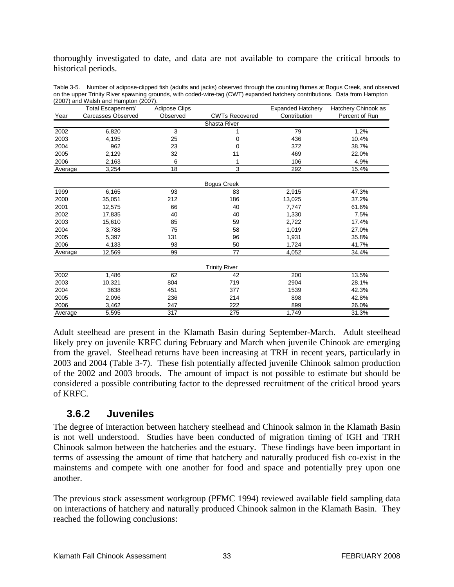thoroughly investigated to date, and data are not available to compare the critical broods to historical periods.

|         | $2001$ and Walon and Hampton (2001).<br>Total Escapement/ | <b>Adipose Clips</b> |                       | <b>Expanded Hatchery</b> | Hatchery Chinook as |
|---------|-----------------------------------------------------------|----------------------|-----------------------|--------------------------|---------------------|
| Year    | <b>Carcasses Observed</b>                                 | Observed             | <b>CWTs Recovered</b> | Contribution             | Percent of Run      |
|         |                                                           |                      | Shasta River          |                          |                     |
| 2002    | 6,820                                                     | 3                    |                       | 79                       | 1.2%                |
| 2003    | 4,195                                                     | 25                   | 0                     | 436                      | 10.4%               |
| 2004    | 962                                                       | 23                   | 0                     | 372                      | 38.7%               |
| 2005    | 2,129                                                     | 32                   | 11                    | 469                      | 22.0%               |
| 2006    | 2,163                                                     | 6                    |                       | 106                      | 4.9%                |
| Average | 3,254                                                     | 18                   | 3                     | 292                      | 15.4%               |
|         |                                                           |                      | <b>Bogus Creek</b>    |                          |                     |
| 1999    | 6,165                                                     | 93                   | 83                    | 2,915                    | 47.3%               |
| 2000    | 35,051                                                    | 212                  | 186                   | 13,025                   | 37.2%               |
| 2001    | 12,575                                                    | 66                   | 40                    | 7,747                    | 61.6%               |
| 2002    | 17,835                                                    | 40                   | 40                    | 1,330                    | 7.5%                |
| 2003    | 15,610                                                    | 85                   | 59                    | 2,722                    | 17.4%               |
| 2004    | 3,788                                                     | 75                   | 58                    | 1,019                    | 27.0%               |
| 2005    | 5,397                                                     | 131                  | 96                    | 1,931                    | 35.8%               |
| 2006    | 4,133                                                     | 93                   | 50                    | 1,724                    | 41.7%               |
| Average | 12,569                                                    | 99                   | 77                    | 4,052                    | 34.4%               |
|         |                                                           |                      | <b>Trinity River</b>  |                          |                     |
| 2002    | 1,486                                                     | 62                   | 42                    | 200                      | 13.5%               |
| 2003    | 10,321                                                    | 804                  | 719                   | 2904                     | 28.1%               |
| 2004    | 3638                                                      | 451                  | 377                   | 1539                     | 42.3%               |
| 2005    | 2,096                                                     | 236                  | 214                   | 898                      | 42.8%               |
| 2006    | 3,462                                                     | 247                  | 222                   | 899                      | 26.0%               |
| Average | 5,595                                                     | 317                  | 275                   | 1,749                    | 31.3%               |

Table 3-5. Number of adipose-clipped fish (adults and jacks) observed through the counting flumes at Bogus Creek, and observed on the upper Trinity River spawning grounds, with coded-wire-tag (CWT) expanded hatchery contributions. Data from Hampton (2007) and Walsh and Hampton (2007).

Adult steelhead are present in the Klamath Basin during September-March. Adult steelhead likely prey on juvenile KRFC during February and March when juvenile Chinook are emerging from the gravel. Steelhead returns have been increasing at TRH in recent years, particularly in 2003 and 2004 (Table 3-7). These fish potentially affected juvenile Chinook salmon production of the 2002 and 2003 broods. The amount of impact is not possible to estimate but should be considered a possible contributing factor to the depressed recruitment of the critical brood years of KRFC.

### **3.6.2 Juveniles**

The degree of interaction between hatchery steelhead and Chinook salmon in the Klamath Basin is not well understood. Studies have been conducted of migration timing of IGH and TRH Chinook salmon between the hatcheries and the estuary. These findings have been important in terms of assessing the amount of time that hatchery and naturally produced fish co-exist in the mainstems and compete with one another for food and space and potentially prey upon one another.

The previous stock assessment workgroup (PFMC 1994) reviewed available field sampling data on interactions of hatchery and naturally produced Chinook salmon in the Klamath Basin. They reached the following conclusions: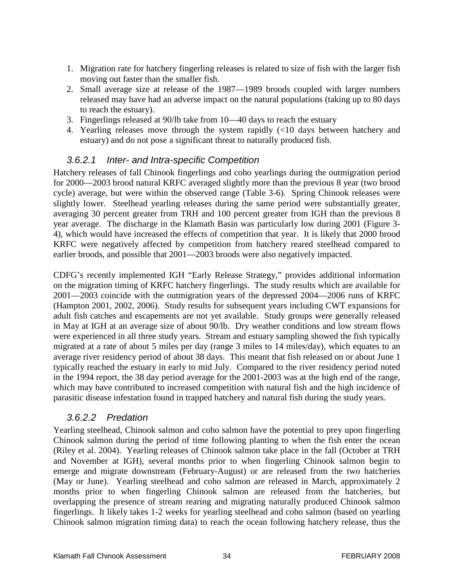- 1. Migration rate for hatchery fingerling releases is related to size of fish with the larger fish moving out faster than the smaller fish.
- 2. Small average size at release of the 1987—1989 broods coupled with larger numbers released may have had an adverse impact on the natural populations (taking up to 80 days to reach the estuary).
- 3. Fingerlings released at 90/lb take from 10—40 days to reach the estuary
- 4. Yearling releases move through the system rapidly (<10 days between hatchery and estuary) and do not pose a significant threat to naturally produced fish.

#### *3.6.2.1 Inter- and Intra-specific Competition*

Hatchery releases of fall Chinook fingerlings and coho yearlings during the outmigration period for 2000—2003 brood natural KRFC averaged slightly more than the previous 8 year (two brood cycle) average, but were within the observed range (Table 3-6). Spring Chinook releases were slightly lower. Steelhead yearling releases during the same period were substantially greater, averaging 30 percent greater from TRH and 100 percent greater from IGH than the previous 8 year average. The discharge in the Klamath Basin was particularly low during 2001 (Figure 3- 4), which would have increased the effects of competition that year. It is likely that 2000 brood KRFC were negatively affected by competition from hatchery reared steelhead compared to earlier broods, and possible that 2001—2003 broods were also negatively impacted.

CDFG's recently implemented IGH "Early Release Strategy," provides additional information on the migration timing of KRFC hatchery fingerlings. The study results which are available for 2001—2003 coincide with the outmigration years of the depressed 2004—2006 runs of KRFC (Hampton 2001, 2002, 2006). Study results for subsequent years including CWT expansions for adult fish catches and escapements are not yet available. Study groups were generally released in May at IGH at an average size of about 90/lb. Dry weather conditions and low stream flows were experienced in all three study years. Stream and estuary sampling showed the fish typically migrated at a rate of about 5 miles per day (range 3 miles to 14 miles/day), which equates to an average river residency period of about 38 days. This meant that fish released on or about June 1 typically reached the estuary in early to mid July. Compared to the river residency period noted in the 1994 report, the 38 day period average for the 2001-2003 was at the high end of the range, which may have contributed to increased competition with natural fish and the high incidence of parasitic disease infestation found in trapped hatchery and natural fish during the study years.

### *3.6.2.2 Predation*

Yearling steelhead, Chinook salmon and coho salmon have the potential to prey upon fingerling Chinook salmon during the period of time following planting to when the fish enter the ocean (Riley et al. 2004). Yearling releases of Chinook salmon take place in the fall (October at TRH and November at IGH), several months prior to when fingerling Chinook salmon begin to emerge and migrate downstream (February-August) or are released from the two hatcheries (May or June). Yearling steelhead and coho salmon are released in March, approximately 2 months prior to when fingerling Chinook salmon are released from the hatcheries, but overlapping the presence of stream rearing and migrating naturally produced Chinook salmon fingerlings. It likely takes 1-2 weeks for yearling steelhead and coho salmon (based on yearling Chinook salmon migration timing data) to reach the ocean following hatchery release, thus the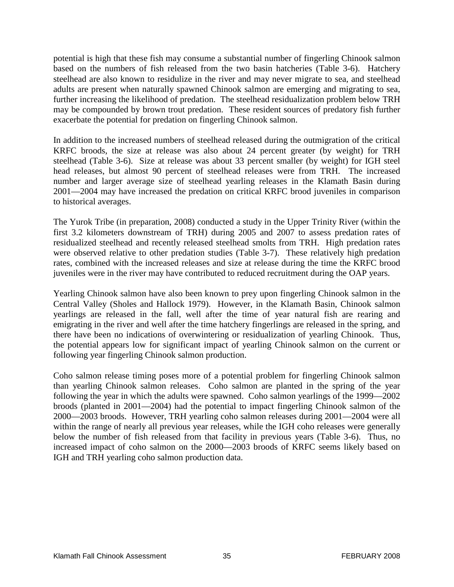potential is high that these fish may consume a substantial number of fingerling Chinook salmon based on the numbers of fish released from the two basin hatcheries (Table 3-6). Hatchery steelhead are also known to residulize in the river and may never migrate to sea, and steelhead adults are present when naturally spawned Chinook salmon are emerging and migrating to sea, further increasing the likelihood of predation. The steelhead residualization problem below TRH may be compounded by brown trout predation. These resident sources of predatory fish further exacerbate the potential for predation on fingerling Chinook salmon.

In addition to the increased numbers of steelhead released during the outmigration of the critical KRFC broods, the size at release was also about 24 percent greater (by weight) for TRH steelhead (Table 3-6). Size at release was about 33 percent smaller (by weight) for IGH steel head releases, but almost 90 percent of steelhead releases were from TRH. The increased number and larger average size of steelhead yearling releases in the Klamath Basin during 2001—2004 may have increased the predation on critical KRFC brood juveniles in comparison to historical averages.

The Yurok Tribe (in preparation, 2008) conducted a study in the Upper Trinity River (within the first 3.2 kilometers downstream of TRH) during 2005 and 2007 to assess predation rates of residualized steelhead and recently released steelhead smolts from TRH. High predation rates were observed relative to other predation studies (Table 3-7). These relatively high predation rates, combined with the increased releases and size at release during the time the KRFC brood juveniles were in the river may have contributed to reduced recruitment during the OAP years.

Yearling Chinook salmon have also been known to prey upon fingerling Chinook salmon in the Central Valley (Sholes and Hallock 1979). However, in the Klamath Basin, Chinook salmon yearlings are released in the fall, well after the time of year natural fish are rearing and emigrating in the river and well after the time hatchery fingerlings are released in the spring, and there have been no indications of overwintering or residualization of yearling Chinook. Thus, the potential appears low for significant impact of yearling Chinook salmon on the current or following year fingerling Chinook salmon production.

Coho salmon release timing poses more of a potential problem for fingerling Chinook salmon than yearling Chinook salmon releases. Coho salmon are planted in the spring of the year following the year in which the adults were spawned. Coho salmon yearlings of the 1999—2002 broods (planted in 2001—2004) had the potential to impact fingerling Chinook salmon of the 2000—2003 broods. However, TRH yearling coho salmon releases during 2001—2004 were all within the range of nearly all previous year releases, while the IGH coho releases were generally below the number of fish released from that facility in previous years (Table 3-6). Thus, no increased impact of coho salmon on the 2000—2003 broods of KRFC seems likely based on IGH and TRH yearling coho salmon production data.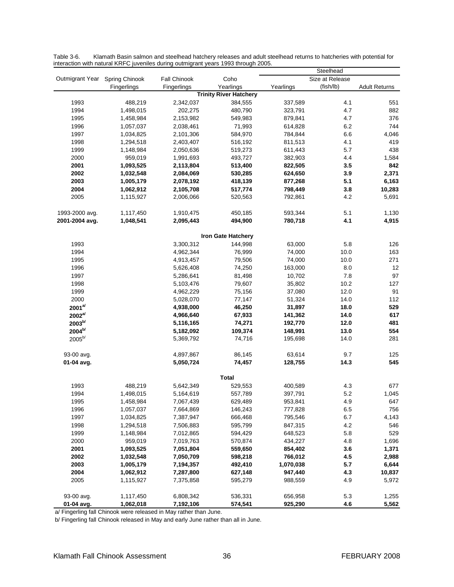|                                |             | interaction with natural refer o juvernies during sumigram years 1990 imough 2000. |                               |           | Steelhead       |                      |
|--------------------------------|-------------|------------------------------------------------------------------------------------|-------------------------------|-----------|-----------------|----------------------|
| Outmigrant Year Spring Chinook |             | <b>Fall Chinook</b>                                                                | Coho                          |           | Size at Release |                      |
|                                | Fingerlings | Fingerlings                                                                        | Yearlings                     | Yearlings | (fish/lb)       | <b>Adult Returns</b> |
|                                |             |                                                                                    | <b>Trinity River Hatchery</b> |           |                 |                      |
| 1993                           | 488,219     | 2,342,037                                                                          | 384,555                       | 337,589   | 4.1             | 551                  |
| 1994                           | 1,498,015   | 202,275                                                                            | 480,790                       | 323,791   | 4.7             | 882                  |
| 1995                           | 1,458,984   | 2,153,982                                                                          | 549,983                       | 879,841   | 4.7             | 376                  |
| 1996                           | 1,057,037   | 2,038,461                                                                          | 71,993                        | 614,828   | 6.2             | 744                  |
| 1997                           | 1,034,825   | 2,101,306                                                                          | 584,970                       | 784,844   | 6.6             | 4,046                |
| 1998                           | 1,294,518   | 2,403,407                                                                          | 516,192                       | 811,513   | 4.1             | 419                  |
| 1999                           | 1,148,984   | 2,050,636                                                                          | 519,273                       | 611,443   | 5.7             | 438                  |
| 2000                           | 959,019     | 1,991,693                                                                          | 493,727                       | 382,903   | 4.4             | 1,584                |
| 2001                           | 1,093,525   | 2,113,804                                                                          | 513,400                       | 822,505   | 3.5             | 842                  |
| 2002                           | 1,032,548   | 2,084,069                                                                          | 530,285                       | 624,650   | 3.9             | 2,371                |
| 2003                           | 1,005,179   | 2,078,192                                                                          | 418,139                       | 877,268   | 5.1             | 6,163                |
| 2004                           | 1,062,912   | 2,105,708                                                                          | 517,774                       | 798,449   | 3.8             | 10,283               |
| 2005                           | 1,115,927   | 2,006,066                                                                          | 520,563                       | 792,861   | 4.2             | 5,691                |
| 1993-2000 avg.                 | 1,117,450   | 1,910,475                                                                          | 450,185                       | 593,344   | 5.1             | 1,130                |
| 2001-2004 avg.                 | 1,048,541   | 2,095,443                                                                          | 494,900                       | 780,718   | 4.1             | 4,915                |
|                                |             |                                                                                    | <b>Iron Gate Hatchery</b>     |           |                 |                      |
| 1993                           |             | 3,300,312                                                                          | 144,998                       | 63,000    | 5.8             | 126                  |
| 1994                           |             | 4,962,344                                                                          | 76,999                        | 74,000    | 10.0            | 163                  |
| 1995                           |             | 4,913,457                                                                          | 79,506                        | 74,000    | 10.0            | 271                  |
| 1996                           |             | 5,626,408                                                                          | 74,250                        | 163,000   | 8.0             | 12                   |
| 1997                           |             | 5,286,641                                                                          | 81,498                        | 10,702    | 7.8             | 97                   |
| 1998                           |             | 5,103,476                                                                          | 79,607                        | 35,802    | 10.2            | 127                  |
| 1999                           |             | 4,962,229                                                                          | 75,156                        | 37,080    | 12.0            | 91                   |
| 2000                           |             | 5,028,070                                                                          | 77,147                        | 51,324    | 14.0            | 112                  |
| $2001^{al}$                    |             | 4,938,000                                                                          | 46,250                        | 31,897    | 18.0            | 529                  |
| $2002^{a/}$                    |             | 4,966,640                                                                          | 67,933                        | 141,362   | 14.0            | 617                  |
| $2003^{b/}$                    |             | 5,116,165                                                                          | 74,271                        | 192,770   | 12.0            | 481                  |
| 2004 <sup>b/</sup>             |             | 5,182,092                                                                          | 109,374                       | 148,991   | 13.0            | 554                  |
| $2005^{b/}$                    |             | 5,369,792                                                                          | 74,716                        | 195,698   | 14.0            | 281                  |
| 93-00 avg.                     |             | 4,897,867                                                                          | 86,145                        | 63,614    | 9.7             | 125                  |
| 01-04 avg.                     |             | 5,050,724                                                                          | 74,457                        | 128,755   | 14.3            | 545                  |
|                                |             |                                                                                    | <b>Total</b>                  |           |                 |                      |
| 1993                           | 488,219     | 5,642,349                                                                          | 529,553                       | 400,589   | 4.3             | 677                  |
| 1994                           | 1,498,015   | 5,164,619                                                                          | 557,789                       | 397,791   | 5.2             | 1,045                |
| 1995                           | 1,458,984   | 7,067,439                                                                          | 629,489                       | 953,841   | 4.9             | 647                  |
| 1996                           | 1,057,037   | 7,664,869                                                                          | 146,243                       | 777,828   | 6.5             | 756                  |
| 1997                           | 1,034,825   | 7,387,947                                                                          | 666,468                       | 795,546   | 6.7             | 4,143                |
| 1998                           | 1,294,518   | 7,506,883                                                                          | 595,799                       | 847,315   | 4.2             | 546                  |
| 1999                           | 1,148,984   | 7,012,865                                                                          | 594,429                       | 648,523   | 5.8             | 529                  |
| 2000                           | 959,019     | 7,019,763                                                                          | 570,874                       | 434,227   | 4.8             | 1,696                |
| 2001                           | 1,093,525   | 7,051,804                                                                          | 559,650                       | 854,402   | 3.6             | 1,371                |
| 2002                           | 1,032,548   | 7,050,709                                                                          | 598,218                       | 766,012   | 4.5             | 2,988                |
| 2003                           | 1,005,179   | 7,194,357                                                                          | 492,410                       | 1,070,038 | 5.7             | 6,644                |
| 2004                           | 1,062,912   | 7,287,800                                                                          | 627,148                       | 947,440   | 4.3             | 10,837               |
| 2005                           | 1,115,927   | 7,375,858                                                                          | 595,279                       | 988,559   | 4.9             | 5,972                |
| 93-00 avg.                     | 1,117,450   | 6,808,342                                                                          | 536,331                       | 656,958   | 5.3             | 1,255                |
| 01-04 avg.                     | 1,062,018   | 7,192,106                                                                          | 574,541                       | 925,290   | 4.6             | 5,562                |

Table 3-6. Klamath Basin salmon and steelhead hatchery releases and adult steelhead returns to hatcheries with potential for interaction with natural KRFC juveniles during outmigrant years 1993 through 2005.

a/ Fingerling fall Chinook were released in May rather than June.

b/ Fingerling fall Chinook released in May and early June rather than all in June.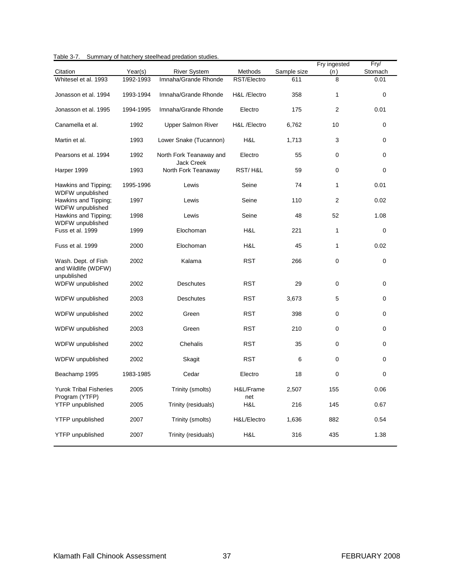| Table 3-7.<br>Summary of hatchery steelhead predation studies. |  |
|----------------------------------------------------------------|--|
|----------------------------------------------------------------|--|

|                                                           |           |                                              |                  |             | Fry ingested   | Fry/     |
|-----------------------------------------------------------|-----------|----------------------------------------------|------------------|-------------|----------------|----------|
| Citation                                                  | Year(s)   | <b>River System</b>                          | Methods          | Sample size | (n)            | Stomach  |
| Whitesel et al. 1993                                      | 1992-1993 | Imnaha/Grande Rhonde                         | RST/Electro      | 611         | 8              | 0.01     |
| Jonasson et al. 1994                                      | 1993-1994 | Imnaha/Grande Rhonde                         | H&L /Electro     | 358         | $\mathbf{1}$   | 0        |
| Jonasson et al. 1995                                      | 1994-1995 | Imnaha/Grande Rhonde                         | Electro          | 175         | $\overline{2}$ | 0.01     |
| Canamella et al.                                          | 1992      | Upper Salmon River                           | H&L /Electro     | 6,762       | 10             | 0        |
| Martin et al.                                             | 1993      | Lower Snake (Tucannon)                       | H&L              | 1,713       | 3              | $\Omega$ |
| Pearsons et al. 1994                                      | 1992      | North Fork Teanaway and<br><b>Jack Creek</b> | Electro          | 55          | 0              | 0        |
| Harper 1999                                               | 1993      | North Fork Teanaway                          | RST/H&L          | 59          | 0              | 0        |
| Hawkins and Tipping;<br>WDFW unpublished                  | 1995-1996 | Lewis                                        | Seine            | 74          | $\mathbf{1}$   | 0.01     |
| Hawkins and Tipping;<br>WDFW unpublished                  | 1997      | Lewis                                        | Seine            | 110         | 2              | 0.02     |
| Hawkins and Tipping;<br>WDFW unpublished                  | 1998      | Lewis                                        | Seine            | 48          | 52             | 1.08     |
| Fuss et al. 1999                                          | 1999      | Elochoman                                    | H&L              | 221         | 1              | 0        |
| Fuss et al. 1999                                          | 2000      | Elochoman                                    | H&L              | 45          | $\mathbf{1}$   | 0.02     |
| Wash. Dept. of Fish<br>and Wildlife (WDFW)<br>unpublished | 2002      | Kalama                                       | <b>RST</b>       | 266         | 0              | 0        |
| WDFW unpublished                                          | 2002      | <b>Deschutes</b>                             | <b>RST</b>       | 29          | 0              | 0        |
| WDFW unpublished                                          | 2003      | <b>Deschutes</b>                             | <b>RST</b>       | 3,673       | 5              | 0        |
| WDFW unpublished                                          | 2002      | Green                                        | <b>RST</b>       | 398         | 0              | 0        |
| WDFW unpublished                                          | 2003      | Green                                        | <b>RST</b>       | 210         | $\mathbf 0$    | 0        |
| WDFW unpublished                                          | 2002      | Chehalis                                     | <b>RST</b>       | 35          | 0              | 0        |
| WDFW unpublished                                          | 2002      | Skagit                                       | <b>RST</b>       | 6           | 0              | 0        |
| Beachamp 1995                                             | 1983-1985 | Cedar                                        | Electro          | 18          | 0              | 0        |
| <b>Yurok Tribal Fisheries</b><br>Program (YTFP)           | 2005      | Trinity (smolts)                             | H&L/Frame<br>net | 2,507       | 155            | 0.06     |
| <b>YTFP</b> unpublished                                   | 2005      | Trinity (residuals)                          | H&L              | 216         | 145            | 0.67     |
| <b>YTFP</b> unpublished                                   | 2007      | Trinity (smolts)                             | H&L/Electro      | 1,636       | 882            | 0.54     |
| <b>YTFP</b> unpublished                                   | 2007      | Trinity (residuals)                          | H&L              | 316         | 435            | 1.38     |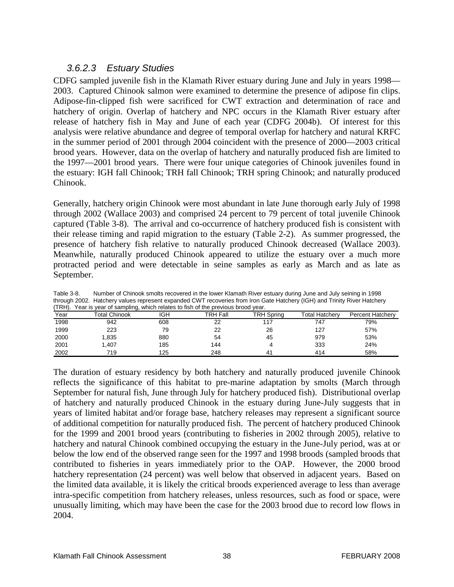### *3.6.2.3 Estuary Studies*

CDFG sampled juvenile fish in the Klamath River estuary during June and July in years 1998— 2003. Captured Chinook salmon were examined to determine the presence of adipose fin clips. Adipose-fin-clipped fish were sacrificed for CWT extraction and determination of race and hatchery of origin. Overlap of hatchery and NPC occurs in the Klamath River estuary after release of hatchery fish in May and June of each year (CDFG 2004b). Of interest for this analysis were relative abundance and degree of temporal overlap for hatchery and natural KRFC in the summer period of 2001 through 2004 coincident with the presence of 2000—2003 critical brood years. However, data on the overlap of hatchery and naturally produced fish are limited to the 1997—2001 brood years. There were four unique categories of Chinook juveniles found in the estuary: IGH fall Chinook; TRH fall Chinook; TRH spring Chinook; and naturally produced Chinook.

Generally, hatchery origin Chinook were most abundant in late June thorough early July of 1998 through 2002 (Wallace 2003) and comprised 24 percent to 79 percent of total juvenile Chinook captured (Table 3-8). The arrival and co-occurrence of hatchery produced fish is consistent with their release timing and rapid migration to the estuary (Table 2-2). As summer progressed, the presence of hatchery fish relative to naturally produced Chinook decreased (Wallace 2003). Meanwhile, naturally produced Chinook appeared to utilize the estuary over a much more protracted period and were detectable in seine samples as early as March and as late as September.

| (TRH). | Year is year of sampling, which relates to fish of the previous brood year. |     |          |                |                |                         |
|--------|-----------------------------------------------------------------------------|-----|----------|----------------|----------------|-------------------------|
| Year   | Total Chinook                                                               | IGH | TRH Fall | TRH Spring     | Total Hatcherv | <b>Percent Hatcherv</b> |
| 1998   | 942                                                                         | 608 | 22       | 117            | 747            | 79%                     |
| 1999   | 223                                                                         | 79  | 22       | 26             | 127            | 57%                     |
| 2000   | 1.835                                                                       | 880 | 54       | 45             | 979            | 53%                     |
| 2001   | 1.407                                                                       | 185 | 144      |                | 333            | 24%                     |
| 2002   | 719                                                                         | 125 | 248      | 4 <sup>1</sup> | 414            | 58%                     |

Table 3-8. Number of Chinook smolts recovered in the lower Klamath River estuary during June and July seining in 1998 through 2002. Hatchery values represent expanded CWT recoveries from Iron Gate Hatchery (IGH) and Trinity River Hatchery

The duration of estuary residency by both hatchery and naturally produced juvenile Chinook reflects the significance of this habitat to pre-marine adaptation by smolts (March through September for natural fish, June through July for hatchery produced fish). Distributional overlap of hatchery and naturally produced Chinook in the estuary during June-July suggests that in years of limited habitat and/or forage base, hatchery releases may represent a significant source of additional competition for naturally produced fish. The percent of hatchery produced Chinook for the 1999 and 2001 brood years (contributing to fisheries in 2002 through 2005), relative to hatchery and natural Chinook combined occupying the estuary in the June-July period, was at or below the low end of the observed range seen for the 1997 and 1998 broods (sampled broods that contributed to fisheries in years immediately prior to the OAP. However, the 2000 brood hatchery representation (24 percent) was well below that observed in adjacent years. Based on the limited data available, it is likely the critical broods experienced average to less than average intra-specific competition from hatchery releases, unless resources, such as food or space, were unusually limiting, which may have been the case for the 2003 brood due to record low flows in 2004.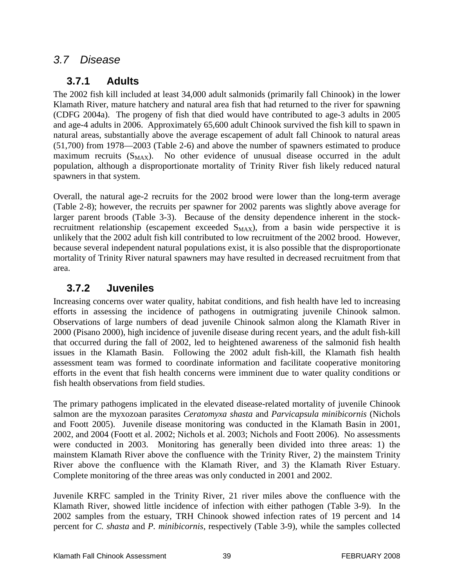## *3.7 Disease*

## **3.7.1 Adults**

The 2002 fish kill included at least 34,000 adult salmonids (primarily fall Chinook) in the lower Klamath River, mature hatchery and natural area fish that had returned to the river for spawning (CDFG 2004a). The progeny of fish that died would have contributed to age-3 adults in 2005 and age-4 adults in 2006. Approximately 65,600 adult Chinook survived the fish kill to spawn in natural areas, substantially above the average escapement of adult fall Chinook to natural areas (51,700) from 1978—2003 (Table 2-6) and above the number of spawners estimated to produce maximum recruits  $(S_{MAX})$ . No other evidence of unusual disease occurred in the adult population, although a disproportionate mortality of Trinity River fish likely reduced natural spawners in that system.

Overall, the natural age-2 recruits for the 2002 brood were lower than the long-term average (Table 2-8); however, the recruits per spawner for 2002 parents was slightly above average for larger parent broods (Table 3-3). Because of the density dependence inherent in the stockrecruitment relationship (escapement exceeded  $S_{MAX}$ ), from a basin wide perspective it is unlikely that the 2002 adult fish kill contributed to low recruitment of the 2002 brood. However, because several independent natural populations exist, it is also possible that the disproportionate mortality of Trinity River natural spawners may have resulted in decreased recruitment from that area.

## **3.7.2 Juveniles**

Increasing concerns over water quality, habitat conditions, and fish health have led to increasing efforts in assessing the incidence of pathogens in outmigrating juvenile Chinook salmon. Observations of large numbers of dead juvenile Chinook salmon along the Klamath River in 2000 (Pisano 2000), high incidence of juvenile disease during recent years, and the adult fish-kill that occurred during the fall of 2002, led to heightened awareness of the salmonid fish health issues in the Klamath Basin. Following the 2002 adult fish-kill, the Klamath fish health assessment team was formed to coordinate information and facilitate cooperative monitoring efforts in the event that fish health concerns were imminent due to water quality conditions or fish health observations from field studies.

The primary pathogens implicated in the elevated disease-related mortality of juvenile Chinook salmon are the myxozoan parasites *Ceratomyxa shasta* and *Parvicapsula minibicornis* (Nichols and Foott 2005). Juvenile disease monitoring was conducted in the Klamath Basin in 2001, 2002, and 2004 (Foott et al. 2002; Nichols et al. 2003; Nichols and Foott 2006). No assessments were conducted in 2003. Monitoring has generally been divided into three areas: 1) the mainstem Klamath River above the confluence with the Trinity River, 2) the mainstem Trinity River above the confluence with the Klamath River, and 3) the Klamath River Estuary. Complete monitoring of the three areas was only conducted in 2001 and 2002.

Juvenile KRFC sampled in the Trinity River, 21 river miles above the confluence with the Klamath River, showed little incidence of infection with either pathogen (Table 3-9). In the 2002 samples from the estuary, TRH Chinook showed infection rates of 19 percent and 14 percent for *C. shasta* and *P. minibicornis*, respectively (Table 3-9), while the samples collected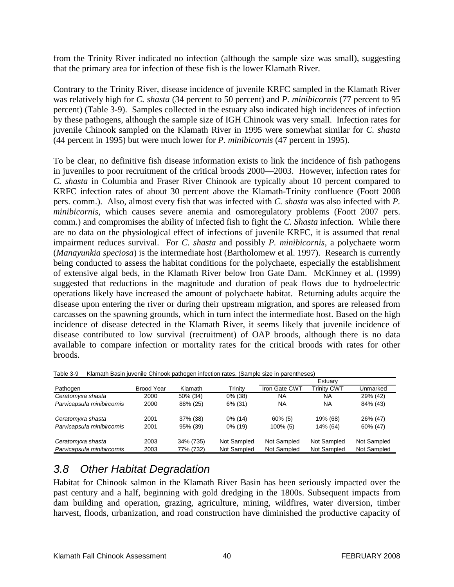from the Trinity River indicated no infection (although the sample size was small), suggesting that the primary area for infection of these fish is the lower Klamath River.

Contrary to the Trinity River, disease incidence of juvenile KRFC sampled in the Klamath River was relatively high for *C. shasta* (34 percent to 50 percent) and *P. minibicornis* (77 percent to 95 percent) (Table 3-9). Samples collected in the estuary also indicated high incidences of infection by these pathogens, although the sample size of IGH Chinook was very small. Infection rates for juvenile Chinook sampled on the Klamath River in 1995 were somewhat similar for *C. shasta* (44 percent in 1995) but were much lower for *P. minibicornis* (47 percent in 1995).

To be clear, no definitive fish disease information exists to link the incidence of fish pathogens in juveniles to poor recruitment of the critical broods 2000—2003. However, infection rates for *C. shasta* in Columbia and Fraser River Chinook are typically about 10 percent compared to KRFC infection rates of about 30 percent above the Klamath-Trinity confluence (Foott 2008 pers. comm.). Also, almost every fish that was infected with *C. shasta* was also infected with *P. minibicornis,* which causes severe anemia and osmoregulatory problems (Foott 2007 pers. comm.) and compromises the ability of infected fish to fight the *C. Shasta* infection. While there are no data on the physiological effect of infections of juvenile KRFC, it is assumed that renal impairment reduces survival. For *C. shasta* and possibly *P. minibicornis*, a polychaete worm (*Manayunkia speciosa*) is the intermediate host (Bartholomew et al. 1997). Research is currently being conducted to assess the habitat conditions for the polychaete, especially the establishment of extensive algal beds, in the Klamath River below Iron Gate Dam. McKinney et al. (1999) suggested that reductions in the magnitude and duration of peak flows due to hydroelectric operations likely have increased the amount of polychaete habitat. Returning adults acquire the disease upon entering the river or during their upstream migration, and spores are released from carcasses on the spawning grounds, which in turn infect the intermediate host. Based on the high incidence of disease detected in the Klamath River, it seems likely that juvenile incidence of disease contributed to low survival (recruitment) of OAP broods, although there is no data available to compare infection or mortality rates for the critical broods with rates for other broods.

|                            |            |                |             |               | Estuarv            |             |
|----------------------------|------------|----------------|-------------|---------------|--------------------|-------------|
| Pathogen                   | Brood Year | <b>Klamath</b> | Trinitv     | Iron Gate CWT | <b>Trinity CWT</b> | Unmarked    |
| Ceratomyxa shasta          | 2000       | 50% (34)       | $0\%$ (38)  | ΝA            | NA                 | 29% (42)    |
| Parvicapsula minibircornis | 2000       | 88% (25)       | 6% (31)     | <b>NA</b>     | <b>NA</b>          | 84% (43)    |
| Ceratomyxa shasta          | 2001       | 37% (38)       | $0\%$ (14)  | $60\%$ (5)    | 19% (68)           | 26% (47)    |
| Parvicapsula minibircornis | 2001       | 95% (39)       | $0\%$ (19)  | $100\%$ (5)   | 14% (64)           | 60% (47)    |
| Ceratomyxa shasta          | 2003       | 34% (735)      | Not Sampled | Not Sampled   | Not Sampled        | Not Sampled |
| Parvicapsula minibircornis | 2003       | 77% (732)      | Not Sampled | Not Sampled   | Not Sampled        | Not Sampled |

Table 3-9 Klamath Basin juvenile Chinook pathogen infection rates. (Sample size in parentheses)

# *3.8 Other Habitat Degradation*

Habitat for Chinook salmon in the Klamath River Basin has been seriously impacted over the past century and a half, beginning with gold dredging in the 1800s. Subsequent impacts from dam building and operation, grazing, agriculture, mining, wildfires, water diversion, timber harvest, floods, urbanization, and road construction have diminished the productive capacity of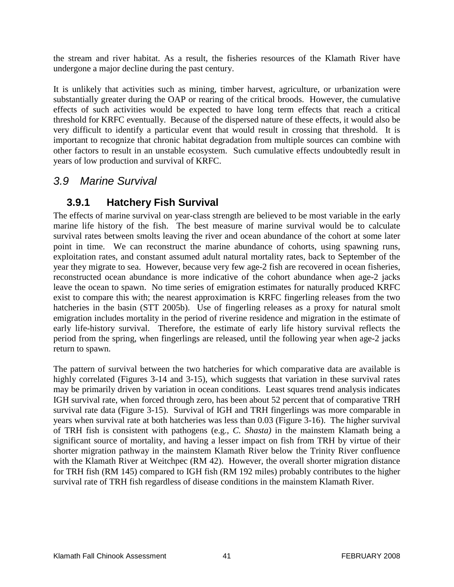the stream and river habitat. As a result, the fisheries resources of the Klamath River have undergone a major decline during the past century.

It is unlikely that activities such as mining, timber harvest, agriculture, or urbanization were substantially greater during the OAP or rearing of the critical broods. However, the cumulative effects of such activities would be expected to have long term effects that reach a critical threshold for KRFC eventually. Because of the dispersed nature of these effects, it would also be very difficult to identify a particular event that would result in crossing that threshold. It is important to recognize that chronic habitat degradation from multiple sources can combine with other factors to result in an unstable ecosystem. Such cumulative effects undoubtedly result in years of low production and survival of KRFC.

## *3.9 Marine Survival*

## **3.9.1 Hatchery Fish Survival**

The effects of marine survival on year-class strength are believed to be most variable in the early marine life history of the fish. The best measure of marine survival would be to calculate survival rates between smolts leaving the river and ocean abundance of the cohort at some later point in time. We can reconstruct the marine abundance of cohorts, using spawning runs, exploitation rates, and constant assumed adult natural mortality rates, back to September of the year they migrate to sea. However, because very few age-2 fish are recovered in ocean fisheries, reconstructed ocean abundance is more indicative of the cohort abundance when age-2 jacks leave the ocean to spawn. No time series of emigration estimates for naturally produced KRFC exist to compare this with; the nearest approximation is KRFC fingerling releases from the two hatcheries in the basin (STT 2005b). Use of fingerling releases as a proxy for natural smolt emigration includes mortality in the period of riverine residence and migration in the estimate of early life-history survival. Therefore, the estimate of early life history survival reflects the period from the spring, when fingerlings are released, until the following year when age-2 jacks return to spawn.

The pattern of survival between the two hatcheries for which comparative data are available is highly correlated (Figures 3-14 and 3-15), which suggests that variation in these survival rates may be primarily driven by variation in ocean conditions. Least squares trend analysis indicates IGH survival rate, when forced through zero, has been about 52 percent that of comparative TRH survival rate data (Figure 3-15). Survival of IGH and TRH fingerlings was more comparable in years when survival rate at both hatcheries was less than 0.03 (Figure 3-16). The higher survival of TRH fish is consistent with pathogens (e.g., *C. Shasta)* in the mainstem Klamath being a significant source of mortality, and having a lesser impact on fish from TRH by virtue of their shorter migration pathway in the mainstem Klamath River below the Trinity River confluence with the Klamath River at Weitchpec (RM 42). However, the overall shorter migration distance for TRH fish (RM 145) compared to IGH fish (RM 192 miles) probably contributes to the higher survival rate of TRH fish regardless of disease conditions in the mainstem Klamath River.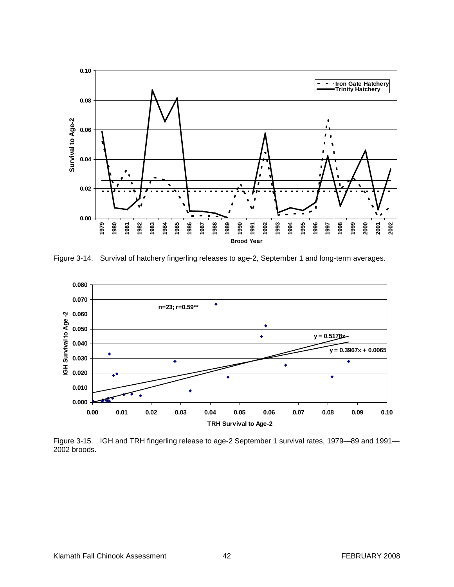

Figure 3-14. Survival of hatchery fingerling releases to age-2, September 1 and long-term averages.



Figure 3-15. IGH and TRH fingerling release to age-2 September 1 survival rates, 1979—89 and 1991— 2002 broods.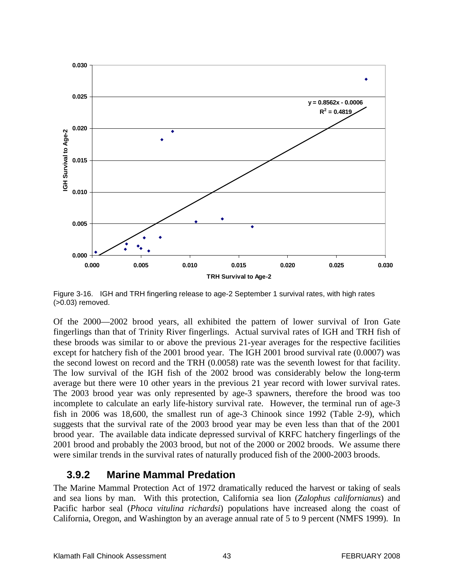

Figure 3-16. IGH and TRH fingerling release to age-2 September 1 survival rates, with high rates (>0.03) removed.

Of the 2000—2002 brood years, all exhibited the pattern of lower survival of Iron Gate fingerlings than that of Trinity River fingerlings. Actual survival rates of IGH and TRH fish of these broods was similar to or above the previous 21-year averages for the respective facilities except for hatchery fish of the 2001 brood year. The IGH 2001 brood survival rate (0.0007) was the second lowest on record and the TRH (0.0058) rate was the seventh lowest for that facility. The low survival of the IGH fish of the 2002 brood was considerably below the long-term average but there were 10 other years in the previous 21 year record with lower survival rates. The 2003 brood year was only represented by age-3 spawners, therefore the brood was too incomplete to calculate an early life-history survival rate. However, the terminal run of age-3 fish in 2006 was 18,600, the smallest run of age-3 Chinook since 1992 (Table 2-9), which suggests that the survival rate of the 2003 brood year may be even less than that of the 2001 brood year. The available data indicate depressed survival of KRFC hatchery fingerlings of the 2001 brood and probably the 2003 brood, but not of the 2000 or 2002 broods. We assume there were similar trends in the survival rates of naturally produced fish of the 2000-2003 broods.

### **3.9.2 Marine Mammal Predation**

The Marine Mammal Protection Act of 1972 dramatically reduced the harvest or taking of seals and sea lions by man. With this protection, California sea lion (*Zalophus californianus*) and Pacific harbor seal (*Phoca vitulina richardsi*) populations have increased along the coast of California, Oregon, and Washington by an average annual rate of 5 to 9 percent (NMFS 1999). In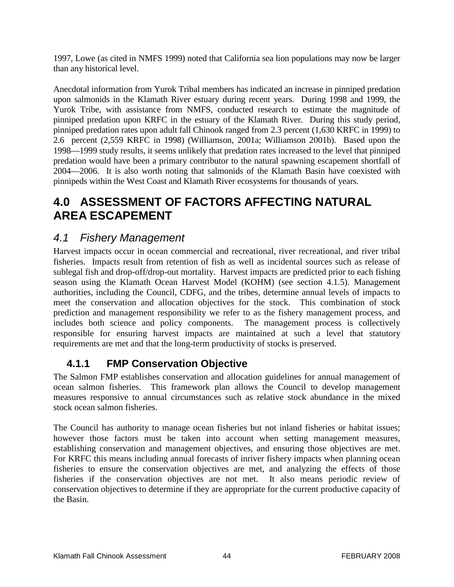1997, Lowe (as cited in NMFS 1999) noted that California sea lion populations may now be larger than any historical level.

Anecdotal information from Yurok Tribal members has indicated an increase in pinniped predation upon salmonids in the Klamath River estuary during recent years. During 1998 and 1999, the Yurok Tribe, with assistance from NMFS, conducted research to estimate the magnitude of pinniped predation upon KRFC in the estuary of the Klamath River. During this study period, pinniped predation rates upon adult fall Chinook ranged from 2.3 percent (1,630 KRFC in 1999) to 2.6 percent (2,559 KRFC in 1998) (Williamson, 2001a; Williamson 2001b). Based upon the 1998—1999 study results, it seems unlikely that predation rates increased to the level that pinniped predation would have been a primary contributor to the natural spawning escapement shortfall of 2004—2006. It is also worth noting that salmonids of the Klamath Basin have coexisted with pinnipeds within the West Coast and Klamath River ecosystems for thousands of years.

# **4.0 ASSESSMENT OF FACTORS AFFECTING NATURAL AREA ESCAPEMENT**

# *4.1 Fishery Management*

Harvest impacts occur in ocean commercial and recreational, river recreational, and river tribal fisheries. Impacts result from retention of fish as well as incidental sources such as release of sublegal fish and drop-off/drop-out mortality. Harvest impacts are predicted prior to each fishing season using the Klamath Ocean Harvest Model (KOHM) (see section 4.1.5). Management authorities, including the Council, CDFG, and the tribes, determine annual levels of impacts to meet the conservation and allocation objectives for the stock. This combination of stock prediction and management responsibility we refer to as the fishery management process, and includes both science and policy components. The management process is collectively responsible for ensuring harvest impacts are maintained at such a level that statutory requirements are met and that the long-term productivity of stocks is preserved.

# **4.1.1 FMP Conservation Objective**

The Salmon FMP establishes conservation and allocation guidelines for annual management of ocean salmon fisheries. This framework plan allows the Council to develop management measures responsive to annual circumstances such as relative stock abundance in the mixed stock ocean salmon fisheries.

The Council has authority to manage ocean fisheries but not inland fisheries or habitat issues; however those factors must be taken into account when setting management measures, establishing conservation and management objectives, and ensuring those objectives are met. For KRFC this means including annual forecasts of inriver fishery impacts when planning ocean fisheries to ensure the conservation objectives are met, and analyzing the effects of those fisheries if the conservation objectives are not met. It also means periodic review of conservation objectives to determine if they are appropriate for the current productive capacity of the Basin.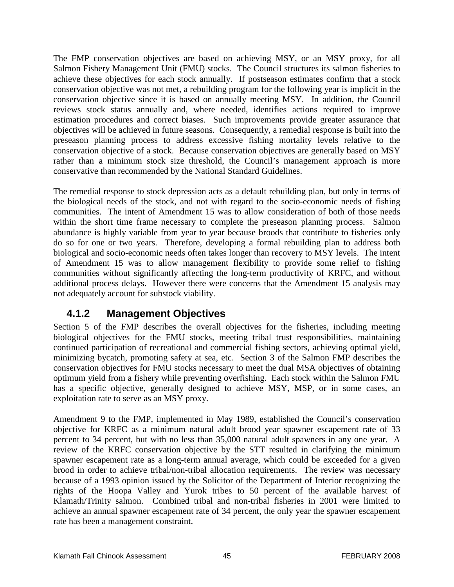The FMP conservation objectives are based on achieving MSY, or an MSY proxy, for all Salmon Fishery Management Unit (FMU) stocks. The Council structures its salmon fisheries to achieve these objectives for each stock annually. If postseason estimates confirm that a stock conservation objective was not met, a rebuilding program for the following year is implicit in the conservation objective since it is based on annually meeting MSY. In addition, the Council reviews stock status annually and, where needed, identifies actions required to improve estimation procedures and correct biases. Such improvements provide greater assurance that objectives will be achieved in future seasons. Consequently, a remedial response is built into the preseason planning process to address excessive fishing mortality levels relative to the conservation objective of a stock. Because conservation objectives are generally based on MSY rather than a minimum stock size threshold, the Council's management approach is more conservative than recommended by the National Standard Guidelines.

The remedial response to stock depression acts as a default rebuilding plan, but only in terms of the biological needs of the stock, and not with regard to the socio-economic needs of fishing communities. The intent of Amendment 15 was to allow consideration of both of those needs within the short time frame necessary to complete the preseason planning process. Salmon abundance is highly variable from year to year because broods that contribute to fisheries only do so for one or two years. Therefore, developing a formal rebuilding plan to address both biological and socio-economic needs often takes longer than recovery to MSY levels. The intent of Amendment 15 was to allow management flexibility to provide some relief to fishing communities without significantly affecting the long-term productivity of KRFC, and without additional process delays. However there were concerns that the Amendment 15 analysis may not adequately account for substock viability.

## **4.1.2 Management Objectives**

Section 5 of the FMP describes the overall objectives for the fisheries, including meeting biological objectives for the FMU stocks, meeting tribal trust responsibilities, maintaining continued participation of recreational and commercial fishing sectors, achieving optimal yield, minimizing bycatch, promoting safety at sea, etc. Section 3 of the Salmon FMP describes the conservation objectives for FMU stocks necessary to meet the dual MSA objectives of obtaining optimum yield from a fishery while preventing overfishing. Each stock within the Salmon FMU has a specific objective, generally designed to achieve MSY, MSP, or in some cases, an exploitation rate to serve as an MSY proxy.

Amendment 9 to the FMP, implemented in May 1989, established the Council's conservation objective for KRFC as a minimum natural adult brood year spawner escapement rate of 33 percent to 34 percent, but with no less than 35,000 natural adult spawners in any one year. A review of the KRFC conservation objective by the STT resulted in clarifying the minimum spawner escapement rate as a long-term annual average, which could be exceeded for a given brood in order to achieve tribal/non-tribal allocation requirements. The review was necessary because of a 1993 opinion issued by the Solicitor of the Department of Interior recognizing the rights of the Hoopa Valley and Yurok tribes to 50 percent of the available harvest of Klamath/Trinity salmon. Combined tribal and non-tribal fisheries in 2001 were limited to achieve an annual spawner escapement rate of 34 percent, the only year the spawner escapement rate has been a management constraint.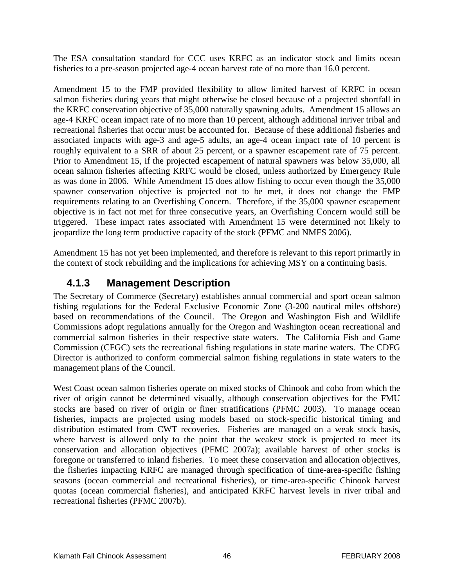The ESA consultation standard for CCC uses KRFC as an indicator stock and limits ocean fisheries to a pre-season projected age-4 ocean harvest rate of no more than 16.0 percent.

Amendment 15 to the FMP provided flexibility to allow limited harvest of KRFC in ocean salmon fisheries during years that might otherwise be closed because of a projected shortfall in the KRFC conservation objective of 35,000 naturally spawning adults. Amendment 15 allows an age-4 KRFC ocean impact rate of no more than 10 percent, although additional inriver tribal and recreational fisheries that occur must be accounted for. Because of these additional fisheries and associated impacts with age-3 and age-5 adults, an age-4 ocean impact rate of 10 percent is roughly equivalent to a SRR of about 25 percent, or a spawner escapement rate of 75 percent. Prior to Amendment 15, if the projected escapement of natural spawners was below 35,000, all ocean salmon fisheries affecting KRFC would be closed, unless authorized by Emergency Rule as was done in 2006. While Amendment 15 does allow fishing to occur even though the 35,000 spawner conservation objective is projected not to be met, it does not change the FMP requirements relating to an Overfishing Concern. Therefore, if the 35,000 spawner escapement objective is in fact not met for three consecutive years, an Overfishing Concern would still be triggered. These impact rates associated with Amendment 15 were determined not likely to jeopardize the long term productive capacity of the stock (PFMC and NMFS 2006).

Amendment 15 has not yet been implemented, and therefore is relevant to this report primarily in the context of stock rebuilding and the implications for achieving MSY on a continuing basis.

## **4.1.3 Management Description**

The Secretary of Commerce (Secretary) establishes annual commercial and sport ocean salmon fishing regulations for the Federal Exclusive Economic Zone (3-200 nautical miles offshore) based on recommendations of the Council. The Oregon and Washington Fish and Wildlife Commissions adopt regulations annually for the Oregon and Washington ocean recreational and commercial salmon fisheries in their respective state waters. The California Fish and Game Commission (CFGC) sets the recreational fishing regulations in state marine waters. The CDFG Director is authorized to conform commercial salmon fishing regulations in state waters to the management plans of the Council.

West Coast ocean salmon fisheries operate on mixed stocks of Chinook and coho from which the river of origin cannot be determined visually, although conservation objectives for the FMU stocks are based on river of origin or finer stratifications (PFMC 2003). To manage ocean fisheries, impacts are projected using models based on stock-specific historical timing and distribution estimated from CWT recoveries. Fisheries are managed on a weak stock basis, where harvest is allowed only to the point that the weakest stock is projected to meet its conservation and allocation objectives (PFMC 2007a); available harvest of other stocks is foregone or transferred to inland fisheries. To meet these conservation and allocation objectives, the fisheries impacting KRFC are managed through specification of time-area-specific fishing seasons (ocean commercial and recreational fisheries), or time-area-specific Chinook harvest quotas (ocean commercial fisheries), and anticipated KRFC harvest levels in river tribal and recreational fisheries (PFMC 2007b).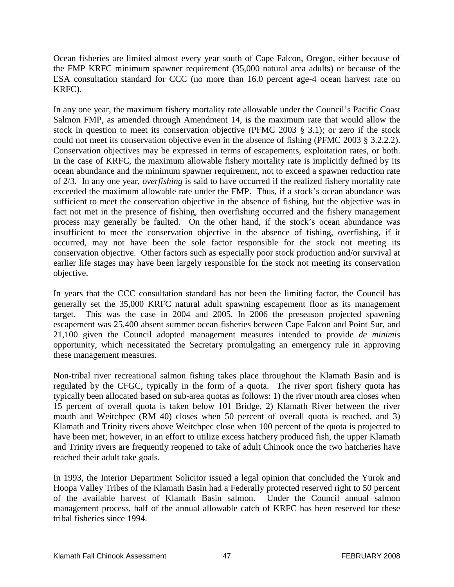Ocean fisheries are limited almost every year south of Cape Falcon, Oregon, either because of the FMP KRFC minimum spawner requirement (35,000 natural area adults) or because of the ESA consultation standard for CCC (no more than 16.0 percent age-4 ocean harvest rate on KRFC).

In any one year, the maximum fishery mortality rate allowable under the Council's Pacific Coast Salmon FMP, as amended through Amendment 14, is the maximum rate that would allow the stock in question to meet its conservation objective (PFMC 2003 § 3.1); or zero if the stock could not meet its conservation objective even in the absence of fishing (PFMC 2003 § 3.2.2.2). Conservation objectives may be expressed in terms of escapements, exploitation rates, or both. In the case of KRFC, the maximum allowable fishery mortality rate is implicitly defined by its ocean abundance and the minimum spawner requirement, not to exceed a spawner reduction rate of 2/3. In any one year, *overfishing* is said to have occurred if the realized fishery mortality rate exceeded the maximum allowable rate under the FMP. Thus, if a stock's ocean abundance was sufficient to meet the conservation objective in the absence of fishing, but the objective was in fact not met in the presence of fishing, then overfishing occurred and the fishery management process may generally be faulted. On the other hand, if the stock's ocean abundance was insufficient to meet the conservation objective in the absence of fishing, overfishing, if it occurred, may not have been the sole factor responsible for the stock not meeting its conservation objective. Other factors such as especially poor stock production and/or survival at earlier life stages may have been largely responsible for the stock not meeting its conservation objective.

In years that the CCC consultation standard has not been the limiting factor, the Council has generally set the 35,000 KRFC natural adult spawning escapement floor as its management target. This was the case in 2004 and 2005. In 2006 the preseason projected spawning escapement was 25,400 absent summer ocean fisheries between Cape Falcon and Point Sur, and 21,100 given the Council adopted management measures intended to provide *de minimis* opportunity, which necessitated the Secretary promulgating an emergency rule in approving these management measures.

Non-tribal river recreational salmon fishing takes place throughout the Klamath Basin and is regulated by the CFGC, typically in the form of a quota. The river sport fishery quota has typically been allocated based on sub-area quotas as follows: 1) the river mouth area closes when 15 percent of overall quota is taken below 101 Bridge, 2) Klamath River between the river mouth and Weitchpec (RM 40) closes when 50 percent of overall quota is reached, and 3) Klamath and Trinity rivers above Weitchpec close when 100 percent of the quota is projected to have been met; however, in an effort to utilize excess hatchery produced fish, the upper Klamath and Trinity rivers are frequently reopened to take of adult Chinook once the two hatcheries have reached their adult take goals.

In 1993, the Interior Department Solicitor issued a legal opinion that concluded the Yurok and Hoopa Valley Tribes of the Klamath Basin had a Federally protected reserved right to 50 percent of the available harvest of Klamath Basin salmon. Under the Council annual salmon management process, half of the annual allowable catch of KRFC has been reserved for these tribal fisheries since 1994.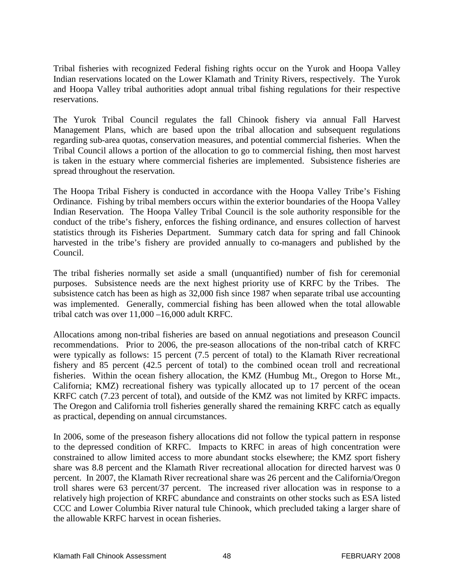Tribal fisheries with recognized Federal fishing rights occur on the Yurok and Hoopa Valley Indian reservations located on the Lower Klamath and Trinity Rivers, respectively. The Yurok and Hoopa Valley tribal authorities adopt annual tribal fishing regulations for their respective reservations.

The Yurok Tribal Council regulates the fall Chinook fishery via annual Fall Harvest Management Plans, which are based upon the tribal allocation and subsequent regulations regarding sub-area quotas, conservation measures, and potential commercial fisheries. When the Tribal Council allows a portion of the allocation to go to commercial fishing, then most harvest is taken in the estuary where commercial fisheries are implemented. Subsistence fisheries are spread throughout the reservation.

The Hoopa Tribal Fishery is conducted in accordance with the Hoopa Valley Tribe's Fishing Ordinance. Fishing by tribal members occurs within the exterior boundaries of the Hoopa Valley Indian Reservation. The Hoopa Valley Tribal Council is the sole authority responsible for the conduct of the tribe's fishery, enforces the fishing ordinance, and ensures collection of harvest statistics through its Fisheries Department. Summary catch data for spring and fall Chinook harvested in the tribe's fishery are provided annually to co-managers and published by the Council.

The tribal fisheries normally set aside a small (unquantified) number of fish for ceremonial purposes. Subsistence needs are the next highest priority use of KRFC by the Tribes. The subsistence catch has been as high as 32,000 fish since 1987 when separate tribal use accounting was implemented. Generally, commercial fishing has been allowed when the total allowable tribal catch was over 11,000 –16,000 adult KRFC.

Allocations among non-tribal fisheries are based on annual negotiations and preseason Council recommendations. Prior to 2006, the pre-season allocations of the non-tribal catch of KRFC were typically as follows: 15 percent (7.5 percent of total) to the Klamath River recreational fishery and 85 percent (42.5 percent of total) to the combined ocean troll and recreational fisheries. Within the ocean fishery allocation, the KMZ (Humbug Mt., Oregon to Horse Mt., California; KMZ) recreational fishery was typically allocated up to 17 percent of the ocean KRFC catch (7.23 percent of total), and outside of the KMZ was not limited by KRFC impacts. The Oregon and California troll fisheries generally shared the remaining KRFC catch as equally as practical, depending on annual circumstances.

In 2006, some of the preseason fishery allocations did not follow the typical pattern in response to the depressed condition of KRFC. Impacts to KRFC in areas of high concentration were constrained to allow limited access to more abundant stocks elsewhere; the KMZ sport fishery share was 8.8 percent and the Klamath River recreational allocation for directed harvest was 0 percent. In 2007, the Klamath River recreational share was 26 percent and the California/Oregon troll shares were 63 percent/37 percent. The increased river allocation was in response to a relatively high projection of KRFC abundance and constraints on other stocks such as ESA listed CCC and Lower Columbia River natural tule Chinook, which precluded taking a larger share of the allowable KRFC harvest in ocean fisheries.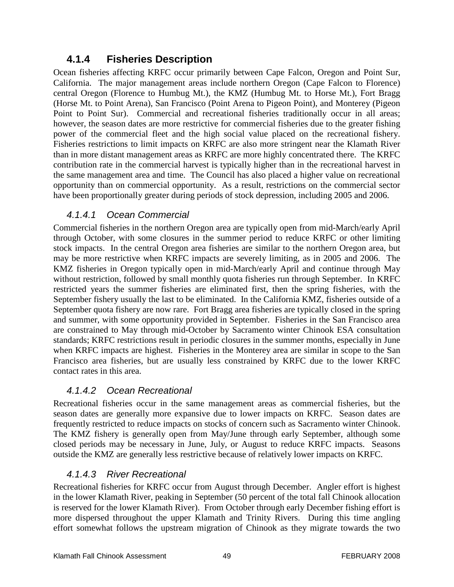## **4.1.4 Fisheries Description**

Ocean fisheries affecting KRFC occur primarily between Cape Falcon, Oregon and Point Sur, California. The major management areas include northern Oregon (Cape Falcon to Florence) central Oregon (Florence to Humbug Mt.), the KMZ (Humbug Mt. to Horse Mt.), Fort Bragg (Horse Mt. to Point Arena), San Francisco (Point Arena to Pigeon Point), and Monterey (Pigeon Point to Point Sur). Commercial and recreational fisheries traditionally occur in all areas; however, the season dates are more restrictive for commercial fisheries due to the greater fishing power of the commercial fleet and the high social value placed on the recreational fishery. Fisheries restrictions to limit impacts on KRFC are also more stringent near the Klamath River than in more distant management areas as KRFC are more highly concentrated there. The KRFC contribution rate in the commercial harvest is typically higher than in the recreational harvest in the same management area and time. The Council has also placed a higher value on recreational opportunity than on commercial opportunity. As a result, restrictions on the commercial sector have been proportionally greater during periods of stock depression, including 2005 and 2006.

### *4.1.4.1 Ocean Commercial*

Commercial fisheries in the northern Oregon area are typically open from mid-March/early April through October, with some closures in the summer period to reduce KRFC or other limiting stock impacts. In the central Oregon area fisheries are similar to the northern Oregon area, but may be more restrictive when KRFC impacts are severely limiting, as in 2005 and 2006. The KMZ fisheries in Oregon typically open in mid-March/early April and continue through May without restriction, followed by small monthly quota fisheries run through September. In KRFC restricted years the summer fisheries are eliminated first, then the spring fisheries, with the September fishery usually the last to be eliminated. In the California KMZ, fisheries outside of a September quota fishery are now rare. Fort Bragg area fisheries are typically closed in the spring and summer, with some opportunity provided in September. Fisheries in the San Francisco area are constrained to May through mid-October by Sacramento winter Chinook ESA consultation standards; KRFC restrictions result in periodic closures in the summer months, especially in June when KRFC impacts are highest. Fisheries in the Monterey area are similar in scope to the San Francisco area fisheries, but are usually less constrained by KRFC due to the lower KRFC contact rates in this area.

### *4.1.4.2 Ocean Recreational*

Recreational fisheries occur in the same management areas as commercial fisheries, but the season dates are generally more expansive due to lower impacts on KRFC. Season dates are frequently restricted to reduce impacts on stocks of concern such as Sacramento winter Chinook. The KMZ fishery is generally open from May/June through early September, although some closed periods may be necessary in June, July, or August to reduce KRFC impacts. Seasons outside the KMZ are generally less restrictive because of relatively lower impacts on KRFC.

### *4.1.4.3 River Recreational*

Recreational fisheries for KRFC occur from August through December. Angler effort is highest in the lower Klamath River, peaking in September (50 percent of the total fall Chinook allocation is reserved for the lower Klamath River). From October through early December fishing effort is more dispersed throughout the upper Klamath and Trinity Rivers. During this time angling effort somewhat follows the upstream migration of Chinook as they migrate towards the two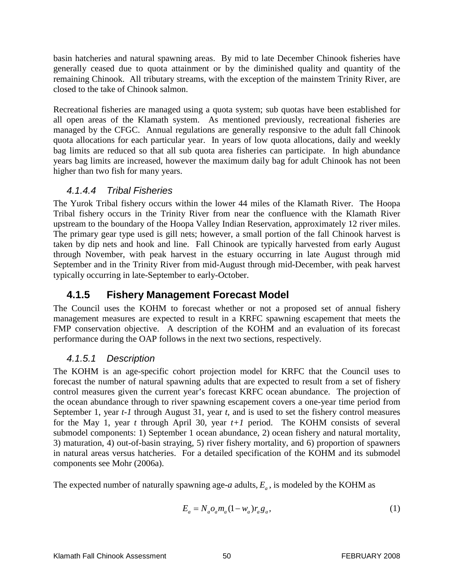basin hatcheries and natural spawning areas. By mid to late December Chinook fisheries have generally ceased due to quota attainment or by the diminished quality and quantity of the remaining Chinook. All tributary streams, with the exception of the mainstem Trinity River, are closed to the take of Chinook salmon.

Recreational fisheries are managed using a quota system; sub quotas have been established for all open areas of the Klamath system. As mentioned previously, recreational fisheries are managed by the CFGC. Annual regulations are generally responsive to the adult fall Chinook quota allocations for each particular year. In years of low quota allocations, daily and weekly bag limits are reduced so that all sub quota area fisheries can participate. In high abundance years bag limits are increased, however the maximum daily bag for adult Chinook has not been higher than two fish for many years.

#### *4.1.4.4 Tribal Fisheries*

The Yurok Tribal fishery occurs within the lower 44 miles of the Klamath River. The Hoopa Tribal fishery occurs in the Trinity River from near the confluence with the Klamath River upstream to the boundary of the Hoopa Valley Indian Reservation, approximately 12 river miles. The primary gear type used is gill nets; however, a small portion of the fall Chinook harvest is taken by dip nets and hook and line. Fall Chinook are typically harvested from early August through November, with peak harvest in the estuary occurring in late August through mid September and in the Trinity River from mid-August through mid-December, with peak harvest typically occurring in late-September to early-October.

## **4.1.5 Fishery Management Forecast Model**

The Council uses the KOHM to forecast whether or not a proposed set of annual fishery management measures are expected to result in a KRFC spawning escapement that meets the FMP conservation objective. A description of the KOHM and an evaluation of its forecast performance during the OAP follows in the next two sections, respectively.

### *4.1.5.1 Description*

The KOHM is an age-specific cohort projection model for KRFC that the Council uses to forecast the number of natural spawning adults that are expected to result from a set of fishery control measures given the current year's forecast KRFC ocean abundance. The projection of the ocean abundance through to river spawning escapement covers a one-year time period from September 1, year *t-1* through August 31, year *t*, and is used to set the fishery control measures for the May 1, year *t* through April 30, year  $t+1$  period. The KOHM consists of several submodel components: 1) September 1 ocean abundance, 2) ocean fishery and natural mortality, 3) maturation, 4) out-of-basin straying, 5) river fishery mortality, and 6) proportion of spawners in natural areas versus hatcheries. For a detailed specification of the KOHM and its submodel components see Mohr (2006a).

The expected number of naturally spawning age- $a$  adults,  $E_a$ , is modeled by the KOHM as

$$
E_a = N_a o_a m_a (1 - w_a) r_a g_a,
$$
\n(1)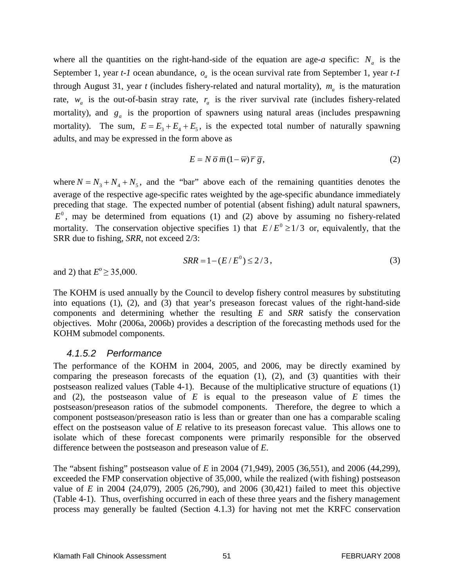where all the quantities on the right-hand-side of the equation are age-*a* specific:  $N_a$  is the September 1, year  $t$ -1 ocean abundance,  $o_a$  is the ocean survival rate from September 1, year  $t$ -1 through August 31, year *t* (includes fishery-related and natural mortality),  $m_a$  is the maturation rate,  $w_a$  is the out-of-basin stray rate,  $r_a$  is the river survival rate (includes fishery-related mortality), and  $g_a$  is the proportion of spawners using natural areas (includes prespawning mortality). The sum,  $E = E_3 + E_4 + E_5$ , is the expected total number of naturally spawning adults, and may be expressed in the form above as

$$
E = N \overline{\sigma} \overline{m} (1 - \overline{w}) \overline{r} \overline{g}, \qquad (2)
$$

where  $N = N_3 + N_4 + N_5$ , and the "bar" above each of the remaining quantities denotes the average of the respective age-specific rates weighted by the age-specific abundance immediately preceding that stage. The expected number of potential (absent fishing) adult natural spawners,  $E<sup>0</sup>$ , may be determined from equations (1) and (2) above by assuming no fishery-related mortality. The conservation objective specifies 1) that  $E/E^0 \ge 1/3$  or, equivalently, that the SRR due to fishing, *SRR*, not exceed 2/3:

$$
SRR = 1 - (E/E^0) \le 2/3,
$$
\n(3)

and 2) that  $E^{\circ} \ge 35,000$ .

The KOHM is used annually by the Council to develop fishery control measures by substituting into equations (1), (2), and (3) that year's preseason forecast values of the right-hand-side components and determining whether the resulting *E* and *SRR* satisfy the conservation objectives. Mohr (2006a, 2006b) provides a description of the forecasting methods used for the KOHM submodel components.

#### *4.1.5.2 Performance*

The performance of the KOHM in 2004, 2005, and 2006, may be directly examined by comparing the preseason forecasts of the equation  $(1)$ ,  $(2)$ , and  $(3)$  quantities with their postseason realized values (Table 4-1). Because of the multiplicative structure of equations (1) and (2), the postseason value of *E* is equal to the preseason value of *E* times the postseason/preseason ratios of the submodel components. Therefore, the degree to which a component postseason/preseason ratio is less than or greater than one has a comparable scaling effect on the postseason value of *E* relative to its preseason forecast value. This allows one to isolate which of these forecast components were primarily responsible for the observed difference between the postseason and preseason value of *E*.

The "absent fishing" postseason value of *E* in 2004 (71,949), 2005 (36,551), and 2006 (44,299), exceeded the FMP conservation objective of 35,000, while the realized (with fishing) postseason value of *E* in 2004 (24,079), 2005 (26,790), and 2006 (30,421) failed to meet this objective (Table 4-1). Thus, overfishing occurred in each of these three years and the fishery management process may generally be faulted (Section 4.1.3) for having not met the KRFC conservation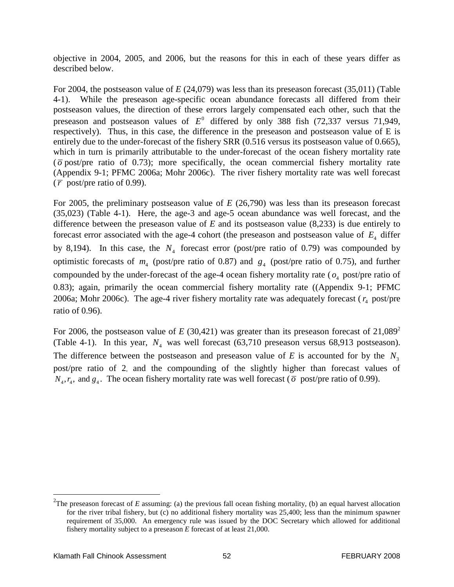objective in 2004, 2005, and 2006, but the reasons for this in each of these years differ as described below.

For 2004, the postseason value of *E* (24,079) was less than its preseason forecast (35,011) (Table 4-1). While the preseason age-specific ocean abundance forecasts all differed from their postseason values, the direction of these errors largely compensated each other, such that the preseason and postseason values of  $E^0$  differed by only 388 fish (72,337 versus 71,949, respectively). Thus, in this case, the difference in the preseason and postseason value of E is entirely due to the under-forecast of the fishery SRR (0.516 versus its postseason value of 0.665), which in turn is primarily attributable to the under-forecast of the ocean fishery mortality rate ( $\overline{\sigma}$  post/pre ratio of 0.73); more specifically, the ocean commercial fishery mortality rate (Appendix 9-1; PFMC 2006a; Mohr 2006c). The river fishery mortality rate was well forecast  $(\bar{r}$  post/pre ratio of 0.99).

For 2005, the preliminary postseason value of *E* (26,790) was less than its preseason forecast (35,023) (Table 4-1). Here, the age-3 and age-5 ocean abundance was well forecast, and the difference between the preseason value of *E* and its postseason value (8,233) is due entirely to forecast error associated with the age-4 cohort (the preseason and postseason value of  $E<sub>4</sub>$  differ by 8,194). In this case, the  $N<sub>4</sub>$  forecast error (post/pre ratio of 0.79) was compounded by optimistic forecasts of  $m_4$  (post/pre ratio of 0.87) and  $g_4$  (post/pre ratio of 0.75), and further compounded by the under-forecast of the age-4 ocean fishery mortality rate ( $o_4$  post/pre ratio of 0.83); again, primarily the ocean commercial fishery mortality rate ((Appendix 9-1; PFMC 2006a; Mohr 2006c). The age-4 river fishery mortality rate was adequately forecast ( $r_4$  post/pre ratio of 0.96).

For 2006, the postseason value of  $E(30,421)$  was greater than its preseason forecast of  $21,089^2$ (Table 4-1). In this year,  $N_4$  was well forecast (63,710 preseason versus 68,913 postseason). The difference between the postseason and preseason value of  $E$  is accounted for by the  $N_3$ post/pre ratio of 2, and the compounding of the slightly higher than forecast values of  $N_4$ ,  $r_4$ , and  $g_4$ . The ocean fishery mortality rate was well forecast ( $\overline{\sigma}$  post/pre ratio of 0.99).

 $\frac{1}{2}$ <sup>2</sup>The preseason forecast of *E* assuming: (a) the previous fall ocean fishing mortality, (b) an equal harvest allocation for the river tribal fishery, but (c) no additional fishery mortality was 25,400; less than the minimum spawner requirement of 35,000. An emergency rule was issued by the DOC Secretary which allowed for additional fishery mortality subject to a preseason *E* forecast of at least 21,000.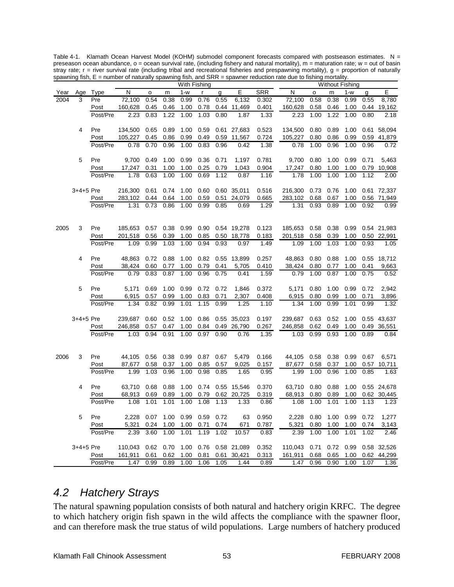| With Fishing                                                                                           | <b>Without Fishing</b> |                |
|--------------------------------------------------------------------------------------------------------|------------------------|----------------|
| E<br>SRR<br>N<br>$1 - w$<br>N<br>Age Type<br>$\mathsf{r}$<br>g<br>Year<br>o<br>m<br>$\mathsf{o}\,$     | m<br>$1-w$             | E<br>g         |
| 2004<br>0.38<br>0.76<br>6,132<br>0.58<br>3<br>Pre<br>72,100<br>0.54<br>0.99<br>0.55<br>0.302<br>72,100 | 0.38<br>0.99           | 8,780<br>0.55  |
| 160,628<br>0.45<br>1.00<br>0.78<br>0.44 11,469<br>0.401<br>160,628<br>0.58<br>Post<br>0.46             | 0.46<br>1.00           | 0.44 19,162    |
| 2.23<br>0.83<br>1.22<br>1.00<br>1.03<br>1.00<br>Post/Pre<br>0.80<br>1.87<br>1.33<br>2.23               | 1.22<br>1.00           | 0.80<br>2.18   |
|                                                                                                        |                        |                |
| Pre<br>134,500<br>0.65<br>0.89<br>1.00<br>0.59<br>0.61 27,683<br>0.523<br>134,500<br>0.80<br>4         | 0.89<br>1.00           | 0.61 58,094    |
| 105,227<br>11,567<br>105,227<br>Post<br>0.45<br>0.86<br>0.99<br>0.49<br>0.59<br>0.724<br>0.80          | 0.99<br>0.86           | 0.59 41,879    |
| 0.70<br>0.96<br>1.00<br>0.83<br>0.96<br>0.42<br>1.38<br>0.78<br>1.00<br>Post/Pre<br>0.78               | 0.96<br>1.00           | 0.96<br>0.72   |
|                                                                                                        |                        |                |
| 5<br>Pre<br>9,700<br>0.49<br>1.00<br>0.99<br>0.36<br>0.71<br>1,197<br>0.781<br>9,700<br>0.80           | 1.00<br>0.99           | 0.71<br>5,463  |
| 1.00<br>0.25<br>0.79<br>1,043<br>Post<br>17,247<br>0.31<br>1.00<br>0.904<br>17,247<br>0.80             | 1.00<br>1.00           | 0.79<br>10,908 |
| 0.63<br>1.00<br>1.00<br>0.69<br>1.78<br>1.00<br>1.78<br>1.12<br>0.87<br>1.16<br>Post/Pre               | 1.00<br>1.00           | 1.12<br>2.00   |
|                                                                                                        |                        |                |
| $3+4+5$ Pre<br>1.00<br>0.60<br>0.60 35,011<br>0.516<br>216,300<br>0.73<br>216,300<br>0.61<br>0.74      | 0.76<br>1.00           | 0.61 72,337    |
| 283,102<br>0.64<br>1.00<br>0.59<br>0.51<br>24,079<br>0.665<br>283,102<br>0.68<br>Post<br>0.44          | 0.67<br>1.00           | 0.56 71,949    |
| 0.73<br>0.86<br>1.00<br>0.99<br>0.93<br>Post/Pre<br>1.31<br>0.85<br>0.69<br>1.29<br>1.31               | 1.00<br>0.89           | 0.92<br>0.99   |
|                                                                                                        |                        |                |
|                                                                                                        |                        |                |
| 2005<br>3<br>Pre<br>185,653 0.57<br>0.38 0.99<br>0.90  0.54  19,278<br>0.123<br>185,653<br>0.58        | 0.99<br>0.38           | 0.54 21,983    |
| 201,518<br>0.39<br>1.00<br>0.85<br>0.50 18,778<br>0.183<br>201,518<br>0.58<br>Post<br>0.56             | 0.39<br>1.00           | 0.50 22,991    |
| 1.03<br>1.49<br>1.00<br>Post/Pre<br>1.09<br>0.99<br>1.00<br>0.94<br>0.93<br>0.97<br>1.09               | 1.03<br>1.00           | 0.93<br>1.05   |
|                                                                                                        |                        |                |
| 4<br>Pre<br>48,863<br>0.72<br>0.88<br>1.00<br>0.82<br>0.55 13,899<br>0.257<br>48,863<br>0.80           | 0.88<br>1.00           | 0.55 18,712    |
| 38,424<br>0.60<br>0.77<br>1.00<br>0.79<br>0.41<br>5,705<br>0.410<br>38,424<br>0.80<br>Post             | 0.77<br>1.00           | 0.41<br>9,663  |
| 0.79<br>0.83<br>0.87<br>1.00<br>0.96<br>0.75<br>0.41<br>1.59<br>0.79<br>1.00<br>Post/Pre               | 0.87<br>1.00           | 0.75<br>0.52   |
|                                                                                                        |                        |                |
| Pre<br>5<br>5,171<br>0.69<br>1.00<br>0.99<br>0.72<br>0.72<br>1,846<br>0.372<br>5,171<br>0.80           | 1.00<br>0.99           | 2,942<br>0.72  |
| 0.57<br>0.99<br>1.00<br>0.83<br>0.71<br>2,307<br>0.408<br>6,915<br>6,915<br>0.80<br>Post               | 0.99<br>1.00           | 0.71<br>3,896  |
| 0.99<br>1.34<br>0.82<br>1.01<br>1.15<br>0.99<br>1.25<br>1.10<br>1.34<br>1.00<br>Post/Pre               | 0.99<br>1.01           | 0.99<br>1.32   |
|                                                                                                        |                        |                |
| 3+4+5 Pre<br>$0.60$ $0.52$<br>1.00<br>0.86<br>0.55 35,023<br>0.197<br>239,687<br>0.63<br>239,687       | 0.52<br>1.00           | 0.55 43,637    |
| 246,858<br>0.57<br>1.00<br>0.84<br>0.49 26,790<br>0.267<br>246,858<br>0.62<br>Post<br>0.47             | 0.49<br>1.00           | 0.49 36,551    |
| 0.94<br>0.91<br>1.00<br>0.97<br>0.99<br>Post/Pre<br>1.03<br>0.90<br>0.76<br>1.35<br>1.03               | 0.93<br>1.00           | 0.89<br>0.84   |
|                                                                                                        |                        |                |
|                                                                                                        |                        |                |
| 2006<br>Pre<br>44,105<br>0.56<br>0.38<br>0.99<br>0.87<br>0.67<br>5,479<br>0.166<br>44,105<br>0.58<br>3 | 0.38<br>0.99           | 0.67<br>6,571  |
| 1.00<br>0.85<br>0.57<br>9,025<br>Post<br>87,677<br>0.58<br>0.37<br>0.157<br>87,677<br>0.58<br>1.03     | 0.37<br>1.00           | 0.57 10,711    |
| 1.99<br>0.96<br>1.00<br>0.98<br>0.85<br>1.65<br>0.95<br>1.99<br>1.00<br>Post/Pre                       | 0.96<br>1.00           | 0.85<br>1.63   |
| Pre<br>1.00<br>0.74<br>0.370<br>4<br>63,710<br>0.68<br>63,710<br>0.80                                  | 1.00<br>0.88           | 0.55 24,678    |
| 0.88<br>0.55 15,546<br>68,913<br>0.69<br>0.89<br>1.00<br>0.79<br>0.62 20,725<br>68,913<br>0.80<br>Post | 0.89<br>1.00           | 0.62 30,445    |
| 0.319<br>1.01<br>1.01<br>1.00<br>1.08<br>1.13<br>1.00<br>Post/Pre<br>1.08<br>1.33<br>0.86<br>1.08      | 1.01<br>1.00           | 1.13<br>1.23   |
|                                                                                                        |                        |                |
| 5<br>0.99<br>0.72<br>63<br>0.950<br>Pre<br>2,228<br>0.07<br>1.00<br>0.59<br>2,228<br>0.80              | 1.00<br>0.99           | 0.72<br>1,277  |
| 0.787<br>5,321<br>0.24<br>1.00<br>1.00<br>0.71<br>0.74<br>671<br>5,321<br>0.80<br>Post                 | 1.00<br>1.00           | 0.74<br>3,143  |
| 1.00<br>2.39<br>3.60<br>1.01<br>1.19<br>1.02<br>10.57<br>2.39<br>1.00<br>Post/Pre<br>0.83              | 1.00<br>1.01           | 1.02<br>2.46   |
|                                                                                                        |                        |                |
| $3+4+5$ Pre<br>110.043<br>0.62<br>0.70<br>1.00<br>0.76<br>0.58 21,089<br>0.352<br>110,043<br>0.71      | 0.72<br>0.99           | 0.58 32,526    |
| 161,911<br>0.62<br>1.00<br>0.81<br>0.313<br>161,911<br>Post<br>0.61<br>0.61 30,421<br>0.68             | 1.00<br>0.65           | 0.62 44,299    |
| 1.47<br>0.99<br>0.89<br>1.00<br>Post/Pre<br>1.06<br>1.05<br>1.44<br>0.89<br>1.47<br>0.96               | 0.90<br>1.00           | 1.07<br>1.36   |

Table 4-1. Klamath Ocean Harvest Model (KOHM) submodel component forecasts compared with postseason estimates. N = preseason ocean abundance, o = ocean survival rate, (including fishery and natural mortality), m = maturation rate; w = out of basin stray rate;  $r =$  river survival rate (including tribal and recreational fisheries and prespawning mortality),  $g =$  proportion of naturally spawning fish, E = number of naturally spawning fish, and SRR = spawner reduction rate due to fishing mortality.

## *4.2 Hatchery Strays*

The natural spawning population consists of both natural and hatchery origin KRFC. The degree to which hatchery origin fish spawn in the wild affects the compliance with the spawner floor, and can therefore mask the true status of wild populations. Large numbers of hatchery produced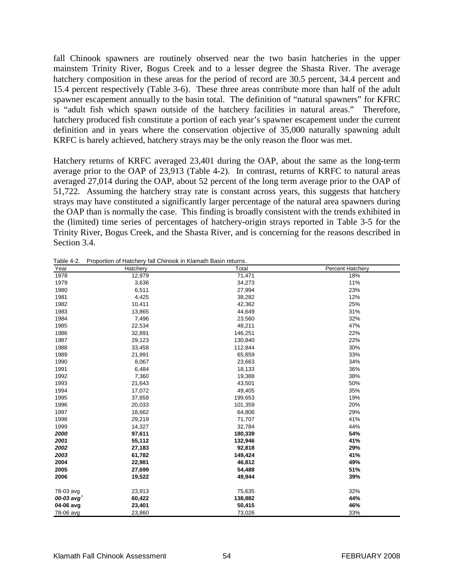fall Chinook spawners are routinely observed near the two basin hatcheries in the upper mainstem Trinity River, Bogus Creek and to a lesser degree the Shasta River. The average hatchery composition in these areas for the period of record are 30.5 percent, 34.4 percent and 15.4 percent respectively (Table 3-6). These three areas contribute more than half of the adult spawner escapement annually to the basin total. The definition of "natural spawners" for KFRC is "adult fish which spawn outside of the hatchery facilities in natural areas." Therefore, hatchery produced fish constitute a portion of each year's spawner escapement under the current definition and in years where the conservation objective of 35,000 naturally spawning adult KRFC is barely achieved, hatchery strays may be the only reason the floor was met.

Hatchery returns of KRFC averaged 23,401 during the OAP, about the same as the long-term average prior to the OAP of 23,913 (Table 4-2). In contrast, returns of KRFC to natural areas averaged 27,014 during the OAP, about 52 percent of the long term average prior to the OAP of 51,722. Assuming the hatchery stray rate is constant across years, this suggests that hatchery strays may have constituted a significantly larger percentage of the natural area spawners during the OAP than is normally the case. This finding is broadly consistent with the trends exhibited in the (limited) time series of percentages of hatchery-origin strays reported in Table 3-5 for the Trinity River, Bogus Creek, and the Shasta River, and is concerning for the reasons described in Section 3.4.

| Year      | Hatchery | Total   | Percent Hatchery |
|-----------|----------|---------|------------------|
| 1978      | 12,979   | 71,471  | 18%              |
| 1979      | 3,636    | 34,273  | 11%              |
| 1980      | 6,511    | 27,994  | 23%              |
| 1981      | 4,425    | 38,282  | 12%              |
| 1982      | 10,411   | 42,362  | 25%              |
| 1983      | 13,865   | 44,649  | 31%              |
| 1984      | 7,496    | 23,560  | 32%              |
| 1985      | 22,534   | 48,211  | 47%              |
| 1986      | 32,891   | 146,251 | 22%              |
| 1987      | 29,123   | 130,840 | 22%              |
| 1988      | 33,458   | 112,844 | 30%              |
| 1989      | 21,991   | 65,859  | 33%              |
| 1990      | 8,067    | 23,663  | 34%              |
| 1991      | 6,484    | 18,133  | 36%              |
| 1992      | 7,360    | 19,388  | 38%              |
| 1993      | 21,643   | 43,501  | 50%              |
| 1994      | 17,072   | 49,405  | 35%              |
| 1995      | 37,859   | 199,653 | 19%              |
| 1996      | 20,033   | 101,359 | 20%              |
| 1997      | 18,662   | 64,806  | 29%              |
| 1998      | 29,219   | 71,707  | 41%              |
| 1999      | 14,327   | 32,784  | 44%              |
| 2000      | 97,611   | 180,339 | 54%              |
| 2001      | 55,112   | 132,946 | 41%              |
| 2002      | 27,183   | 92,818  | 29%              |
| 2003      | 61,782   | 149,424 | 41%              |
| 2004      | 22,981   | 46,812  | 49%              |
| 2005      | 27,699   | 54,488  | 51%              |
| 2006      | 19,522   | 49,944  | 39%              |
| 78-03 avg | 23,913   | 75,635  | 32%              |
| 00-03 avg | 60,422   | 138,882 | 44%              |
| 04-06 avg | 23,401   | 50,415  | 46%              |
| 78-06 avg | 23,860   | 73,026  | 33%              |

Table 4-2. Proportion of Hatchery fall Chinook in Klamath Basin returns.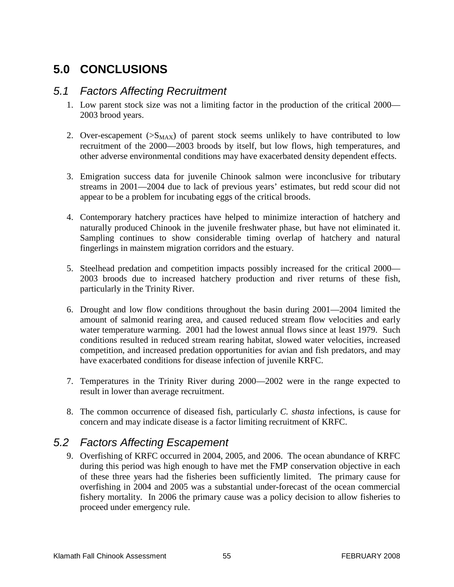# **5.0 CONCLUSIONS**

### *5.1 Factors Affecting Recruitment*

- 1. Low parent stock size was not a limiting factor in the production of the critical 2000— 2003 brood years.
- 2. Over-escapement  $(S_{MAX})$  of parent stock seems unlikely to have contributed to low recruitment of the 2000—2003 broods by itself, but low flows, high temperatures, and other adverse environmental conditions may have exacerbated density dependent effects.
- 3. Emigration success data for juvenile Chinook salmon were inconclusive for tributary streams in 2001—2004 due to lack of previous years' estimates, but redd scour did not appear to be a problem for incubating eggs of the critical broods.
- 4. Contemporary hatchery practices have helped to minimize interaction of hatchery and naturally produced Chinook in the juvenile freshwater phase, but have not eliminated it. Sampling continues to show considerable timing overlap of hatchery and natural fingerlings in mainstem migration corridors and the estuary.
- 5. Steelhead predation and competition impacts possibly increased for the critical 2000— 2003 broods due to increased hatchery production and river returns of these fish, particularly in the Trinity River.
- 6. Drought and low flow conditions throughout the basin during 2001—2004 limited the amount of salmonid rearing area, and caused reduced stream flow velocities and early water temperature warming. 2001 had the lowest annual flows since at least 1979. Such conditions resulted in reduced stream rearing habitat, slowed water velocities, increased competition, and increased predation opportunities for avian and fish predators, and may have exacerbated conditions for disease infection of juvenile KRFC.
- 7. Temperatures in the Trinity River during 2000—2002 were in the range expected to result in lower than average recruitment.
- 8. The common occurrence of diseased fish, particularly *C. shasta* infections, is cause for concern and may indicate disease is a factor limiting recruitment of KRFC.

# *5.2 Factors Affecting Escapement*

9. Overfishing of KRFC occurred in 2004, 2005, and 2006. The ocean abundance of KRFC during this period was high enough to have met the FMP conservation objective in each of these three years had the fisheries been sufficiently limited. The primary cause for overfishing in 2004 and 2005 was a substantial under-forecast of the ocean commercial fishery mortality. In 2006 the primary cause was a policy decision to allow fisheries to proceed under emergency rule.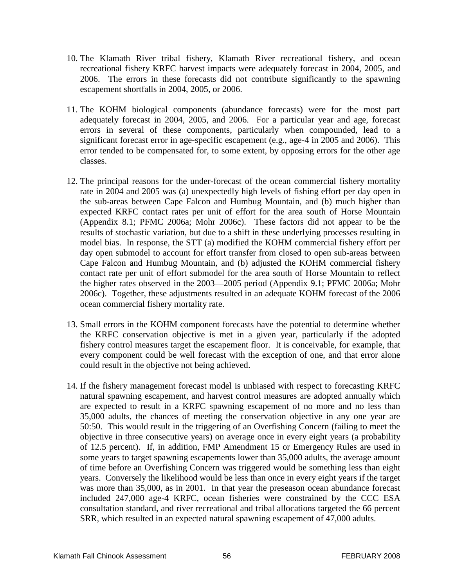- 10. The Klamath River tribal fishery, Klamath River recreational fishery, and ocean recreational fishery KRFC harvest impacts were adequately forecast in 2004, 2005, and 2006. The errors in these forecasts did not contribute significantly to the spawning escapement shortfalls in 2004, 2005, or 2006.
- 11. The KOHM biological components (abundance forecasts) were for the most part adequately forecast in 2004, 2005, and 2006. For a particular year and age, forecast errors in several of these components, particularly when compounded, lead to a significant forecast error in age-specific escapement (e.g., age-4 in 2005 and 2006). This error tended to be compensated for, to some extent, by opposing errors for the other age classes.
- 12. The principal reasons for the under-forecast of the ocean commercial fishery mortality rate in 2004 and 2005 was (a) unexpectedly high levels of fishing effort per day open in the sub-areas between Cape Falcon and Humbug Mountain, and (b) much higher than expected KRFC contact rates per unit of effort for the area south of Horse Mountain (Appendix 8.1; PFMC 2006a; Mohr 2006c). These factors did not appear to be the results of stochastic variation, but due to a shift in these underlying processes resulting in model bias. In response, the STT (a) modified the KOHM commercial fishery effort per day open submodel to account for effort transfer from closed to open sub-areas between Cape Falcon and Humbug Mountain, and (b) adjusted the KOHM commercial fishery contact rate per unit of effort submodel for the area south of Horse Mountain to reflect the higher rates observed in the 2003—2005 period (Appendix 9.1; PFMC 2006a; Mohr 2006c). Together, these adjustments resulted in an adequate KOHM forecast of the 2006 ocean commercial fishery mortality rate.
- 13. Small errors in the KOHM component forecasts have the potential to determine whether the KRFC conservation objective is met in a given year, particularly if the adopted fishery control measures target the escapement floor. It is conceivable, for example, that every component could be well forecast with the exception of one, and that error alone could result in the objective not being achieved.
- 14. If the fishery management forecast model is unbiased with respect to forecasting KRFC natural spawning escapement, and harvest control measures are adopted annually which are expected to result in a KRFC spawning escapement of no more and no less than 35,000 adults, the chances of meeting the conservation objective in any one year are 50:50. This would result in the triggering of an Overfishing Concern (failing to meet the objective in three consecutive years) on average once in every eight years (a probability of 12.5 percent). If, in addition, FMP Amendment 15 or Emergency Rules are used in some years to target spawning escapements lower than 35,000 adults, the average amount of time before an Overfishing Concern was triggered would be something less than eight years. Conversely the likelihood would be less than once in every eight years if the target was more than 35,000, as in 2001. In that year the preseason ocean abundance forecast included 247,000 age-4 KRFC, ocean fisheries were constrained by the CCC ESA consultation standard, and river recreational and tribal allocations targeted the 66 percent SRR, which resulted in an expected natural spawning escapement of 47,000 adults.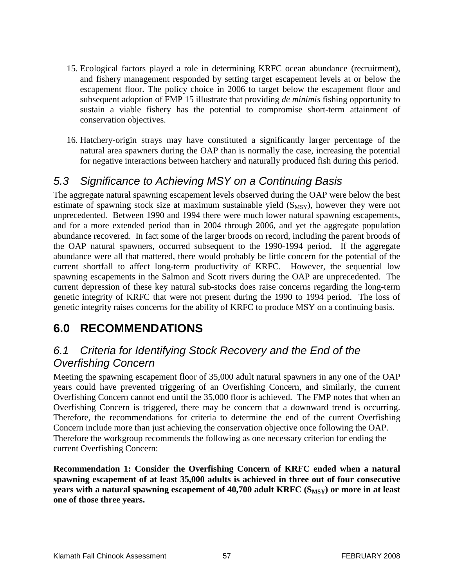- 15. Ecological factors played a role in determining KRFC ocean abundance (recruitment), and fishery management responded by setting target escapement levels at or below the escapement floor. The policy choice in 2006 to target below the escapement floor and subsequent adoption of FMP 15 illustrate that providing *de minimis* fishing opportunity to sustain a viable fishery has the potential to compromise short-term attainment of conservation objectives.
- 16. Hatchery-origin strays may have constituted a significantly larger percentage of the natural area spawners during the OAP than is normally the case, increasing the potential for negative interactions between hatchery and naturally produced fish during this period.

# *5.3 Significance to Achieving MSY on a Continuing Basis*

The aggregate natural spawning escapement levels observed during the OAP were below the best estimate of spawning stock size at maximum sustainable yield  $(S_{MSY})$ , however they were not unprecedented. Between 1990 and 1994 there were much lower natural spawning escapements, and for a more extended period than in 2004 through 2006, and yet the aggregate population abundance recovered. In fact some of the larger broods on record, including the parent broods of the OAP natural spawners, occurred subsequent to the 1990-1994 period. If the aggregate abundance were all that mattered, there would probably be little concern for the potential of the current shortfall to affect long-term productivity of KRFC. However, the sequential low spawning escapements in the Salmon and Scott rivers during the OAP are unprecedented. The current depression of these key natural sub-stocks does raise concerns regarding the long-term genetic integrity of KRFC that were not present during the 1990 to 1994 period. The loss of genetic integrity raises concerns for the ability of KRFC to produce MSY on a continuing basis.

# **6.0 RECOMMENDATIONS**

# *6.1 Criteria for Identifying Stock Recovery and the End of the Overfishing Concern*

Meeting the spawning escapement floor of 35,000 adult natural spawners in any one of the OAP years could have prevented triggering of an Overfishing Concern, and similarly, the current Overfishing Concern cannot end until the 35,000 floor is achieved. The FMP notes that when an Overfishing Concern is triggered, there may be concern that a downward trend is occurring. Therefore, the recommendations for criteria to determine the end of the current Overfishing Concern include more than just achieving the conservation objective once following the OAP. Therefore the workgroup recommends the following as one necessary criterion for ending the current Overfishing Concern:

**Recommendation 1: Consider the Overfishing Concern of KRFC ended when a natural spawning escapement of at least 35,000 adults is achieved in three out of four consecutive years with a natural spawning escapement of 40,700 adult KRFC (S<sub>MSY</sub>) or more in at least one of those three years.**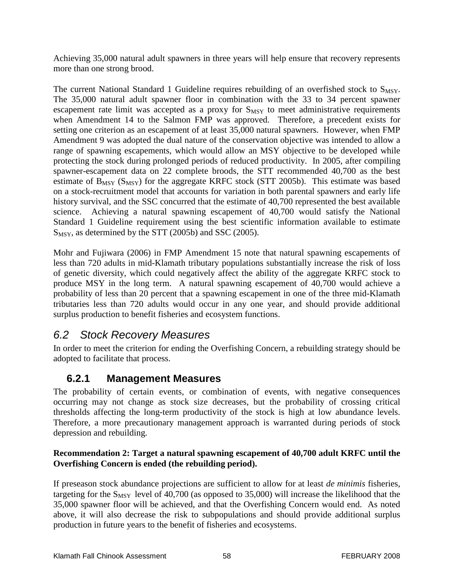Achieving 35,000 natural adult spawners in three years will help ensure that recovery represents more than one strong brood.

The current National Standard 1 Guideline requires rebuilding of an overfished stock to  $S_{MSY}$ . The 35,000 natural adult spawner floor in combination with the 33 to 34 percent spawner escapement rate limit was accepted as a proxy for  $S_{MSY}$  to meet administrative requirements when Amendment 14 to the Salmon FMP was approved. Therefore, a precedent exists for setting one criterion as an escapement of at least 35,000 natural spawners. However, when FMP Amendment 9 was adopted the dual nature of the conservation objective was intended to allow a range of spawning escapements, which would allow an MSY objective to be developed while protecting the stock during prolonged periods of reduced productivity. In 2005, after compiling spawner-escapement data on 22 complete broods, the STT recommended 40,700 as the best estimate of  $B_{MSY}$  ( $S_{MSY}$ ) for the aggregate KRFC stock (STT 2005b). This estimate was based on a stock-recruitment model that accounts for variation in both parental spawners and early life history survival, and the SSC concurred that the estimate of 40,700 represented the best available science. Achieving a natural spawning escapement of 40,700 would satisfy the National Standard 1 Guideline requirement using the best scientific information available to estimate  $S_{MSY}$ , as determined by the STT (2005b) and SSC (2005).

Mohr and Fujiwara (2006) in FMP Amendment 15 note that natural spawning escapements of less than 720 adults in mid-Klamath tributary populations substantially increase the risk of loss of genetic diversity, which could negatively affect the ability of the aggregate KRFC stock to produce MSY in the long term. A natural spawning escapement of 40,700 would achieve a probability of less than 20 percent that a spawning escapement in one of the three mid-Klamath tributaries less than 720 adults would occur in any one year, and should provide additional surplus production to benefit fisheries and ecosystem functions.

# *6.2 Stock Recovery Measures*

In order to meet the criterion for ending the Overfishing Concern, a rebuilding strategy should be adopted to facilitate that process.

## **6.2.1 Management Measures**

The probability of certain events, or combination of events, with negative consequences occurring may not change as stock size decreases, but the probability of crossing critical thresholds affecting the long-term productivity of the stock is high at low abundance levels. Therefore, a more precautionary management approach is warranted during periods of stock depression and rebuilding.

#### **Recommendation 2: Target a natural spawning escapement of 40,700 adult KRFC until the Overfishing Concern is ended (the rebuilding period).**

If preseason stock abundance projections are sufficient to allow for at least *de minimis* fisheries, targeting for the  $S_{MSY}$  level of 40,700 (as opposed to 35,000) will increase the likelihood that the 35,000 spawner floor will be achieved, and that the Overfishing Concern would end. As noted above, it will also decrease the risk to subpopulations and should provide additional surplus production in future years to the benefit of fisheries and ecosystems.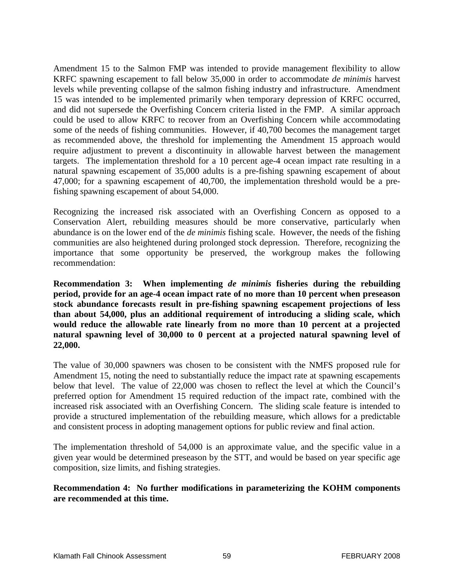Amendment 15 to the Salmon FMP was intended to provide management flexibility to allow KRFC spawning escapement to fall below 35,000 in order to accommodate *de minimis* harvest levels while preventing collapse of the salmon fishing industry and infrastructure. Amendment 15 was intended to be implemented primarily when temporary depression of KRFC occurred, and did not supersede the Overfishing Concern criteria listed in the FMP. A similar approach could be used to allow KRFC to recover from an Overfishing Concern while accommodating some of the needs of fishing communities. However, if 40,700 becomes the management target as recommended above, the threshold for implementing the Amendment 15 approach would require adjustment to prevent a discontinuity in allowable harvest between the management targets. The implementation threshold for a 10 percent age-4 ocean impact rate resulting in a natural spawning escapement of 35,000 adults is a pre-fishing spawning escapement of about 47,000; for a spawning escapement of 40,700, the implementation threshold would be a prefishing spawning escapement of about 54,000.

Recognizing the increased risk associated with an Overfishing Concern as opposed to a Conservation Alert, rebuilding measures should be more conservative, particularly when abundance is on the lower end of the *de minimis* fishing scale. However, the needs of the fishing communities are also heightened during prolonged stock depression. Therefore, recognizing the importance that some opportunity be preserved, the workgroup makes the following recommendation:

**Recommendation 3: When implementing** *de minimis* **fisheries during the rebuilding period, provide for an age-4 ocean impact rate of no more than 10 percent when preseason stock abundance forecasts result in pre-fishing spawning escapement projections of less than about 54,000, plus an additional requirement of introducing a sliding scale, which would reduce the allowable rate linearly from no more than 10 percent at a projected natural spawning level of 30,000 to 0 percent at a projected natural spawning level of 22,000.** 

The value of 30,000 spawners was chosen to be consistent with the NMFS proposed rule for Amendment 15, noting the need to substantially reduce the impact rate at spawning escapements below that level. The value of 22,000 was chosen to reflect the level at which the Council's preferred option for Amendment 15 required reduction of the impact rate, combined with the increased risk associated with an Overfishing Concern. The sliding scale feature is intended to provide a structured implementation of the rebuilding measure, which allows for a predictable and consistent process in adopting management options for public review and final action.

The implementation threshold of 54,000 is an approximate value, and the specific value in a given year would be determined preseason by the STT, and would be based on year specific age composition, size limits, and fishing strategies.

**Recommendation 4: No further modifications in parameterizing the KOHM components are recommended at this time.**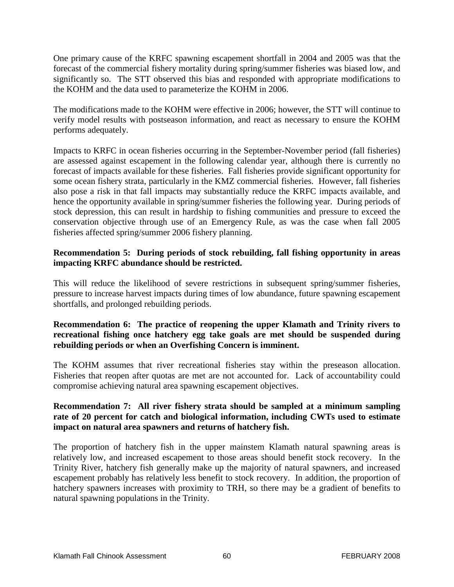One primary cause of the KRFC spawning escapement shortfall in 2004 and 2005 was that the forecast of the commercial fishery mortality during spring/summer fisheries was biased low, and significantly so. The STT observed this bias and responded with appropriate modifications to the KOHM and the data used to parameterize the KOHM in 2006.

The modifications made to the KOHM were effective in 2006; however, the STT will continue to verify model results with postseason information, and react as necessary to ensure the KOHM performs adequately.

Impacts to KRFC in ocean fisheries occurring in the September-November period (fall fisheries) are assessed against escapement in the following calendar year, although there is currently no forecast of impacts available for these fisheries. Fall fisheries provide significant opportunity for some ocean fishery strata, particularly in the KMZ commercial fisheries. However, fall fisheries also pose a risk in that fall impacts may substantially reduce the KRFC impacts available, and hence the opportunity available in spring/summer fisheries the following year. During periods of stock depression, this can result in hardship to fishing communities and pressure to exceed the conservation objective through use of an Emergency Rule, as was the case when fall 2005 fisheries affected spring/summer 2006 fishery planning.

#### **Recommendation 5: During periods of stock rebuilding, fall fishing opportunity in areas impacting KRFC abundance should be restricted.**

This will reduce the likelihood of severe restrictions in subsequent spring/summer fisheries, pressure to increase harvest impacts during times of low abundance, future spawning escapement shortfalls, and prolonged rebuilding periods.

#### **Recommendation 6: The practice of reopening the upper Klamath and Trinity rivers to recreational fishing once hatchery egg take goals are met should be suspended during rebuilding periods or when an Overfishing Concern is imminent.**

The KOHM assumes that river recreational fisheries stay within the preseason allocation. Fisheries that reopen after quotas are met are not accounted for. Lack of accountability could compromise achieving natural area spawning escapement objectives.

#### **Recommendation 7: All river fishery strata should be sampled at a minimum sampling rate of 20 percent for catch and biological information, including CWTs used to estimate impact on natural area spawners and returns of hatchery fish.**

The proportion of hatchery fish in the upper mainstem Klamath natural spawning areas is relatively low, and increased escapement to those areas should benefit stock recovery. In the Trinity River, hatchery fish generally make up the majority of natural spawners, and increased escapement probably has relatively less benefit to stock recovery. In addition, the proportion of hatchery spawners increases with proximity to TRH, so there may be a gradient of benefits to natural spawning populations in the Trinity.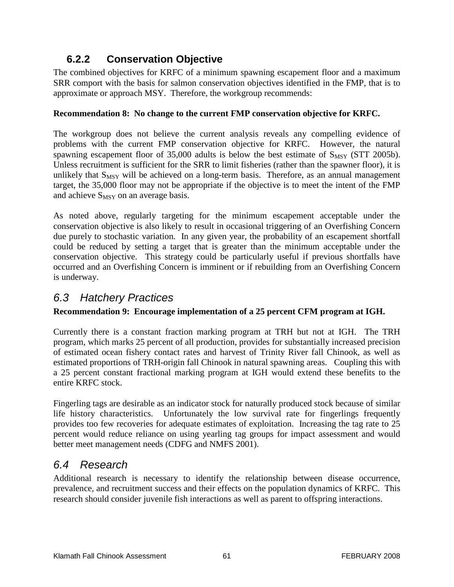# **6.2.2 Conservation Objective**

The combined objectives for KRFC of a minimum spawning escapement floor and a maximum SRR comport with the basis for salmon conservation objectives identified in the FMP, that is to approximate or approach MSY. Therefore, the workgroup recommends:

#### **Recommendation 8: No change to the current FMP conservation objective for KRFC.**

The workgroup does not believe the current analysis reveals any compelling evidence of problems with the current FMP conservation objective for KRFC. However, the natural spawning escapement floor of  $35,000$  adults is below the best estimate of  $S_{MSY}$  (STT 2005b). Unless recruitment is sufficient for the SRR to limit fisheries (rather than the spawner floor), it is unlikely that  $S_{MSY}$  will be achieved on a long-term basis. Therefore, as an annual management target, the 35,000 floor may not be appropriate if the objective is to meet the intent of the FMP and achieve  $S_{MSY}$  on an average basis.

As noted above, regularly targeting for the minimum escapement acceptable under the conservation objective is also likely to result in occasional triggering of an Overfishing Concern due purely to stochastic variation. In any given year, the probability of an escapement shortfall could be reduced by setting a target that is greater than the minimum acceptable under the conservation objective. This strategy could be particularly useful if previous shortfalls have occurred and an Overfishing Concern is imminent or if rebuilding from an Overfishing Concern is underway.

# *6.3 Hatchery Practices*

#### **Recommendation 9: Encourage implementation of a 25 percent CFM program at IGH.**

Currently there is a constant fraction marking program at TRH but not at IGH. The TRH program, which marks 25 percent of all production, provides for substantially increased precision of estimated ocean fishery contact rates and harvest of Trinity River fall Chinook, as well as estimated proportions of TRH-origin fall Chinook in natural spawning areas. Coupling this with a 25 percent constant fractional marking program at IGH would extend these benefits to the entire KRFC stock.

Fingerling tags are desirable as an indicator stock for naturally produced stock because of similar life history characteristics. Unfortunately the low survival rate for fingerlings frequently provides too few recoveries for adequate estimates of exploitation. Increasing the tag rate to 25 percent would reduce reliance on using yearling tag groups for impact assessment and would better meet management needs (CDFG and NMFS 2001).

# *6.4 Research*

Additional research is necessary to identify the relationship between disease occurrence, prevalence, and recruitment success and their effects on the population dynamics of KRFC. This research should consider juvenile fish interactions as well as parent to offspring interactions.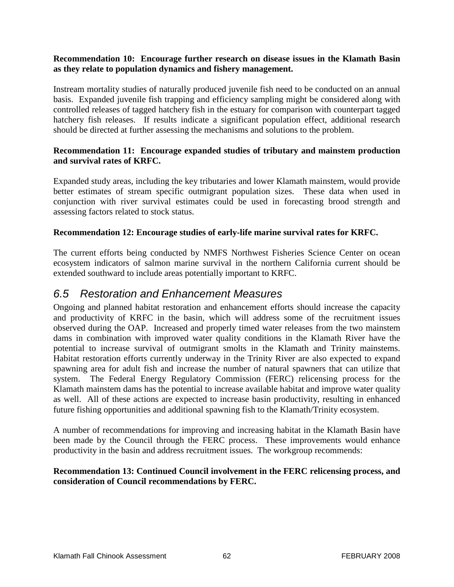#### **Recommendation 10: Encourage further research on disease issues in the Klamath Basin as they relate to population dynamics and fishery management.**

Instream mortality studies of naturally produced juvenile fish need to be conducted on an annual basis. Expanded juvenile fish trapping and efficiency sampling might be considered along with controlled releases of tagged hatchery fish in the estuary for comparison with counterpart tagged hatchery fish releases. If results indicate a significant population effect, additional research should be directed at further assessing the mechanisms and solutions to the problem.

#### **Recommendation 11: Encourage expanded studies of tributary and mainstem production and survival rates of KRFC.**

Expanded study areas, including the key tributaries and lower Klamath mainstem, would provide better estimates of stream specific outmigrant population sizes. These data when used in conjunction with river survival estimates could be used in forecasting brood strength and assessing factors related to stock status.

#### **Recommendation 12: Encourage studies of early-life marine survival rates for KRFC.**

The current efforts being conducted by NMFS Northwest Fisheries Science Center on ocean ecosystem indicators of salmon marine survival in the northern California current should be extended southward to include areas potentially important to KRFC.

#### *6.5 Restoration and Enhancement Measures*

Ongoing and planned habitat restoration and enhancement efforts should increase the capacity and productivity of KRFC in the basin, which will address some of the recruitment issues observed during the OAP. Increased and properly timed water releases from the two mainstem dams in combination with improved water quality conditions in the Klamath River have the potential to increase survival of outmigrant smolts in the Klamath and Trinity mainstems. Habitat restoration efforts currently underway in the Trinity River are also expected to expand spawning area for adult fish and increase the number of natural spawners that can utilize that system. The Federal Energy Regulatory Commission (FERC) relicensing process for the Klamath mainstem dams has the potential to increase available habitat and improve water quality as well. All of these actions are expected to increase basin productivity, resulting in enhanced future fishing opportunities and additional spawning fish to the Klamath/Trinity ecosystem.

A number of recommendations for improving and increasing habitat in the Klamath Basin have been made by the Council through the FERC process. These improvements would enhance productivity in the basin and address recruitment issues. The workgroup recommends:

#### **Recommendation 13: Continued Council involvement in the FERC relicensing process, and consideration of Council recommendations by FERC.**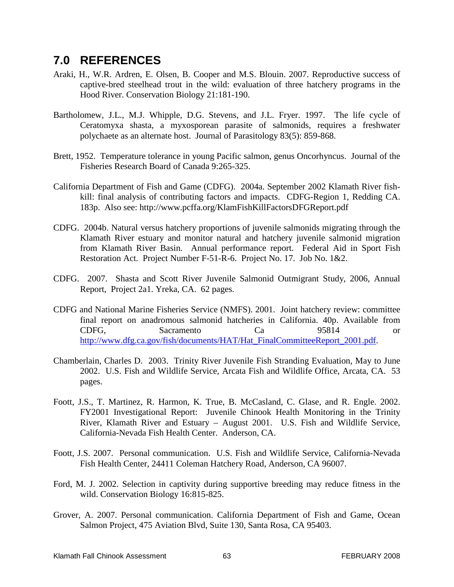## **7.0 REFERENCES**

- Araki, H., W.R. Ardren, E. Olsen, B. Cooper and M.S. Blouin. 2007. Reproductive success of captive-bred steelhead trout in the wild: evaluation of three hatchery programs in the Hood River. Conservation Biology 21:181-190.
- Bartholomew, J.L., M.J. Whipple, D.G. Stevens, and J.L. Fryer. 1997. The life cycle of Ceratomyxa shasta, a myxosporean parasite of salmonids, requires a freshwater polychaete as an alternate host. Journal of Parasitology 83(5): 859-868.
- Brett, 1952. Temperature tolerance in young Pacific salmon, genus Oncorhyncus. Journal of the Fisheries Research Board of Canada 9:265-325.
- California Department of Fish and Game (CDFG). 2004a. September 2002 Klamath River fishkill: final analysis of contributing factors and impacts. CDFG-Region 1, Redding CA. 183p. Also see: http://www.pcffa.org/KlamFishKillFactorsDFGReport.pdf
- CDFG. 2004b. Natural versus hatchery proportions of juvenile salmonids migrating through the Klamath River estuary and monitor natural and hatchery juvenile salmonid migration from Klamath River Basin. Annual performance report. Federal Aid in Sport Fish Restoration Act. Project Number F-51-R-6. Project No. 17. Job No. 1&2.
- CDFG. 2007. Shasta and Scott River Juvenile Salmonid Outmigrant Study, 2006, Annual Report, Project 2a1. Yreka, CA. 62 pages.
- CDFG and National Marine Fisheries Service (NMFS). 2001. Joint hatchery review: committee final report on anadromous salmonid hatcheries in California. 40p. Available from CDFG, Sacramento Ca 95814 or [http://www.dfg.ca.gov/fish/documents/HAT/Hat\\_FinalCommitteeReport\\_2001.pdf.](http://www.dfg.ca.gov/fish/documents/HAT/Hat_FinalCommitteeReport_2001.pdf)
- Chamberlain, Charles D. 2003. Trinity River Juvenile Fish Stranding Evaluation, May to June 2002. U.S. Fish and Wildlife Service, Arcata Fish and Wildlife Office, Arcata, CA. 53 pages.
- Foott, J.S., T. Martinez, R. Harmon, K. True, B. McCasland, C. Glase, and R. Engle. 2002. FY2001 Investigational Report: Juvenile Chinook Health Monitoring in the Trinity River, Klamath River and Estuary – August 2001. U.S. Fish and Wildlife Service, California-Nevada Fish Health Center. Anderson, CA.
- Foott, J.S. 2007. Personal communication. U.S. Fish and Wildlife Service, California-Nevada Fish Health Center, 24411 Coleman Hatchery Road, Anderson, CA 96007.
- Ford, M. J. 2002. Selection in captivity during supportive breeding may reduce fitness in the wild. Conservation Biology 16:815-825.
- Grover, A. 2007. Personal communication. California Department of Fish and Game, Ocean Salmon Project, 475 Aviation Blvd, Suite 130, Santa Rosa, CA 95403.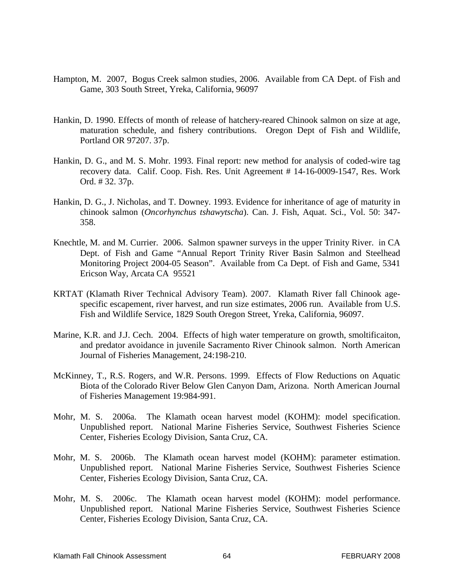- Hampton, M. 2007, Bogus Creek salmon studies, 2006. Available from CA Dept. of Fish and Game, 303 South Street, Yreka, California, 96097
- Hankin, D. 1990. Effects of month of release of hatchery-reared Chinook salmon on size at age, maturation schedule, and fishery contributions. Oregon Dept of Fish and Wildlife, Portland OR 97207. 37p.
- Hankin, D. G., and M. S. Mohr. 1993. Final report: new method for analysis of coded-wire tag recovery data. Calif. Coop. Fish. Res. Unit Agreement # 14-16-0009-1547, Res. Work Ord. # 32. 37p.
- Hankin, D. G., J. Nicholas, and T. Downey. 1993. Evidence for inheritance of age of maturity in chinook salmon (*Oncorhynchus tshawytscha*). Can. J. Fish, Aquat. Sci., Vol. 50: 347- 358.
- Knechtle, M. and M. Currier. 2006. Salmon spawner surveys in the upper Trinity River. in CA Dept. of Fish and Game "Annual Report Trinity River Basin Salmon and Steelhead Monitoring Project 2004-05 Season". Available from Ca Dept. of Fish and Game, 5341 Ericson Way, Arcata CA 95521
- KRTAT (Klamath River Technical Advisory Team). 2007. Klamath River fall Chinook agespecific escapement, river harvest, and run size estimates, 2006 run. Available from U.S. Fish and Wildlife Service, 1829 South Oregon Street, Yreka, California, 96097.
- Marine, K.R. and J.J. Cech. 2004. Effects of high water temperature on growth, smoltificaiton, and predator avoidance in juvenile Sacramento River Chinook salmon. North American Journal of Fisheries Management, 24:198-210.
- McKinney, T., R.S. Rogers, and W.R. Persons. 1999. Effects of Flow Reductions on Aquatic Biota of the Colorado River Below Glen Canyon Dam, Arizona. North American Journal of Fisheries Management 19:984-991.
- Mohr, M. S. 2006a. The Klamath ocean harvest model (KOHM): model specification. Unpublished report. National Marine Fisheries Service, Southwest Fisheries Science Center, Fisheries Ecology Division, Santa Cruz, CA.
- Mohr, M. S. 2006b. The Klamath ocean harvest model (KOHM): parameter estimation. Unpublished report. National Marine Fisheries Service, Southwest Fisheries Science Center, Fisheries Ecology Division, Santa Cruz, CA.
- Mohr, M. S. 2006c. The Klamath ocean harvest model (KOHM): model performance. Unpublished report. National Marine Fisheries Service, Southwest Fisheries Science Center, Fisheries Ecology Division, Santa Cruz, CA.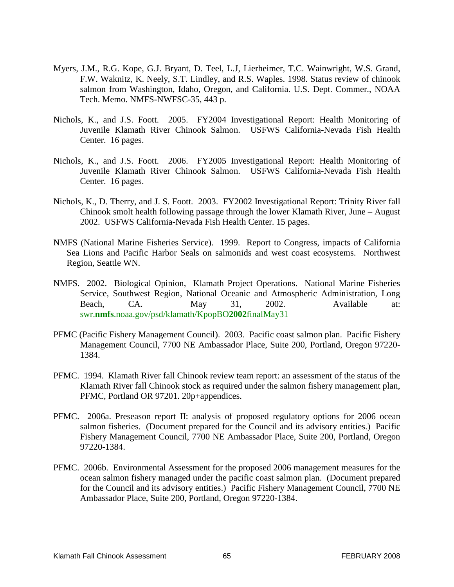- Myers, J.M., R.G. Kope, G.J. Bryant, D. Teel, L.J, Lierheimer, T.C. Wainwright, W.S. Grand, F.W. Waknitz, K. Neely, S.T. Lindley, and R.S. Waples. 1998. Status review of chinook salmon from Washington, Idaho, Oregon, and California. U.S. Dept. Commer., NOAA Tech. Memo. NMFS-NWFSC-35, 443 p.
- Nichols, K., and J.S. Foott. 2005. FY2004 Investigational Report: Health Monitoring of Juvenile Klamath River Chinook Salmon. USFWS California-Nevada Fish Health Center. 16 pages.
- Nichols, K., and J.S. Foott. 2006. FY2005 Investigational Report: Health Monitoring of Juvenile Klamath River Chinook Salmon. USFWS California-Nevada Fish Health Center. 16 pages.
- Nichols, K., D. Therry, and J. S. Foott. 2003. FY2002 Investigational Report: Trinity River fall Chinook smolt health following passage through the lower Klamath River, June – August 2002. USFWS California-Nevada Fish Health Center. 15 pages.
- NMFS (National Marine Fisheries Service). 1999. Report to Congress, impacts of California Sea Lions and Pacific Harbor Seals on salmonids and west coast ecosystems. Northwest Region, Seattle WN.
- NMFS. 2002. Biological Opinion, Klamath Project Operations. National Marine Fisheries Service, Southwest Region, National Oceanic and Atmospheric Administration, Long Beach, CA. May 31, 2002. Available at: swr.**nmfs**.noaa.gov/psd/klamath/KpopBO**2002**finalMay31
- PFMC (Pacific Fishery Management Council). 2003. Pacific coast salmon plan. Pacific Fishery Management Council, 7700 NE Ambassador Place, Suite 200, Portland, Oregon 97220- 1384.
- PFMC. 1994. Klamath River fall Chinook review team report: an assessment of the status of the Klamath River fall Chinook stock as required under the salmon fishery management plan, PFMC, Portland OR 97201. 20p+appendices.
- PFMC. 2006a. Preseason report II: analysis of proposed regulatory options for 2006 ocean salmon fisheries. (Document prepared for the Council and its advisory entities.) Pacific Fishery Management Council, 7700 NE Ambassador Place, Suite 200, Portland, Oregon 97220-1384.
- PFMC. 2006b. Environmental Assessment for the proposed 2006 management measures for the ocean salmon fishery managed under the pacific coast salmon plan. (Document prepared for the Council and its advisory entities.) Pacific Fishery Management Council, 7700 NE Ambassador Place, Suite 200, Portland, Oregon 97220-1384.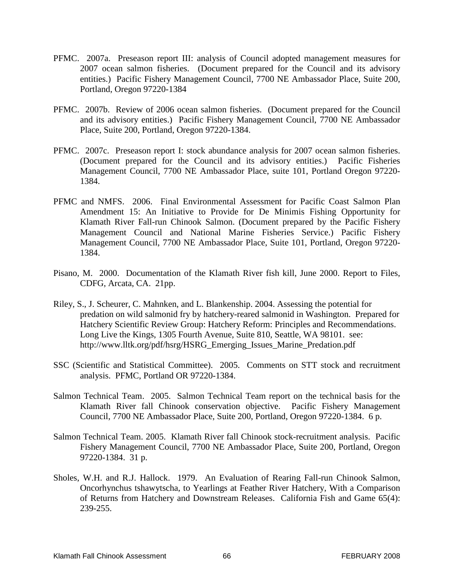- PFMC. 2007a. Preseason report III: analysis of Council adopted management measures for 2007 ocean salmon fisheries. (Document prepared for the Council and its advisory entities.) Pacific Fishery Management Council, 7700 NE Ambassador Place, Suite 200, Portland, Oregon 97220-1384
- PFMC. 2007b. Review of 2006 ocean salmon fisheries. (Document prepared for the Council and its advisory entities.) Pacific Fishery Management Council, 7700 NE Ambassador Place, Suite 200, Portland, Oregon 97220-1384.
- PFMC. 2007c. Preseason report I: stock abundance analysis for 2007 ocean salmon fisheries. (Document prepared for the Council and its advisory entities.) Pacific Fisheries Management Council, 7700 NE Ambassador Place, suite 101, Portland Oregon 97220- 1384.
- PFMC and NMFS. 2006. Final Environmental Assessment for Pacific Coast Salmon Plan Amendment 15: An Initiative to Provide for De Minimis Fishing Opportunity for Klamath River Fall-run Chinook Salmon. (Document prepared by the Pacific Fishery Management Council and National Marine Fisheries Service.) Pacific Fishery Management Council, 7700 NE Ambassador Place, Suite 101, Portland, Oregon 97220- 1384.
- Pisano, M. 2000. Documentation of the Klamath River fish kill, June 2000. Report to Files, CDFG, Arcata, CA. 21pp.
- Riley, S., J. Scheurer, C. Mahnken, and L. Blankenship. 2004. Assessing the potential for predation on wild salmonid fry by hatchery-reared salmonid in Washington. Prepared for Hatchery Scientific Review Group: Hatchery Reform: Principles and Recommendations. Long Live the Kings, 1305 Fourth Avenue, Suite 810, Seattle, WA 98101. see: http://www.lltk.org/pdf/hsrg/HSRG\_Emerging\_Issues\_Marine\_Predation.pdf
- SSC (Scientific and Statistical Committee). 2005. Comments on STT stock and recruitment analysis. PFMC, Portland OR 97220-1384.
- Salmon Technical Team. 2005. Salmon Technical Team report on the technical basis for the Klamath River fall Chinook conservation objective. Pacific Fishery Management Council, 7700 NE Ambassador Place, Suite 200, Portland, Oregon 97220-1384. 6 p.
- Salmon Technical Team. 2005. Klamath River fall Chinook stock-recruitment analysis. Pacific Fishery Management Council, 7700 NE Ambassador Place, Suite 200, Portland, Oregon 97220-1384. 31 p.
- Sholes, W.H. and R.J. Hallock. 1979. An Evaluation of Rearing Fall-run Chinook Salmon, Oncorhynchus tshawytscha, to Yearlings at Feather River Hatchery, With a Comparison of Returns from Hatchery and Downstream Releases. California Fish and Game 65(4): 239-255.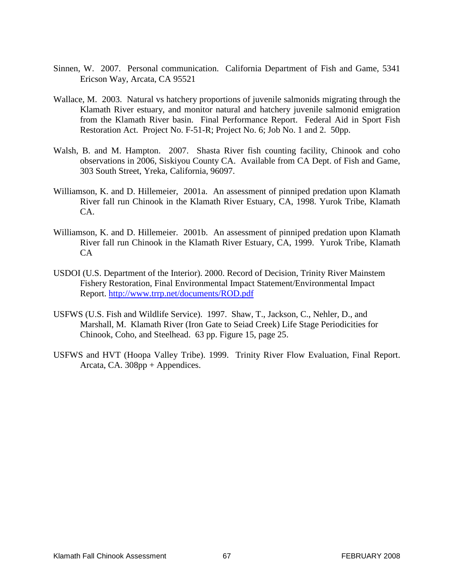- Sinnen, W. 2007. Personal communication. California Department of Fish and Game, 5341 Ericson Way, Arcata, CA 95521
- Wallace, M. 2003. Natural vs hatchery proportions of juvenile salmonids migrating through the Klamath River estuary, and monitor natural and hatchery juvenile salmonid emigration from the Klamath River basin. Final Performance Report. Federal Aid in Sport Fish Restoration Act. Project No. F-51-R; Project No. 6; Job No. 1 and 2. 50pp.
- Walsh, B. and M. Hampton. 2007. Shasta River fish counting facility, Chinook and coho observations in 2006, Siskiyou County CA. Available from CA Dept. of Fish and Game, 303 South Street, Yreka, California, 96097.
- Williamson, K. and D. Hillemeier, 2001a. An assessment of pinniped predation upon Klamath River fall run Chinook in the Klamath River Estuary, CA, 1998. Yurok Tribe, Klamath  $CA$
- Williamson, K. and D. Hillemeier. 2001b. An assessment of pinniped predation upon Klamath River fall run Chinook in the Klamath River Estuary, CA, 1999. Yurok Tribe, Klamath CA
- USDOI (U.S. Department of the Interior). 2000. Record of Decision, Trinity River Mainstem Fishery Restoration, Final Environmental Impact Statement/Environmental Impact Report.<http://www.trrp.net/documents/ROD.pdf>
- USFWS (U.S. Fish and Wildlife Service). 1997. Shaw, T., Jackson, C., Nehler, D., and Marshall, M. Klamath River (Iron Gate to Seiad Creek) Life Stage Periodicities for Chinook, Coho, and Steelhead. 63 pp. Figure 15, page 25.
- USFWS and HVT (Hoopa Valley Tribe). 1999. Trinity River Flow Evaluation, Final Report. Arcata, CA. 308pp + Appendices.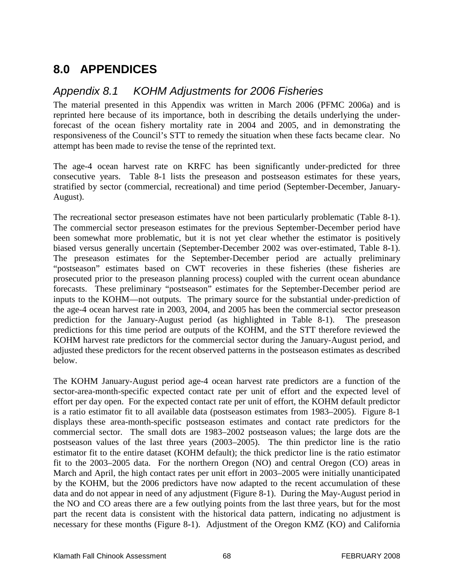## **8.0 APPENDICES**

### *Appendix 8.1 KOHM Adjustments for 2006 Fisheries*

The material presented in this Appendix was written in March 2006 (PFMC 2006a) and is reprinted here because of its importance, both in describing the details underlying the underforecast of the ocean fishery mortality rate in 2004 and 2005, and in demonstrating the responsiveness of the Council's STT to remedy the situation when these facts became clear. No attempt has been made to revise the tense of the reprinted text.

The age-4 ocean harvest rate on KRFC has been significantly under-predicted for three consecutive years. Table 8-1 lists the preseason and postseason estimates for these years, stratified by sector (commercial, recreational) and time period (September-December, January-August).

The recreational sector preseason estimates have not been particularly problematic (Table 8-1). The commercial sector preseason estimates for the previous September-December period have been somewhat more problematic, but it is not yet clear whether the estimator is positively biased versus generally uncertain (September-December 2002 was over-estimated, Table 8-1). The preseason estimates for the September-December period are actually preliminary "postseason" estimates based on CWT recoveries in these fisheries (these fisheries are prosecuted prior to the preseason planning process) coupled with the current ocean abundance forecasts. These preliminary "postseason" estimates for the September-December period are inputs to the KOHM—not outputs. The primary source for the substantial under-prediction of the age-4 ocean harvest rate in 2003, 2004, and 2005 has been the commercial sector preseason prediction for the January-August period (as highlighted in Table 8-1). The preseason predictions for this time period are outputs of the KOHM, and the STT therefore reviewed the KOHM harvest rate predictors for the commercial sector during the January-August period, and adjusted these predictors for the recent observed patterns in the postseason estimates as described below.

The KOHM January-August period age-4 ocean harvest rate predictors are a function of the sector-area-month-specific expected contact rate per unit of effort and the expected level of effort per day open. For the expected contact rate per unit of effort, the KOHM default predictor is a ratio estimator fit to all available data (postseason estimates from 1983–2005). Figure 8-1 displays these area-month-specific postseason estimates and contact rate predictors for the commercial sector. The small dots are 1983–2002 postseason values; the large dots are the postseason values of the last three years (2003–2005). The thin predictor line is the ratio estimator fit to the entire dataset (KOHM default); the thick predictor line is the ratio estimator fit to the 2003–2005 data. For the northern Oregon (NO) and central Oregon (CO) areas in March and April, the high contact rates per unit effort in 2003–2005 were initially unanticipated by the KOHM, but the 2006 predictors have now adapted to the recent accumulation of these data and do not appear in need of any adjustment (Figure 8-1). During the May-August period in the NO and CO areas there are a few outlying points from the last three years, but for the most part the recent data is consistent with the historical data pattern, indicating no adjustment is necessary for these months (Figure 8-1). Adjustment of the Oregon KMZ (KO) and California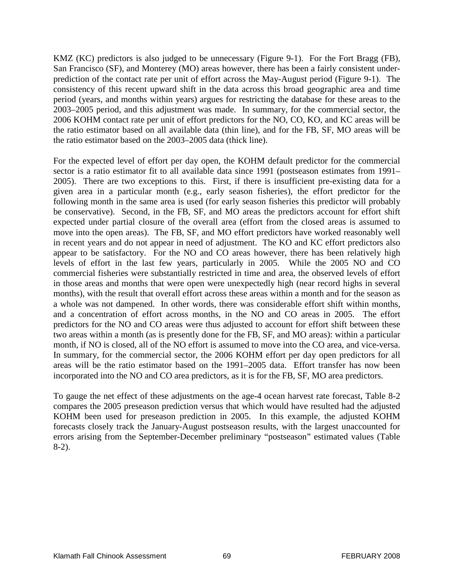KMZ (KC) predictors is also judged to be unnecessary (Figure 9-1). For the Fort Bragg (FB), San Francisco (SF), and Monterey (MO) areas however, there has been a fairly consistent underprediction of the contact rate per unit of effort across the May-August period (Figure 9-1). The consistency of this recent upward shift in the data across this broad geographic area and time period (years, and months within years) argues for restricting the database for these areas to the 2003–2005 period, and this adjustment was made. In summary, for the commercial sector, the 2006 KOHM contact rate per unit of effort predictors for the NO, CO, KO, and KC areas will be the ratio estimator based on all available data (thin line), and for the FB, SF, MO areas will be the ratio estimator based on the 2003–2005 data (thick line).

For the expected level of effort per day open, the KOHM default predictor for the commercial sector is a ratio estimator fit to all available data since 1991 (postseason estimates from 1991– 2005). There are two exceptions to this. First, if there is insufficient pre-existing data for a given area in a particular month (e.g., early season fisheries), the effort predictor for the following month in the same area is used (for early season fisheries this predictor will probably be conservative). Second, in the FB, SF, and MO areas the predictors account for effort shift expected under partial closure of the overall area (effort from the closed areas is assumed to move into the open areas). The FB, SF, and MO effort predictors have worked reasonably well in recent years and do not appear in need of adjustment. The KO and KC effort predictors also appear to be satisfactory. For the NO and CO areas however, there has been relatively high levels of effort in the last few years, particularly in 2005. While the 2005 NO and CO commercial fisheries were substantially restricted in time and area, the observed levels of effort in those areas and months that were open were unexpectedly high (near record highs in several months), with the result that overall effort across these areas within a month and for the season as a whole was not dampened. In other words, there was considerable effort shift within months, and a concentration of effort across months, in the NO and CO areas in 2005. The effort predictors for the NO and CO areas were thus adjusted to account for effort shift between these two areas within a month (as is presently done for the FB, SF, and MO areas): within a particular month, if NO is closed, all of the NO effort is assumed to move into the CO area, and vice-versa. In summary, for the commercial sector, the 2006 KOHM effort per day open predictors for all areas will be the ratio estimator based on the 1991–2005 data. Effort transfer has now been incorporated into the NO and CO area predictors, as it is for the FB, SF, MO area predictors.

To gauge the net effect of these adjustments on the age-4 ocean harvest rate forecast, Table 8-2 compares the 2005 preseason prediction versus that which would have resulted had the adjusted KOHM been used for preseason prediction in 2005. In this example, the adjusted KOHM forecasts closely track the January-August postseason results, with the largest unaccounted for errors arising from the September-December preliminary "postseason" estimated values (Table 8-2).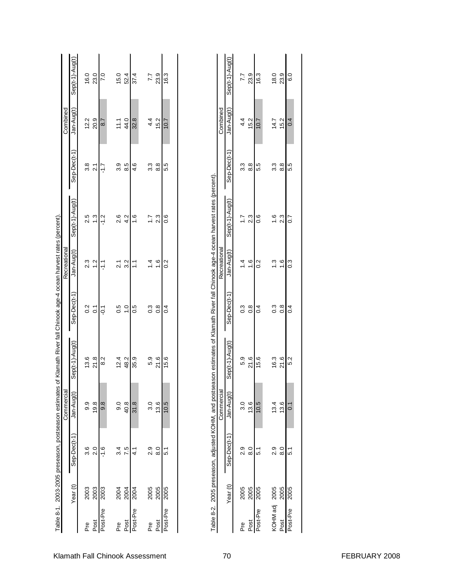| Combined<br>of Klamath River fall Chinook age-4 ocean harvest rates (percent)<br>Recreational | Sep(t-1)-Aug(t)<br>Jan-Aug(t)<br>Sep-Dec(t-1<br>Sep(t-1)-Aug(t)<br>Jan-Aug(t)<br>Sep-Dec(t-1 | 16.0<br>12.2<br>3.8<br>2.5<br>2.3<br>0.2 | 23.0<br>20.9<br>$\overline{21}$<br>$\frac{3}{2}$<br>$\frac{2}{1}$<br>$\overline{C}$ | $\overline{7}$ .0<br>8.7<br>-1.7<br>$-1.2$<br>$\frac{1}{2}$<br>$\overline{Q}$ | 15.0<br>11.1<br>3.9<br>2.6<br>$\overline{2.1}$<br>0.5 | 52.4<br>44.0<br>8.5<br>4.2<br>3.2<br>$\frac{0}{1}$ | 37.4<br>32.8<br>4.6<br>$\frac{6}{1}$<br>こ<br>0.5 | 77<br>4.4<br>33<br>$\overline{1.7}$<br>$1\overline{4}$<br>$0.\overline{3}$ | 23.9<br>15.2<br>8.8<br>2.3<br>$\frac{6}{1}$<br>$\frac{8}{2}$ | 16.3<br>10.7<br>5.5<br>o.o<br>$\sim$<br>0.4 |  | Table 8-2. 2005 preseason, adjusted KOHM, and postseason estimates of Klamath River fall Chinook age-4 ocean harvest rates (percent) | Combined<br>Recreational | Sep(t-1)-Aug(t)<br>Jan-Aug(t)<br>Sep-Dec(t-1<br>Sep(t-1)-Aug(t)<br>Jan-Aug(t)<br>Sep-Dec(t-1) | 7.7<br>4.4<br>3.3<br>$\overline{1}$ .<br>$\overline{4}$<br>0.3 |  |
|-----------------------------------------------------------------------------------------------|----------------------------------------------------------------------------------------------|------------------------------------------|-------------------------------------------------------------------------------------|-------------------------------------------------------------------------------|-------------------------------------------------------|----------------------------------------------------|--------------------------------------------------|----------------------------------------------------------------------------|--------------------------------------------------------------|---------------------------------------------|--|--------------------------------------------------------------------------------------------------------------------------------------|--------------------------|-----------------------------------------------------------------------------------------------|----------------------------------------------------------------|--|
|                                                                                               |                                                                                              |                                          |                                                                                     |                                                                               |                                                       |                                                    |                                                  |                                                                            |                                                              |                                             |  |                                                                                                                                      |                          |                                                                                               |                                                                |  |
|                                                                                               |                                                                                              |                                          |                                                                                     |                                                                               |                                                       |                                                    |                                                  |                                                                            |                                                              |                                             |  |                                                                                                                                      |                          |                                                                                               |                                                                |  |
|                                                                                               |                                                                                              |                                          |                                                                                     |                                                                               |                                                       |                                                    |                                                  |                                                                            |                                                              |                                             |  |                                                                                                                                      |                          |                                                                                               |                                                                |  |
|                                                                                               | Sep(t-1)-Aug(t)                                                                              | 13.6                                     | 21.8                                                                                | 8.2                                                                           | 12.4                                                  | 48.2                                               | 35.9                                             | 5.9                                                                        | 21.6                                                         | 15.6                                        |  |                                                                                                                                      |                          | Sep(t-1)-Aug(t)                                                                               | 5.9                                                            |  |
| Table 8-1. 2003-2005 preseason, postseason estimates<br>Commercial                            | Jan-Aug(t)                                                                                   | 9.9                                      | 19.8                                                                                | $\frac{8}{9}$                                                                 | 0.6                                                   | 40.8                                               | 31.8                                             | 3.0                                                                        | 13.6                                                         | 10.5                                        |  |                                                                                                                                      | Commercial               | Jan-Aug(t)                                                                                    | 3.0                                                            |  |
|                                                                                               | Sep-Dec(t-1)                                                                                 | 3.6                                      | $\overline{2.0}$                                                                    | $-1.6$                                                                        | 3.4                                                   | 7.5                                                | $\vec{1}$                                        | 2.9                                                                        | 8.0                                                          | 5.1                                         |  |                                                                                                                                      |                          | Sep-Dec(t-1)                                                                                  | 2.9                                                            |  |
|                                                                                               | Year (t)                                                                                     | 2003                                     | 2003                                                                                | 2003                                                                          | 2004                                                  | 2004                                               | 2004                                             | 2005                                                                       | 2005                                                         | 2005                                        |  |                                                                                                                                      |                          | Year (t)                                                                                      | 2005                                                           |  |
|                                                                                               |                                                                                              | ە<br>Pre                                 | Post                                                                                | Post-Pre                                                                      | م<br>م                                                | Post                                               | Post-Pre                                         | م<br>Pre                                                                   | Post                                                         | Post-Pre                                    |  |                                                                                                                                      |                          |                                                                                               | م<br>م                                                         |  |

| 혼 딩동                                             | 피 |
|--------------------------------------------------|---|
|                                                  |   |
| $\sim$ $\sim$ $\sim$ $\sim$ $\sim$ $\sim$ $\sim$ |   |

Pre 2005 2005 2005 1.4 1.4 1.4 1.7 1.7 1.7 1.7 1.7 1.7 1.7 1.7 1.4 1.4 1.4 1.4 1.4 1.1 1.7 1.7 1.7 1.7 1.7 1.7 Post 2005 8.0 8.0 1.6 1.6 1.6 1.6 1.6 1.6 2.3 8.8 8.8 1.5.2 Post-Pre 2005 5.1 10.5 15.6 0.4 0.2 0.6 5.5 10.7 16.3

 $\frac{3}{5}$   $\frac{8}{5}$   $\frac{1}{4}$ 

 $5.9$ <br> $21.6$ 15.6

 $0.2$ 

 $\begin{array}{c} 3.3 \\ 8.8 \end{array}$ 5.5

 $7.300$ 

16.3

 $10.7$ 

 $18.0$ <br>23.9

 $14.7$ <br>15.2  $0.4$ 

က္က<br>ကိုးထိုးကြ

 $1.6$ <br> $2.3$ <br> $0.7$ 

 $7.900$ 

 $6.0$ 

KOHM adj 2005 2.9 13.4 16.3 0.3 1.3 1.6 3.3 14.7 18.0 Post 2005 8.0 13.6 21.6 0.8 1.6 2.3 8.8 15.2 23.9 Post-Pre 2005 2005 2005 2005 201 0.1 0.1 0.1 0.1 0.1 0.1 5.5 0.4 6.0

 $\frac{3}{5}$   $\frac{8}{5}$ 

 $\frac{16.3}{21.6}$ 

 $13.4$ <br> $13.6$ 

 $\begin{array}{c} 0.06 \ 0.07 \ 0.07 \end{array}$ 

2005<br>2005<br>2005

KOHM adj<br>Post<br>Post-Pre

 $\overline{0.1}$ 

 $10.5$ 

 $\begin{array}{c} 0.06 \ 0.07 \ 0.07 \end{array}$ 

 $2005$ <br> $2005$ <br> $2005$ 

Pre<br>Post<br>Post-Pre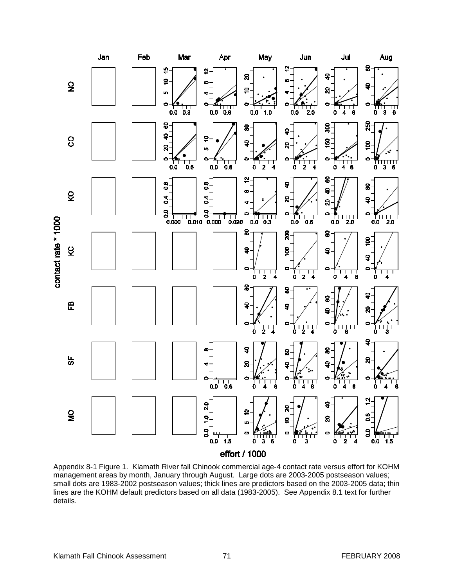

Appendix 8-1 Figure 1. Klamath River fall Chinook commercial age-4 contact rate versus effort for KOHM management areas by month, January through August. Large dots are 2003-2005 postseason values; small dots are 1983-2002 postseason values; thick lines are predictors based on the 2003-2005 data; thin lines are the KOHM default predictors based on all data (1983-2005). See Appendix 8.1 text for further details.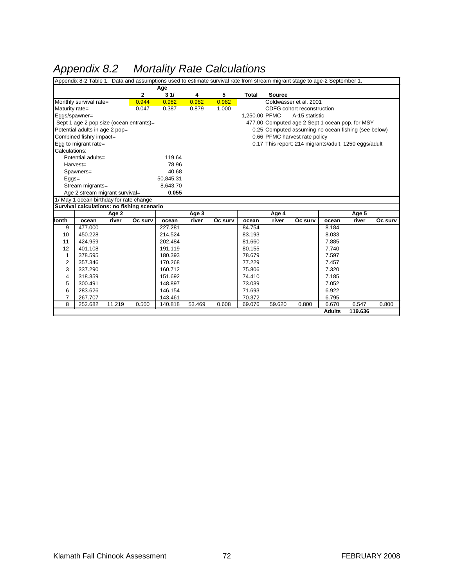# *Appendix 8.2 Mortality Rate Calculations*

| Appendix 8-2 Table 1. Data and assumptions used to estimate survival rate from stream migrant stage to age-2 September 1. |                                            |        |         |           |        |         |               |                                                     |                                                       |                        |                  |         |  |  |  |  |
|---------------------------------------------------------------------------------------------------------------------------|--------------------------------------------|--------|---------|-----------|--------|---------|---------------|-----------------------------------------------------|-------------------------------------------------------|------------------------|------------------|---------|--|--|--|--|
| Age                                                                                                                       |                                            |        |         |           |        |         |               |                                                     |                                                       |                        |                  |         |  |  |  |  |
|                                                                                                                           |                                            |        | 2       | 31/       | 4      | 5       | <b>Total</b>  | <b>Source</b>                                       |                                                       |                        |                  |         |  |  |  |  |
|                                                                                                                           | Monthly survival rate=                     |        | 0.944   | 0.982     | 0.982  | 0.982   |               |                                                     | Goldwasser et al. 2001                                |                        |                  |         |  |  |  |  |
| Maturity rate=                                                                                                            |                                            |        | 0.047   | 0.387     | 0.879  | 1.000   |               |                                                     | CDFG cohort reconstruction                            |                        |                  |         |  |  |  |  |
|                                                                                                                           | Eggs/spawner=                              |        |         |           |        |         | 1,250.00 PFMC |                                                     | A-15 statistic                                        |                        |                  |         |  |  |  |  |
| Sept 1 age 2 pop size (ocean entrants)=                                                                                   |                                            |        |         |           |        |         |               | 477.00 Computed age 2 Sept 1 ocean pop. for MSY     |                                                       |                        |                  |         |  |  |  |  |
| Potential adults in age 2 pop=                                                                                            |                                            |        |         |           |        |         |               | 0.25 Computed assuming no ocean fishing (see below) |                                                       |                        |                  |         |  |  |  |  |
|                                                                                                                           | Combined fishry impact=                    |        |         |           |        |         |               |                                                     | 0.66 PFMC harvest rate policy                         |                        |                  |         |  |  |  |  |
|                                                                                                                           | Egg to migrant rate=                       |        |         |           |        |         |               |                                                     | 0.17 This report: 214 migrants/adult, 1250 eggs/adult |                        |                  |         |  |  |  |  |
| Calculations:                                                                                                             |                                            |        |         |           |        |         |               |                                                     |                                                       |                        |                  |         |  |  |  |  |
|                                                                                                                           | Potential adults=                          |        |         | 119.64    |        |         |               |                                                     |                                                       |                        |                  |         |  |  |  |  |
|                                                                                                                           | Harvest=                                   |        |         | 78.96     |        |         |               |                                                     |                                                       |                        |                  |         |  |  |  |  |
|                                                                                                                           | Spawners=                                  |        |         | 40.68     |        |         |               |                                                     |                                                       |                        |                  |         |  |  |  |  |
| $Eggs=$                                                                                                                   |                                            |        |         | 50,845.31 |        |         |               |                                                     |                                                       |                        |                  |         |  |  |  |  |
|                                                                                                                           | Stream migrants=                           |        |         | 8,643.70  |        |         |               |                                                     |                                                       |                        |                  |         |  |  |  |  |
|                                                                                                                           | Age 2 stream migrant survival=             |        |         | 0.055     |        |         |               |                                                     |                                                       |                        |                  |         |  |  |  |  |
|                                                                                                                           | 1/ May 1 ocean birthday for rate change    |        |         |           |        |         |               |                                                     |                                                       |                        |                  |         |  |  |  |  |
|                                                                                                                           | Survival calculations: no fishing scenario |        |         |           |        |         |               |                                                     |                                                       |                        |                  |         |  |  |  |  |
|                                                                                                                           | Age 2                                      |        |         |           | Age 3  |         | Age 4         |                                                     |                                                       | Age 5                  |                  |         |  |  |  |  |
| lonth                                                                                                                     | ocean                                      | river  | Oc surv | ocean     | river  | Oc surv | ocean         | river                                               | Oc surv                                               | ocean                  | river            | Oc surv |  |  |  |  |
| 9                                                                                                                         | 477.000                                    |        |         | 227.281   |        |         | 84.754        |                                                     |                                                       | 8.184                  |                  |         |  |  |  |  |
| 10                                                                                                                        | 450.228                                    |        |         | 214.524   |        |         | 83.193        |                                                     |                                                       | 8.033                  |                  |         |  |  |  |  |
| 11                                                                                                                        | 424.959                                    |        |         | 202.484   |        |         | 81.660        |                                                     |                                                       | 7.885                  |                  |         |  |  |  |  |
| 12                                                                                                                        | 401.108                                    |        |         | 191.119   |        |         | 80.155        |                                                     |                                                       | 7.740                  |                  |         |  |  |  |  |
| 1                                                                                                                         | 378.595                                    |        |         | 180.393   |        |         | 78.679        |                                                     |                                                       | 7.597                  |                  |         |  |  |  |  |
| 2                                                                                                                         | 357.346                                    |        |         | 170.268   |        |         | 77.229        |                                                     |                                                       | 7.457                  |                  |         |  |  |  |  |
| 3                                                                                                                         | 337.290                                    |        |         | 160.712   |        |         | 75.806        |                                                     |                                                       | 7.320                  |                  |         |  |  |  |  |
| 4                                                                                                                         | 318.359                                    |        |         | 151.692   |        |         | 74.410        |                                                     |                                                       | 7.185                  |                  |         |  |  |  |  |
| 5                                                                                                                         | 300.491                                    |        |         | 148.897   |        |         | 73.039        |                                                     |                                                       | 7.052                  |                  |         |  |  |  |  |
| 6                                                                                                                         | 283.626                                    |        |         | 146.154   |        |         | 71.693        |                                                     |                                                       | 6.922                  |                  |         |  |  |  |  |
|                                                                                                                           | 267.707                                    |        |         | 143.461   |        |         | 70.372        |                                                     |                                                       | 6.795                  |                  |         |  |  |  |  |
| 7                                                                                                                         |                                            |        |         |           |        |         |               |                                                     |                                                       |                        |                  |         |  |  |  |  |
| 8                                                                                                                         | 252.682                                    | 11.219 | 0.500   | 140.818   | 53.469 | 0.608   | 69.076        | 59.620                                              | 0.800                                                 | 6.670<br><b>Adults</b> | 6.547<br>119.636 | 0.800   |  |  |  |  |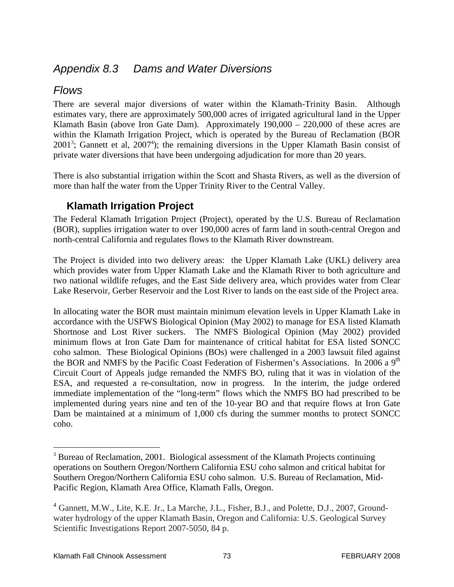## *Appendix 8.3 Dams and Water Diversions*

## *Flows*

There are several major diversions of water within the Klamath-Trinity Basin. Although estimates vary, there are approximately 500,000 acres of irrigated agricultural land in the Upper Klamath Basin (above Iron Gate Dam). Approximately  $190,000 - 220,000$  of these acres are within the Klamath Irrigation Project, which is operated by the Bureau of Reclamation (BOR  $2001<sup>3</sup>$ ; Gannett et al,  $2007<sup>4</sup>$ ); the remaining diversions in the Upper Klamath Basin consist of private water diversions that have been undergoing adjudication for more than 20 years.

There is also substantial irrigation within the Scott and Shasta Rivers, as well as the diversion of more than half the water from the Upper Trinity River to the Central Valley.

### **Klamath Irrigation Project**

The Federal Klamath Irrigation Project (Project), operated by the U.S. Bureau of Reclamation (BOR), supplies irrigation water to over 190,000 acres of farm land in south-central Oregon and north-central California and regulates flows to the Klamath River downstream.

The Project is divided into two delivery areas: the Upper Klamath Lake (UKL) delivery area which provides water from Upper Klamath Lake and the Klamath River to both agriculture and two national wildlife refuges, and the East Side delivery area, which provides water from Clear Lake Reservoir, Gerber Reservoir and the Lost River to lands on the east side of the Project area.

In allocating water the BOR must maintain minimum elevation levels in Upper Klamath Lake in accordance with the USFWS Biological Opinion (May 2002) to manage for ESA listed Klamath Shortnose and Lost River suckers. The NMFS Biological Opinion (May 2002) provided minimum flows at Iron Gate Dam for maintenance of critical habitat for ESA listed SONCC coho salmon. These Biological Opinions (BOs) were challenged in a 2003 lawsuit filed against the BOR and NMFS by the Pacific Coast Federation of Fishermen's Associations. In 2006 a 9<sup>th</sup> Circuit Court of Appeals judge remanded the NMFS BO, ruling that it was in violation of the ESA, and requested a re-consultation, now in progress. In the interim, the judge ordered immediate implementation of the "long-term" flows which the NMFS BO had prescribed to be implemented during years nine and ten of the 10-year BO and that require flows at Iron Gate Dam be maintained at a minimum of 1,000 cfs during the summer months to protect SONCC coho.

<sup>&</sup>lt;sup>3</sup> Bureau of Reclamation, 2001. Biological assessment of the Klamath Projects continuing operations on Southern Oregon/Northern California ESU coho salmon and critical habitat for Southern Oregon/Northern California ESU coho salmon. U.S. Bureau of Reclamation, Mid-Pacific Region, Klamath Area Office, Klamath Falls, Oregon.

<sup>&</sup>lt;sup>4</sup> Gannett, M.W., Lite, K.E. Jr., La Marche, J.L., Fisher, B.J., and Polette, D.J., 2007, Groundwater hydrology of the upper Klamath Basin, Oregon and California: U.S. Geological Survey Scientific Investigations Report 2007-5050, 84 p.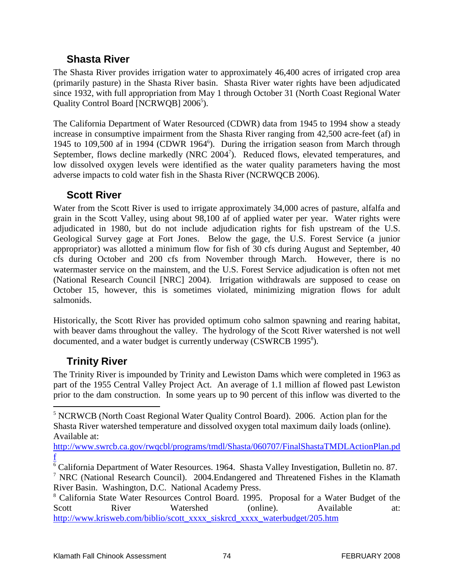### **Shasta River**

The Shasta River provides irrigation water to approximately 46,400 acres of irrigated crop area (primarily pasture) in the Shasta River basin. Shasta River water rights have been adjudicated since 1932, with full appropriation from May 1 through October 31 (North Coast Regional Water Quality Control Board [NCRWQB] 2006<sup>5</sup>).

The California Department of Water Resourced (CDWR) data from 1945 to 1994 show a steady increase in consumptive impairment from the Shasta River ranging from 42,500 acre-feet (af) in 1945 to 109,500 af in 1994 (CDWR 1964<sup>6</sup>). During the irrigation season from March through September, flows decline markedly (NRC 2004<sup>7</sup>). Reduced flows, elevated temperatures, and low dissolved oxygen levels were identified as the water quality parameters having the most adverse impacts to cold water fish in the Shasta River (NCRWQCB 2006).

### **Scott River**

Water from the Scott River is used to irrigate approximately 34,000 acres of pasture, alfalfa and grain in the Scott Valley, using about 98,100 af of applied water per year. Water rights were adjudicated in 1980, but do not include adjudication rights for fish upstream of the U.S. Geological Survey gage at Fort Jones. Below the gage, the U.S. Forest Service (a junior appropriator) was allotted a minimum flow for fish of 30 cfs during August and September, 40 cfs during October and 200 cfs from November through March. However, there is no watermaster service on the mainstem, and the U.S. Forest Service adjudication is often not met (National Research Council [NRC] 2004). Irrigation withdrawals are supposed to cease on October 15, however, this is sometimes violated, minimizing migration flows for adult salmonids.

Historically, the Scott River has provided optimum coho salmon spawning and rearing habitat, with beaver dams throughout the valley. The hydrology of the Scott River watershed is not well documented, and a water budget is currently underway (CSWRCB 1995<sup>8</sup>).

### **Trinity River**

The Trinity River is impounded by Trinity and Lewiston Dams which were completed in 1963 as part of the 1955 Central Valley Project Act. An average of 1.1 million af flowed past Lewiston prior to the dam construction. In some years up to 90 percent of this inflow was diverted to the

[http://www.swrcb.ca.gov/rwqcbl/programs/tmdl/Shasta/060707/FinalShastaTMDLActionPlan.pd](http://www.swrcb.ca.gov/rwqcbl/programs/tmdl/Shasta/060707/FinalShastaTMDLActionPlan.pdf) [f](http://www.swrcb.ca.gov/rwqcbl/programs/tmdl/Shasta/060707/FinalShastaTMDLActionPlan.pdf)

 <sup>5</sup> NCRWCB (North Coast Regional Water Quality Control Board). 2006. Action plan for the Shasta River watershed temperature and dissolved oxygen total maximum daily loads (online). Available at:

<sup>&</sup>lt;sup>6</sup> California Department of Water Resources. 1964. Shasta Valley Investigation, Bulletin no. 87.

<sup>7</sup> NRC (National Research Council). 2004.Endangered and Threatened Fishes in the Klamath River Basin. Washington, D.C. National Academy Press.

<sup>8</sup> California State Water Resources Control Board. 1995. Proposal for a Water Budget of the Scott River Watershed (online). Available at: [http://www.krisweb.com/biblio/scott\\_xxxx\\_siskrcd\\_xxxx\\_waterbudget/205.htm](http://www.krisweb.com/biblio/scott_xxxx_siskrcd_xxxx_waterbudget/205.htm)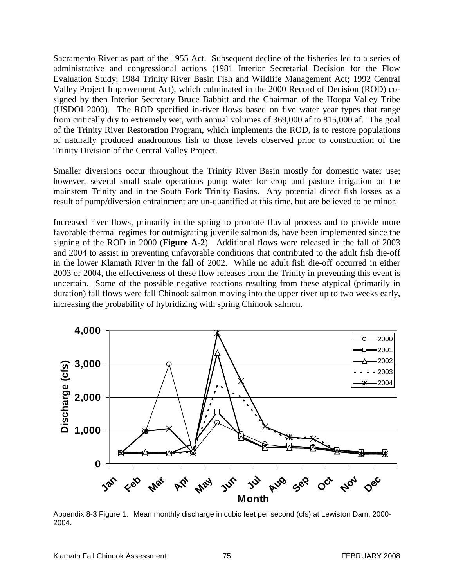Sacramento River as part of the 1955 Act. Subsequent decline of the fisheries led to a series of administrative and congressional actions (1981 Interior Secretarial Decision for the Flow Evaluation Study; 1984 Trinity River Basin Fish and Wildlife Management Act; 1992 Central Valley Project Improvement Act), which culminated in the 2000 Record of Decision (ROD) cosigned by then Interior Secretary Bruce Babbitt and the Chairman of the Hoopa Valley Tribe (USDOI 2000). The ROD specified in-river flows based on five water year types that range from critically dry to extremely wet, with annual volumes of 369,000 af to 815,000 af. The goal of the Trinity River Restoration Program, which implements the ROD, is to restore populations of naturally produced anadromous fish to those levels observed prior to construction of the Trinity Division of the Central Valley Project.

Smaller diversions occur throughout the Trinity River Basin mostly for domestic water use; however, several small scale operations pump water for crop and pasture irrigation on the mainstem Trinity and in the South Fork Trinity Basins. Any potential direct fish losses as a result of pump/diversion entrainment are un-quantified at this time, but are believed to be minor.

Increased river flows, primarily in the spring to promote fluvial process and to provide more favorable thermal regimes for outmigrating juvenile salmonids, have been implemented since the signing of the ROD in 2000 (**Figure A-2**). Additional flows were released in the fall of 2003 and 2004 to assist in preventing unfavorable conditions that contributed to the adult fish die-off in the lower Klamath River in the fall of 2002. While no adult fish die-off occurred in either 2003 or 2004, the effectiveness of these flow releases from the Trinity in preventing this event is uncertain. Some of the possible negative reactions resulting from these atypical (primarily in duration) fall flows were fall Chinook salmon moving into the upper river up to two weeks early, increasing the probability of hybridizing with spring Chinook salmon.



Appendix 8-3 Figure 1. Mean monthly discharge in cubic feet per second (cfs) at Lewiston Dam, 2000- 2004.